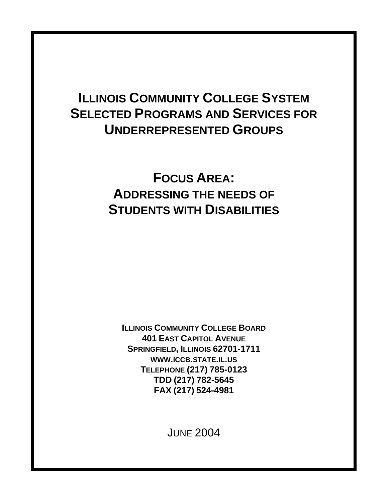# **ILLINOIS COMMUNITY COLLEGE SYSTEM SELECTED PROGRAMS AND SERVICES FOR UNDERREPRESENTED GROUPS**

# **FOCUS AREA: ADDRESSING THE NEEDS OF STUDENTS WITH DISABILITIES**

**ILLINOIS COMMUNITY COLLEGE BOARD 401 EAST CAPITOL AVENUE SPRINGFIELD, ILLINOIS 62701-1711 WWW.ICCB.STATE.IL.US TELEPHONE (217) 785-0123 TDD (217) 782-5645 FAX (217) 524-4981**

JUNE 2004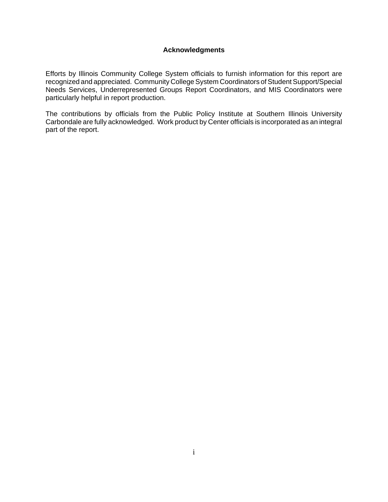### **Acknowledgments**

Efforts by Illinois Community College System officials to furnish information for this report are recognized and appreciated. Community College System Coordinators of Student Support/Special Needs Services, Underrepresented Groups Report Coordinators, and MIS Coordinators were particularly helpful in report production.

The contributions by officials from the Public Policy Institute at Southern Illinois University Carbondale are fully acknowledged. Work product by Center officials is incorporated as an integral part of the report.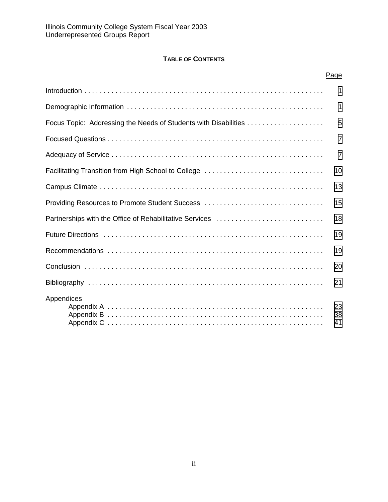## **TABLE OF CONTENTS**

|                                                                 | Page           |
|-----------------------------------------------------------------|----------------|
|                                                                 | 1              |
|                                                                 | 1              |
| Focus Topic: Addressing the Needs of Students with Disabilities | 5              |
|                                                                 | $\overline{7}$ |
|                                                                 | $\overline{7}$ |
|                                                                 | 10             |
|                                                                 | 13             |
| Providing Resources to Promote Student Success                  | 15             |
| Partnerships with the Office of Rehabilitative Services         | 18             |
|                                                                 | 19             |
|                                                                 | 19             |
|                                                                 | 20             |
|                                                                 | 21             |
| Appendices                                                      | 23<br>38<br>41 |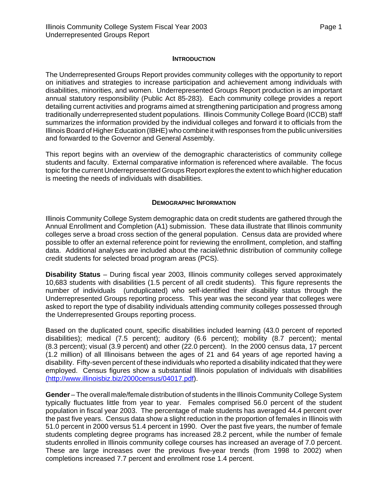### **INTRODUCTION**

<span id="page-3-0"></span>The Underrepresented Groups Report provides community colleges with the opportunity to report on initiatives and strategies to increase participation and achievement among individuals with disabilities, minorities, and women. Underrepresented Groups Report production is an important annual statutory responsibility (Public Act 85-283). Each community college provides a report detailing current activities and programs aimed at strengthening participation and progress among traditionally underrepresented student populations. Illinois Community College Board (ICCB) staff summarizes the information provided by the individual colleges and forward it to officials from the Illinois Board of Higher Education (IBHE) who combine it with responses from the public universities and forwarded to the Governor and General Assembly.

This report begins with an overview of the demographic characteristics of community college students and faculty. External comparative information is referenced where available. The focus topic for the current Underrepresented Groups Report explores the extent to which higher education is meeting the needs of individuals with disabilities.

### **DEMOGRAPHIC INFORMATION**

Illinois Community College System demographic data on credit students are gathered through the Annual Enrollment and Completion (A1) submission. These data illustrate that Illinois community colleges serve a broad cross section of the general population. Census data are provided where possible to offer an external reference point for reviewing the enrollment, completion, and staffing data. Additional analyses are included about the racial/ethnic distribution of community college credit students for selected broad program areas (PCS).

**Disability Status** – During fiscal year 2003, Illinois community colleges served approximately 10,683 students with disabilities (1.5 percent of all credit students). This figure represents the number of individuals (unduplicated) who self-identified their disability status through the Underrepresented Groups reporting process. This year was the second year that colleges were asked to report the type of disability individuals attending community colleges possessed through the Underrepresented Groups reporting process.

Based on the duplicated count, specific disabilities included learning (43.0 percent of reported disabilities); medical (7.5 percent); auditory (6.6 percent); mobility (8.7 percent); mental (8.3 percent); visual (3.9 percent) and other (22.0 percent). In the 2000 census data, 17 percent (1.2 million) of all Illinoisans between the ages of 21 and 64 years of age reported having a disability. Fifty-seven percent of these individuals who reported a disability indicated that they were employed. Census figures show a substantial Illinois population of individuals with disabilities ([http://www.illinoisbiz.biz/2000census/04017.pd](http://www.illinoisbiz.biz/2000census/04017.pdf)f).

**Gender** – The overall male/female distribution of students in the Illinois Community College System typically fluctuates little from year to year. Females comprised 56.0 percent of the student population in fiscal year 2003. The percentage of male students has averaged 44.4 percent over the past five years. Census data show a slight reduction in the proportion of females in Illinois with 51.0 percent in 2000 versus 51.4 percent in 1990. Over the past five years, the number of female students completing degree programs has increased 28.2 percent, while the number of female students enrolled in Illinois community college courses has increased an average of 7.0 percent. These are large increases over the previous five-year trends (from 1998 to 2002) when completions increased 7.7 percent and enrollment rose 1.4 percent.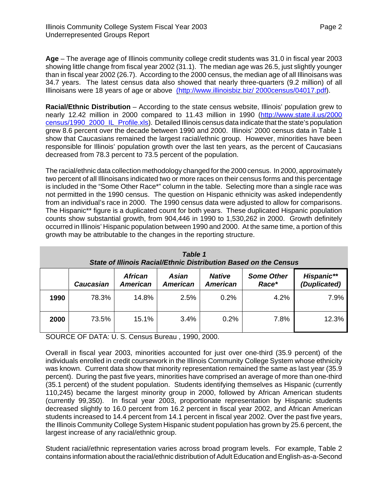**Age** – The average age of Illinois community college credit students was 31.0 in fiscal year 2003 showing little change from fiscal year 2002 (31.1). The median age was 26.5, just slightly younger than in fiscal year 2002 (26.7). According to the 2000 census, the median age of all Illinoisans was 34.7 years. The latest census data also showed that nearly three-quarters (9.2 million) of all Illinoisans were 18 years of age or above (<http://www.illinoisbiz.biz/>2000census/04017.pdf).

**Racial/Ethnic Distribution** – According to the state census website, Illinois' population grew to nearly 12.42 million in 2000 compared to 11.43 million in 1990 (<http://www.state.il.us/2000> census/1990\_2000\_IL\_Profile.xls). Detailed Illinois census data indicate that the state's population grew 8.6 percent over the decade between 1990 and 2000. Illinois' 2000 census data in Table 1 show that Caucasians remained the largest racial/ethnic group. However, minorities have been responsible for Illinois' population growth over the last ten years, as the percent of Caucasians decreased from 78.3 percent to 73.5 percent of the population.

The racial/ethnic data collection methodology changed for the 2000 census. In 2000, approximately two percent of all Illinoisans indicated two or more races on their census forms and this percentage is included in the "Some Other Race\*" column in the table. Selecting more than a single race was not permitted in the 1990 census. The question on Hispanic ethnicity was asked independently from an individual's race in 2000. The 1990 census data were adjusted to allow for comparisons. The Hispanic\*\* figure is a duplicated count for both years. These duplicated Hispanic population counts show substantial growth, from 904,446 in 1990 to 1,530,262 in 2000. Growth definitely occurred in Illinois' Hispanic population between 1990 and 2000. At the same time, a portion of this growth may be attributable to the changes in the reporting structure.

| Table 1<br>State of Illinois Racial/Ethnic Distribution Based on the Census |                  |                                   |                                 |                                  |                            |                                   |  |  |  |  |
|-----------------------------------------------------------------------------|------------------|-----------------------------------|---------------------------------|----------------------------------|----------------------------|-----------------------------------|--|--|--|--|
|                                                                             | <b>Caucasian</b> | <b>African</b><br><b>American</b> | <b>Asian</b><br><b>American</b> | <b>Native</b><br><b>American</b> | <b>Some Other</b><br>Race* | <b>Hispanic**</b><br>(Duplicated) |  |  |  |  |
| 1990                                                                        | 78.3%            | 14.8%                             | 2.5%                            | 0.2%                             | 4.2%                       | 7.9%                              |  |  |  |  |
| 2000                                                                        | 73.5%            | $15.1\%$                          | 3.4%                            | 0.2%                             | 7.8%                       | 12.3%                             |  |  |  |  |

SOURCE OF DATA: U. S. Census Bureau , 1990, 2000.

Overall in fiscal year 2003, minorities accounted for just over one-third (35.9 percent) of the individuals enrolled in credit coursework in the Illinois Community College System whose ethnicity was known. Current data show that minority representation remained the same as last year (35.9 percent). During the past five years, minorities have comprised an average of more than one-third (35.1 percent) of the student population. Students identifying themselves as Hispanic (currently 110,245) became the largest minority group in 2000, followed by African American students (currently 99,350). In fiscal year 2003, proportionate representation by Hispanic students decreased slightly to 16.0 percent from 16.2 percent in fiscal year 2002, and African American students increased to 14.4 percent from 14.1 percent in fiscal year 2002. Over the past five years, the Illinois Community College System Hispanic student population has grown by 25.6 percent, the largest increase of any racial/ethnic group.

Student racial/ethnic representation varies across broad program levels. For example, Table 2 contains information about the racial/ethnic distribution of Adult Education and English-as-a-Second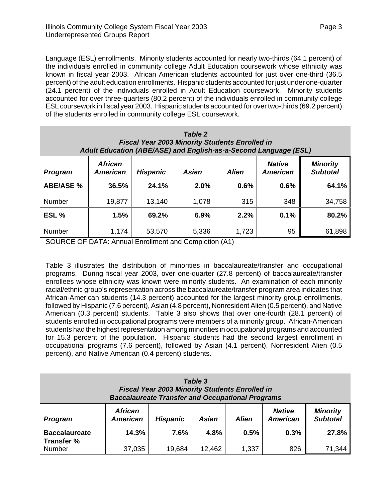Language (ESL) enrollments. Minority students accounted for nearly two-thirds (64.1 percent) of the individuals enrolled in community college Adult Education coursework whose ethnicity was known in fiscal year 2003. African American students accounted for just over one-third (36.5 percent) of the adult education enrollments. Hispanic students accounted for just under one-quarter (24.1 percent) of the individuals enrolled in Adult Education coursework. Minority students accounted for over three-quarters (80.2 percent) of the individuals enrolled in community college ESL coursework in fiscal year 2003. Hispanic students accounted for over two-thirds (69.2 percent) of the students enrolled in community college ESL coursework.

| Table 2<br><b>Fiscal Year 2003 Minority Students Enrolled in</b><br>Adult Education (ABE/ASE) and English-as-a-Second Language (ESL) |                                   |                 |              |              |                                  |                                    |  |  |  |  |
|--------------------------------------------------------------------------------------------------------------------------------------|-----------------------------------|-----------------|--------------|--------------|----------------------------------|------------------------------------|--|--|--|--|
| <b>Program</b>                                                                                                                       | <b>African</b><br><b>American</b> | <b>Hispanic</b> | <b>Asian</b> | <b>Alien</b> | <b>Native</b><br><b>American</b> | <b>Minority</b><br><b>Subtotal</b> |  |  |  |  |
| <b>ABE/ASE %</b>                                                                                                                     | 36.5%                             | 24.1%           | 2.0%         | 0.6%         | 0.6%                             | 64.1%                              |  |  |  |  |
| <b>Number</b>                                                                                                                        | 19,877                            | 13,140          | 1,078        | 315          | 348                              | 34,758                             |  |  |  |  |
| ESL %                                                                                                                                | 1.5%                              | 69.2%           | 6.9%         | 2.2%         | 0.1%                             | 80.2%                              |  |  |  |  |
| <b>Number</b>                                                                                                                        | 1,174                             | 53,570          | 5,336        | 1,723        | 95                               | 61,898                             |  |  |  |  |

SOURCE OF DATA: Annual Enrollment and Completion (A1)

Table 3 illustrates the distribution of minorities in baccalaureate/transfer and occupational programs. During fiscal year 2003, over one-quarter (27.8 percent) of baccalaureate/transfer enrollees whose ethnicity was known were minority students. An examination of each minority racial/ethnic group's representation across the baccalaureate/transfer program area indicates that African-American students (14.3 percent) accounted for the largest minority group enrollments, followed by Hispanic (7.6 percent), Asian (4.8 percent), Nonresident Alien (0.5 percent), and Native American (0.3 percent) students. Table 3 also shows that over one-fourth (28.1 percent) of students enrolled in occupational programs were members of a minority group. African-American students had the highest representation among minorities in occupational programs and accounted for 15.3 percent of the population. Hispanic students had the second largest enrollment in occupational programs (7.6 percent), followed by Asian (4.1 percent), Nonresident Alien (0.5 percent), and Native American (0.4 percent) students.

| Table 3<br><b>Fiscal Year 2003 Minority Students Enrolled in</b><br><b>Baccalaureate Transfer and Occupational Programs</b> |                                   |                   |                |               |                                  |                                    |  |  |
|-----------------------------------------------------------------------------------------------------------------------------|-----------------------------------|-------------------|----------------|---------------|----------------------------------|------------------------------------|--|--|
| <b>Program</b>                                                                                                              | <b>African</b><br><b>American</b> | <b>Hispanic</b>   | <b>Asian</b>   | <b>Alien</b>  | <b>Native</b><br><b>American</b> | <b>Minority</b><br><b>Subtotal</b> |  |  |
| <b>Baccalaureate</b><br>Transfer %<br>Number                                                                                | 14.3%<br>37,035                   | $7.6\%$<br>19,684 | 4.8%<br>12,462 | 0.5%<br>1,337 | 0.3%<br>826                      | 27.8%<br>71,344                    |  |  |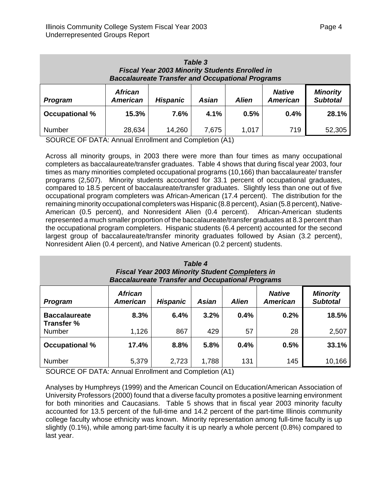| Table 3<br><b>Fiscal Year 2003 Minority Students Enrolled in</b><br><b>Baccalaureate Transfer and Occupational Programs</b> |                                   |                 |              |              |                                  |                                    |  |  |
|-----------------------------------------------------------------------------------------------------------------------------|-----------------------------------|-----------------|--------------|--------------|----------------------------------|------------------------------------|--|--|
| <b>Program</b>                                                                                                              | <b>African</b><br><b>American</b> | <b>Hispanic</b> | <b>Asian</b> | <b>Alien</b> | <b>Native</b><br><b>American</b> | <b>Minority</b><br><b>Subtotal</b> |  |  |
| <b>Occupational %</b>                                                                                                       | 15.3%                             | $7.6\%$         | 4.1%         | 0.5%         | 0.4%                             | 28.1%                              |  |  |
| Number                                                                                                                      | 28,634                            | 14,260          | 7,675        | 1,017        | 719                              | 52,305                             |  |  |

SOURCE OF DATA: Annual Enrollment and Completion (A1)

Across all minority groups, in 2003 there were more than four times as many occupational completers as baccalaureate/transfer graduates. Table 4 shows that during fiscal year 2003, four times as many minorities completed occupational programs (10,166) than baccalaureate/ transfer programs (2,507). Minority students accounted for 33.1 percent of occupational graduates, compared to 18.5 percent of baccalaureate/transfer graduates. Slightly less than one out of five occupational program completers was African-American (17.4 percent). The distribution for the remaining minority occupational completers was Hispanic (8.8 percent), Asian (5.8 percent), Native-American (0.5 percent), and Nonresident Alien (0.4 percent). African-American students represented a much smaller proportion of the baccalaureate/transfer graduates at 8.3 percent than the occupational program completers. Hispanic students (6.4 percent) accounted for the second largest group of baccalaureate/transfer minority graduates followed by Asian (3.2 percent), Nonresident Alien (0.4 percent), and Native American (0.2 percent) students.

| Table 4<br><b>Fiscal Year 2003 Minority Student Completers in</b><br><b>Baccalaureate Transfer and Occupational Programs</b> |                                   |                 |       |              |                                  |                                    |  |  |
|------------------------------------------------------------------------------------------------------------------------------|-----------------------------------|-----------------|-------|--------------|----------------------------------|------------------------------------|--|--|
| <b>Program</b>                                                                                                               | <b>African</b><br><b>American</b> | <b>Hispanic</b> | Asian | <b>Alien</b> | <b>Native</b><br><b>American</b> | <b>Minority</b><br><b>Subtotal</b> |  |  |
| <b>Baccalaureate</b><br>Transfer %                                                                                           | 8.3%                              | 6.4%            | 3.2%  | 0.4%         | 0.2%                             | 18.5%                              |  |  |
| <b>Number</b>                                                                                                                | 1,126                             | 867             | 429   | 57           | 28                               | 2,507                              |  |  |
| <b>Occupational %</b>                                                                                                        | 17.4%                             | 8.8%            | 5.8%  | 0.4%         | 0.5%                             | 33.1%                              |  |  |
| Number                                                                                                                       | 5,379                             | 2,723           | 1,788 | 131          | 145                              | 10,166                             |  |  |

SOURCE OF DATA: Annual Enrollment and Completion (A1)

Analyses by Humphreys (1999) and the American Council on Education/American Association of University Professors (2000) found that a diverse faculty promotes a positive learning environment for both minorities and Caucasians. Table 5 shows that in fiscal year 2003 minority faculty accounted for 13.5 percent of the full-time and 14.2 percent of the part-time Illinois community college faculty whose ethnicity was known. Minority representation among full-time faculty is up slightly (0.1%), while among part-time faculty it is up nearly a whole percent (0.8%) compared to last year.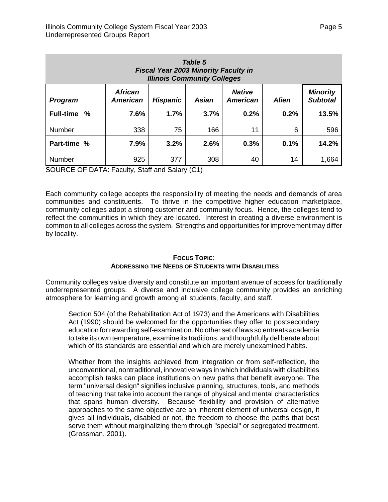<span id="page-7-0"></span>

| Table 5<br><b>Fiscal Year 2003 Minority Faculty in</b><br><b>Illinois Community Colleges</b>                                                                              |      |      |      |      |      |       |  |  |  |
|---------------------------------------------------------------------------------------------------------------------------------------------------------------------------|------|------|------|------|------|-------|--|--|--|
| <b>Minority</b><br><b>African</b><br><b>Native</b><br><b>Subtotal</b><br><b>American</b><br><b>Alien</b><br><b>American</b><br><b>Hispanic</b><br>Asian<br><b>Program</b> |      |      |      |      |      |       |  |  |  |
| <b>Full-time</b><br>%                                                                                                                                                     | 7.6% | 1.7% | 3.7% | 0.2% | 0.2% | 13.5% |  |  |  |
| <b>Number</b>                                                                                                                                                             | 338  | 75   | 166  | 11   | 6    | 596   |  |  |  |
| Part-time %                                                                                                                                                               | 7.9% | 3.2% | 2.6% | 0.3% | 0.1% | 14.2% |  |  |  |
| <b>Number</b>                                                                                                                                                             | 925  | 377  | 308  | 40   | 14   | 1,664 |  |  |  |

SOURCE OF DATA: Faculty, Staff and Salary (C1)

Each community college accepts the responsibility of meeting the needs and demands of area communities and constituents. To thrive in the competitive higher education marketplace, community colleges adopt a strong customer and community focus. Hence, the colleges tend to reflect the communities in which they are located. Interest in creating a diverse environment is common to all colleges across the system. Strengths and opportunities for improvement may differ by locality.

## **FOCUS TOPIC**: **ADDRESSING THE NEEDS OF STUDENTS WITH DISABILITIES**

Community colleges value diversity and constitute an important avenue of access for traditionally underrepresented groups. A diverse and inclusive college community provides an enriching atmosphere for learning and growth among all students, faculty, and staff.

Section 504 (of the Rehabilitation Act of 1973) and the Americans with Disabilities Act (1990) should be welcomed for the opportunities they offer to postsecondary education for rewarding self-examination. No other set of laws so entreats academia to take its own temperature, examine its traditions, and thoughtfully deliberate about which of its standards are essential and which are merely unexamined habits.

Whether from the insights achieved from integration or from self-reflection, the unconventional, nontraditional, innovative ways in which individuals with disabilities accomplish tasks can place institutions on new paths that benefit everyone. The term "universal design" signifies inclusive planning, structures, tools, and methods of teaching that take into account the range of physical and mental characteristics that spans human diversity. Because flexibility and provision of alternative approaches to the same objective are an inherent element of universal design, it gives all individuals, disabled or not, the freedom to choose the paths that best serve them without marginalizing them through "special" or segregated treatment. (Grossman, 2001).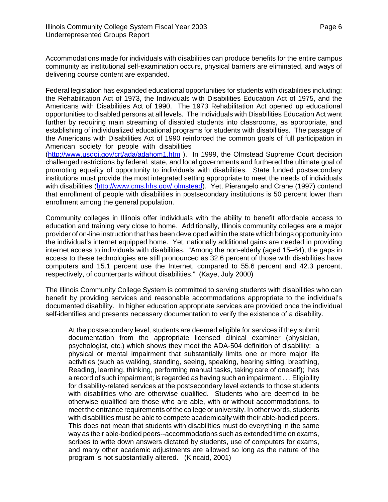<span id="page-8-0"></span>Accommodations made for individuals with disabilities can produce benefits for the entire campus community as institutional self-examination occurs, physical barriers are eliminated, and ways of delivering course content are expanded.

Federal legislation has expanded educational opportunities for students with disabilities including: the Rehabilitation Act of 1973, the Individuals with Disabilities Education Act of 1975, and the Americans with Disabilities Act of 1990. The 1973 Rehabilitation Act opened up educational opportunities to disabled persons at all levels. The Individuals with Disabilities Education Act went further by requiring main streaming of disabled students into classrooms, as appropriate, and establishing of individualized educational programs for students with disabilities. The passage of the Americans with Disabilities Act of 1990 reinforced the common goals of full participation in American society for people with disabilities

(<http://www.usdoj.gov/crt/ada/adahom1.htm>). In 1999, the Olmstead Supreme Court decision challenged restrictions by federal, state, and local governments and furthered the ultimate goal of promoting equality of opportunity to individuals with disabilities. State funded postsecondary institutions must provide the most integrated setting appropriate to meet the needs of individuals with disabilities [\(http://www.cms.hhs.gov/](http://www.cms.hhs.gov/) olmstead). Yet, Pierangelo and Crane (1997) contend that enrollment of people with disabilities in postsecondary institutions is 50 percent lower than enrollment among the general population.

Community colleges in Illinois offer individuals with the ability to benefit affordable access to education and training very close to home. Additionally, Illinois community colleges are a major provider of on-line instruction that has been developed within the state which brings opportunity into the individual's internet equipped home. Yet, nationally additional gains are needed in providing internet access to individuals with disabilities. "Among the non-elderly (aged 15–64), the gaps in access to these technologies are still pronounced as 32.6 percent of those with disabilities have computers and 15.1 percent use the Internet, compared to 55.6 percent and 42.3 percent, respectively, of counterparts without disabilities." (Kaye, July 2000)

The Illinois Community College System is committed to serving students with disabilities who can benefit by providing services and reasonable accommodations appropriate to the individual's documented disability. In higher education appropriate services are provided once the individual self-identifies and presents necessary documentation to verify the existence of a disability.

At the postsecondary level, students are deemed eligible for services if they submit documentation from the appropriate licensed clinical examiner (physician, psychologist, etc.) which shows they meet the ADA-504 definition of disability: a physical or mental impairment that substantially limits one or more major life activities (such as walking, standing, seeing, speaking, hearing sitting, breathing, Reading, learning, thinking, performing manual tasks, taking care of oneself); has a record of such impairment; is regarded as having such an impairment . . . Eligibility for disability-related services at the postsecondary level extends to those students with disabilities who are otherwise qualified. Students who are deemed to be otherwise qualified are those who are able, with or without accommodations, to meet the entrance requirements of the college or university. In other words, students with disabilities must be able to compete academically with their able-bodied peers. This does not mean that students with disabilities must do everything in the same way as their able-bodied peers--accommodations such as extended time on exams, scribes to write down answers dictated by students, use of computers for exams, and many other academic adjustments are allowed so long as the nature of the program is not substantially altered. (Kincaid, 2001)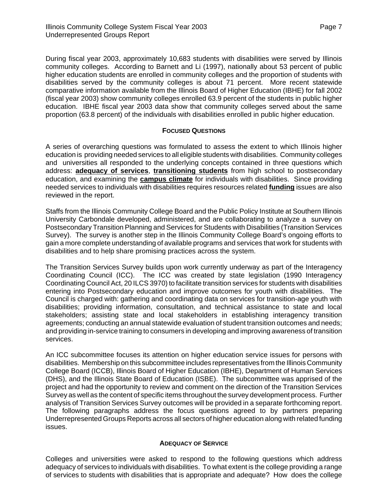<span id="page-9-0"></span>During fiscal year 2003, approximately 10,683 students with disabilities were served by Illinois community colleges. According to Barnett and Li (1997), nationally about 53 percent of public higher education students are enrolled in community colleges and the proportion of students with disabilities served by the community colleges is about 71 percent. More recent statewide comparative information available from the Illinois Board of Higher Education (IBHE) for fall 2002 (fiscal year 2003) show community colleges enrolled 63.9 percent of the students in public higher education. IBHE fiscal year 2003 data show that community colleges served about the same proportion (63.8 percent) of the individuals with disabilities enrolled in public higher education.

## **FOCUSED QUESTIONS**

A series of overarching questions was formulated to assess the extent to which Illinois higher education is providing needed services to all eligible students with disabilities. Community colleges and universities all responded to the underlying concepts contained in three questions which address: **adequacy of services**, **transitioning students** from high school to postsecondary education, and examining the **campus climate** for individuals with disabilities. Since providing needed services to individuals with disabilities requires resources related **funding** issues are also reviewed in the report.

Staffs from the Illinois Community College Board and the Public Policy Institute at Southern Illinois University Carbondale developed, administered, and are collaborating to analyze a survey on Postsecondary Transition Planning and Services for Students with Disabilities (Transition Services Survey). The survey is another step in the Illinois Community College Board's ongoing efforts to gain a more complete understanding of available programs and services that work for students with disabilities and to help share promising practices across the system.

The Transition Services Survey builds upon work currently underway as part of the Interagency Coordinating Council (ICC). The ICC was created by state legislation (1990 Interagency Coordinating Council Act, 20 ILCS 3970) to facilitate transition services for students with disabilities entering into Postsecondary education and improve outcomes for youth with disabilities. The Council is charged with: gathering and coordinating data on services for transition-age youth with disabilities; providing information, consultation, and technical assistance to state and local stakeholders; assisting state and local stakeholders in establishing interagency transition agreements; conducting an annual statewide evaluation of student transition outcomes and needs; and providing in-service training to consumers in developing and improving awareness of transition services.

An ICC subcommittee focuses its attention on higher education service issues for persons with disabilities. Membership on this subcommittee includes representatives from the Illinois Community College Board (ICCB), Illinois Board of Higher Education (IBHE), Department of Human Services (DHS), and the Illinois State Board of Education (ISBE). The subcommittee was apprised of the project and had the opportunity to review and comment on the direction of the Transition Services Survey as well as the content of specific items throughout the survey development process. Further analysis of Transition Services Survey outcomes will be provided in a separate forthcoming report. The following paragraphs address the focus questions agreed to by partners preparing Underrepresented Groups Reports across all sectors of higher education along with related funding issues.

## **ADEQUACY OF SERVICE**

Colleges and universities were asked to respond to the following questions which address adequacy of services to individuals with disabilities. To what extent is the college providing a range of services to students with disabilities that is appropriate and adequate? How does the college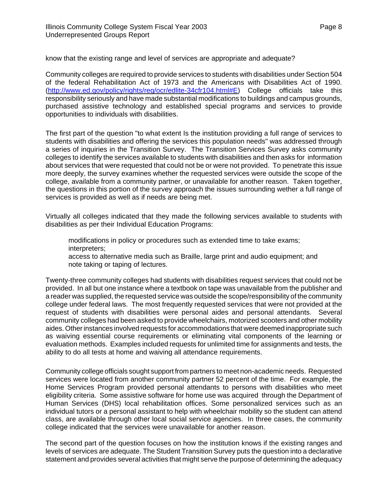<span id="page-10-0"></span>know that the existing range and level of services are appropriate and adequate?

Community colleges are required to provide services to students with disabilities under Section 504 of the federal Rehabilitation Act of 1973 and the Americans with Disabilities Act of 1990. ([http://www.ed.gov/policy/rights/reg/ocr/edlite-34cfr104.html#E\)](http://www.ed.gov/policy/rights/reg/ocr/edlite-34cfr104.html#E) College officials take this responsibility seriously and have made substantial modifications to buildings and campus grounds, purchased assistive technology and established special programs and services to provide opportunities to individuals with disabilities.

The first part of the question "to what extent Is the institution providing a full range of services to students with disabilities and offering the services this population needs" was addressed through a series of inquiries in the Transition Survey. The Transition Services Survey asks community colleges to identify the services available to students with disabilities and then asks for information about services that were requested that could not be or were not provided. To penetrate this issue more deeply, the survey examines whether the requested services were outside the scope of the college, available from a community partner, or unavailable for another reason. Taken together, the questions in this portion of the survey approach the issues surrounding wether a full range of services is provided as well as if needs are being met.

Virtually all colleges indicated that they made the following services available to students with disabilities as per their Individual Education Programs:

modifications in policy or procedures such as extended time to take exams; interpreters;

access to alternative media such as Braille, large print and audio equipment; and note taking or taping of lectures.

Twenty-three community colleges had students with disabilities request services that could not be provided. In all but one instance where a textbook on tape was unavailable from the publisher and a reader was supplied, the requested service was outside the scope/responsibility of the community college under federal laws. The most frequently requested services that were not provided at the request of students with disabilities were personal aides and personal attendants. Several community colleges had been asked to provide wheelchairs, motorized scooters and other mobility aides. Other instances involved requests for accommodations that were deemed inappropriate such as waiving essential course requirements or eliminating vital components of the learning or evaluation methods. Examples included requests for unlimited time for assignments and tests, the ability to do all tests at home and waiving all attendance requirements.

Community college officials sought support from partners to meet non-academic needs. Requested services were located from another community partner 52 percent of the time. For example, the Home Services Program provided personal attendants to persons with disabilities who meet eligibility criteria. Some assistive software for home use was acquired through the Department of Human Services (DHS) local rehabilitation offices. Some personalized services such as an individual tutors or a personal assistant to help with wheelchair mobility so the student can attend class, are available through other local social service agencies. In three cases, the community college indicated that the services were unavailable for another reason.

The second part of the question focuses on how the institution knows if the existing ranges and levels of services are adequate. The Student Transition Survey puts the question into a declarative statement and provides several activities that might serve the purpose of determining the adequacy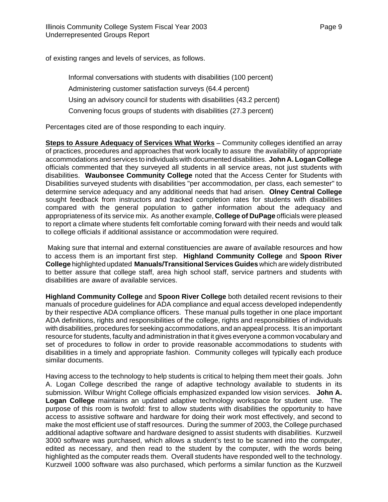of existing ranges and levels of services, as follows.

Informal conversations with students with disabilities (100 percent) Administering customer satisfaction surveys (64.4 percent) Using an advisory council for students with disabilities (43.2 percent) Convening focus groups of students with disabilities (27.3 percent)

Percentages cited are of those responding to each inquiry.

**Steps to Assure Adequacy of Services What Works** – Community colleges identified an array of practices, procedures and approaches that work locally to assure the availability of appropriate accommodations and services to individuals with documented disabilities. **John A. Logan College** officials commented that they surveyed all students in all service areas, not just students with disabilities. **Waubonsee Community College** noted that the Access Center for Students with Disabilities surveyed students with disabilities "per accommodation, per class, each semester" to determine service adequacy and any additional needs that had arisen. **Olney Central College** sought feedback from instructors and tracked completion rates for students with disabilities compared with the general population to gather information about the adequacy and appropriateness of its service mix. As another example, **College of DuPage** officials were pleased to report a climate where students felt comfortable coming forward with their needs and would talk to college officials if additional assistance or accommodation were required.

 Making sure that internal and external constituencies are aware of available resources and how to access them is an important first step. **Highland Community College** and **Spoon River College** highlighted updated **Manuals/Transitional Services Guides** which are widely distributed to better assure that college staff, area high school staff, service partners and students with disabilities are aware of available services.

**Highland Community College** and **Spoon River College** both detailed recent revisions to their manuals of procedure guidelines for ADA compliance and equal access developed independently by their respective ADA compliance officers. These manual pulls together in one place important ADA definitions, rights and responsibilities of the college, rights and responsibilities of individuals with disabilities, procedures for seeking accommodations, and an appeal process. It is an important resource for students, faculty and administration in that it gives everyone a common vocabulary and set of procedures to follow in order to provide reasonable accommodations to students with disabilities in a timely and appropriate fashion. Community colleges will typically each produce similar documents.

Having access to the technology to help students is critical to helping them meet their goals. John A. Logan College described the range of adaptive technology available to students in its submission. Wilbur Wright College officials emphasized expanded low vision services. **John A. Logan College** maintains an updated adaptive technology workspace for student use. The purpose of this room is twofold: first to allow students with disabilities the opportunity to have access to assistive software and hardware for doing their work most effectively, and second to make the most efficient use of staff resources. During the summer of 2003, the College purchased additional adaptive software and hardware designed to assist students with disabilities. Kurzweil 3000 software was purchased, which allows a student's test to be scanned into the computer, edited as necessary, and then read to the student by the computer, with the words being highlighted as the computer reads them. Overall students have responded well to the technology. Kurzweil 1000 software was also purchased, which performs a similar function as the Kurzweil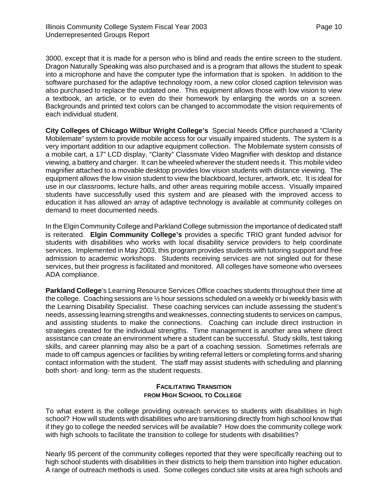<span id="page-12-0"></span>3000, except that it is made for a person who is blind and reads the entire screen to the student. Dragon Naturally Speaking was also purchased and is a program that allows the student to speak into a microphone and have the computer type the information that is spoken. In addition to the software purchased for the adaptive technology room, a new color closed caption television was also purchased to replace the outdated one. This equipment allows those with low vision to view a textbook, an article, or to even do their homework by enlarging the words on a screen. Backgrounds and printed text colors can be changed to accommodate the vision requirements of each individual student.

**City Colleges of Chicago Wilbur Wright College's** Special Needs Office purchased a "Clarity Mobilemate" system to provide mobile access for our visually impaired students. The system is a very important addition to our adaptive equipment collection. The Mobilemate system consists of a mobile cart, a 17" LCD display, "Clarity" Classmate Video Magnifier with desktop and distance viewing, a battery and charger. It can be wheeled wherever the student needs it. This mobile video magnifier attached to a movable desktop provides low vision students with distance viewing. The equipment allows the low vision student to view the blackboard, lecturer, artwork, etc. It is ideal for use in our classrooms, lecture halls, and other areas requiring mobile access. Visually impaired students have successfully used this system and are pleased with the improved access to education it has allowed an array of adaptive technology is available at community colleges on demand to meet documented needs.

In the Elgin Community College and Parkland College submission the importance of dedicated staff is reiterated. **Elgin Community College's** provides a specific TRIO grant funded advisor for students with disabilities who works with local disability service providers to help coordinate services. Implemented in May 2003, this program provides students with tutoring support and free admission to academic workshops. Students receiving services are not singled out for these services, but their progress is facilitated and monitored. All colleges have someone who oversees ADA compliance.

**Parkland College**'s Learning Resource Services Office coaches students throughout their time at the college. Coaching sessions are ½ hour sessions scheduled on a weekly or bi weekly basis with the Learning Disability Specialist. These coaching services can include assessing the student's needs, assessing learning strengths and weaknesses, connecting students to services on campus, and assisting students to make the connections. Coaching can include direct instruction in strategies created for the individual strengths. Time management is another area where direct assistance can create an environment where a student can be successful. Study skills, test taking skills, and career planning may also be a part of a coaching session. Sometimes referrals are made to off campus agencies or facilities by writing referral letters or completing forms and sharing contact information with the student. The staff may assist students with scheduling and planning both short- and long- term as the student requests.

## **FACILITATING TRANSITION FROM HIGH SCHOOL TO COLLEGE**

To what extent is the college providing outreach services to students with disabilities in high school? How will students with disabilities who are transitioning directly from high school know that if they go to college the needed services will be available? How does the community college work with high schools to facilitate the transition to college for students with disabilities?

Nearly 95 percent of the community colleges reported that they were specifically reaching out to high school students with disabilities in their districts to help them transition into higher education. A range of outreach methods is used. Some colleges conduct site visits at area high schools and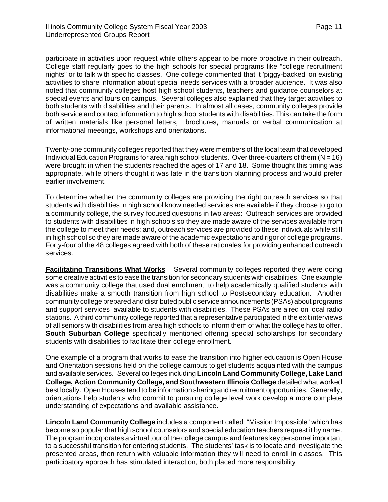<span id="page-13-0"></span>participate in activities upon request while others appear to be more proactive in their outreach. College staff regularly goes to the high schools for special programs like "college recruitment nights" or to talk with specific classes. One college commented that it 'piggy-backed' on existing activities to share information about special needs services with a broader audience. It was also noted that community colleges host high school students, teachers and guidance counselors at special events and tours on campus. Several colleges also explained that they target activities to both students with disabilities and their parents. In almost all cases, community colleges provide both service and contact information to high school students with disabilities. This can take the form of written materials like personal letters, brochures, manuals or verbal communication at informational meetings, workshops and orientations.

Twenty-one community colleges reported that they were members of the local team that developed Individual Education Programs for area high school students. Over three-quarters of them  $(N = 16)$ were brought in when the students reached the ages of 17 and 18. Some thought this timing was appropriate, while others thought it was late in the transition planning process and would prefer earlier involvement.

To determine whether the community colleges are providing the right outreach services so that students with disabilities in high school know needed services are available if they choose to go to a community college, the survey focused questions in two areas: Outreach services are provided to students with disabilities in high schools so they are made aware of the services available from the college to meet their needs; and, outreach services are provided to these individuals while still in high school so they are made aware of the academic expectations and rigor of college programs. Forty-four of the 48 colleges agreed with both of these rationales for providing enhanced outreach services.

**Facilitating Transitions What Works** – Several community colleges reported they were doing some creative activities to ease the transition for secondary students with disabilities. One example was a community college that used dual enrollment to help academically qualified students with disabilities make a smooth transition from high school to Postsecondary education. Another community college prepared and distributed public service announcements (PSAs) about programs and support services available to students with disabilities. These PSAs are aired on local radio stations. A third community college reported that a representative participated in the exit interviews of all seniors with disabilities from area high schools to inform them of what the college has to offer. **South Suburban College** specifically mentioned offering special scholarships for secondary students with disabilities to facilitate their college enrollment.

One example of a program that works to ease the transition into higher education is Open House and Orientation sessions held on the college campus to get students acquainted with the campus and available services. Several colleges including **Lincoln Land Community College, Lake Land College, Action Community College, and Southwestern Illinois College** detailed what worked best locally. Open Houses tend to be information sharing and recruitment opportunities. Generally, orientations help students who commit to pursuing college level work develop a more complete understanding of expectations and available assistance.

**Lincoln Land Community College** includes a component called "Mission Impossible" which has become so popular that high school counselors and special education teachers request it by name. The program incorporates a virtual tour of the college campus and features key personnel important to a successful transition for entering students. The students' task is to locate and investigate the presented areas, then return with valuable information they will need to enroll in classes. This participatory approach has stimulated interaction, both placed more responsibility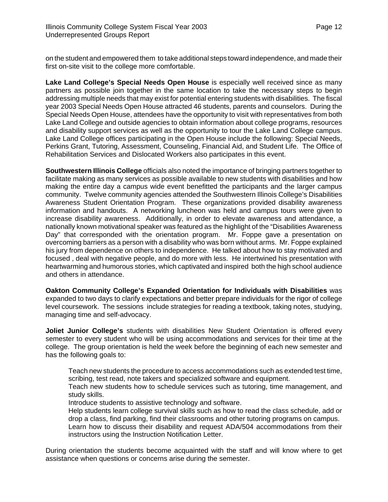on the student and empowered them to take additional steps toward independence, and made their first on-site visit to the college more comfortable.

**Lake Land College's Special Needs Open House** is especially well received since as many partners as possible join together in the same location to take the necessary steps to begin addressing multiple needs that may exist for potential entering students with disabilities. The fiscal year 2003 Special Needs Open House attracted 46 students, parents and counselors. During the Special Needs Open House, attendees have the opportunity to visit with representatives from both Lake Land College and outside agencies to obtain information about college programs, resources and disability support services as well as the opportunity to tour the Lake Land College campus. Lake Land College offices participating in the Open House include the following: Special Needs, Perkins Grant, Tutoring, Assessment, Counseling, Financial Aid, and Student Life. The Office of Rehabilitation Services and Dislocated Workers also participates in this event.

**Southwestern Illinois College** officials also noted the importance of bringing partners together to facilitate making as many services as possible available to new students with disabilities and how making the entire day a campus wide event benefitted the participants and the larger campus community. Twelve community agencies attended the Southwestern Illinois College's Disabilities Awareness Student Orientation Program. These organizations provided disability awareness information and handouts. A networking luncheon was held and campus tours were given to increase disability awareness. Additionally, in order to elevate awareness and attendance, a nationally known motivational speaker was featured as the highlight of the "Disabilities Awareness Day" that corresponded with the orientation program. Mr. Foppe gave a presentation on overcoming barriers as a person with a disability who was born without arms. Mr. Foppe explained his jury from dependence on others to independence. He talked about how to stay motivated and focused , deal with negative people, and do more with less. He intertwined his presentation with heartwarming and humorous stories, which captivated and inspired both the high school audience and others in attendance.

**Oakton Community College's Expanded Orientation for Individuals with Disabilities** was expanded to two days to clarify expectations and better prepare individuals for the rigor of college level coursework. The sessions include strategies for reading a textbook, taking notes, studying, managing time and self-advocacy.

**Joliet Junior College's** students with disabilities New Student Orientation is offered every semester to every student who will be using accommodations and services for their time at the college. The group orientation is held the week before the beginning of each new semester and has the following goals to:

Teach new students the procedure to access accommodations such as extended test time, scribing, test read, note takers and specialized software and equipment.

Teach new students how to schedule services such as tutoring, time management, and study skills.

Introduce students to assistive technology and software.

Help students learn college survival skills such as how to read the class schedule, add or drop a class, find parking, find their classrooms and other tutoring programs on campus.

Learn how to discuss their disability and request ADA/504 accommodations from their instructors using the Instruction Notification Letter.

During orientation the students become acquainted with the staff and will know where to get assistance when questions or concerns arise during the semester.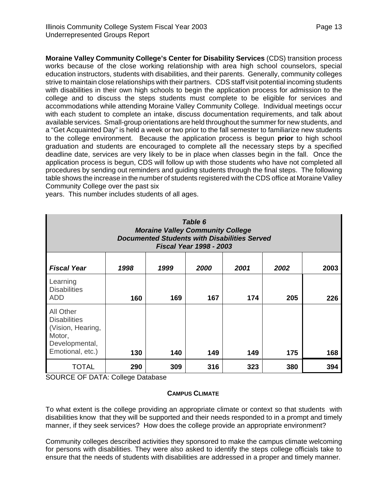<span id="page-15-0"></span>**Moraine Valley Community College's Center for Disability Services** (CDS) transition process works because of the close working relationship with area high school counselors, special education instructors, students with disabilities, and their parents. Generally, community colleges strive to maintain close relationships with their partners. CDS staff visit potential incoming students with disabilities in their own high schools to begin the application process for admission to the college and to discuss the steps students must complete to be eligible for services and accommodations while attending Moraine Valley Community College. Individual meetings occur with each student to complete an intake, discuss documentation requirements, and talk about available services. Small-group orientations are held throughout the summer for new students, and a "Get Acquainted Day" is held a week or two prior to the fall semester to familiarize new students to the college environment. Because the application process is begun **prior** to high school graduation and students are encouraged to complete all the necessary steps by a specified deadline date, services are very likely to be in place when classes begin in the fall. Once the application process is begun, CDS will follow up with those students who have not completed all procedures by sending out reminders and guiding students through the final steps. The following table shows the increase in the number of students registered with the CDS office at Moraine Valley Community College over the past six

| Table 6<br><b>Moraine Valley Community College</b><br><b>Documented Students with Disabilities Served</b><br><b>Fiscal Year 1998 - 2003</b> |      |      |      |      |      |      |  |  |  |
|---------------------------------------------------------------------------------------------------------------------------------------------|------|------|------|------|------|------|--|--|--|
| <b>Fiscal Year</b>                                                                                                                          | 1998 | 1999 | 2000 | 2001 | 2002 | 2003 |  |  |  |
| Learning<br><b>Disabilities</b><br><b>ADD</b>                                                                                               | 160  | 169  | 167  | 174  | 205  | 226  |  |  |  |
| All Other<br><b>Disabilities</b><br>(Vision, Hearing,<br>Motor,<br>Developmental,<br>Emotional, etc.)                                       | 130  | 140  | 149  | 149  | 175  | 168  |  |  |  |
| <b>TOTAL</b><br>$\sim$ $\sim$ $\sim$<br><b></b>                                                                                             | 290  | 309  | 316  | 323  | 380  | 394  |  |  |  |

years. This number includes students of all ages.

SOURCE OF DATA: College Database

## **CAMPUS CLIMATE**

To what extent is the college providing an appropriate climate or context so that students with disabilities know that they will be supported and their needs responded to in a prompt and timely manner, if they seek services? How does the college provide an appropriate environment?

Community colleges described activities they sponsored to make the campus climate welcoming for persons with disabilities. They were also asked to identify the steps college officials take to ensure that the needs of students with disabilities are addressed in a proper and timely manner.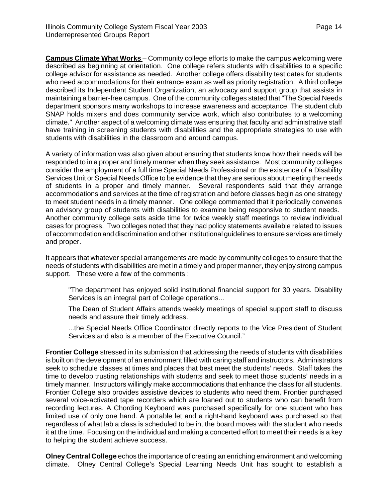<span id="page-16-0"></span>**Campus Climate What Works** – Community college efforts to make the campus welcoming were described as beginning at orientation. One college refers students with disabilities to a specific college advisor for assistance as needed. Another college offers disability test dates for students who need accommodations for their entrance exam as well as priority registration. A third college described its Independent Student Organization, an advocacy and support group that assists in maintaining a barrier-free campus. One of the community colleges stated that "The Special Needs department sponsors many workshops to increase awareness and acceptance. The student club SNAP holds mixers and does community service work, which also contributes to a welcoming climate." Another aspect of a welcoming climate was ensuring that faculty and administrative staff have training in screening students with disabilities and the appropriate strategies to use with students with disabilities in the classroom and around campus.

A variety of information was also given about ensuring that students know how their needs will be responded to in a proper and timely manner when they seek assistance. Most community colleges consider the employment of a full time Special Needs Professional or the existence of a Disability Services Unit or Special Needs Office to be evidence that they are serious about meeting the needs of students in a proper and timely manner. Several respondents said that they arrange accommodations and services at the time of registration and before classes begin as one strategy to meet student needs in a timely manner. One college commented that it periodically convenes an advisory group of students with disabilities to examine being responsive to student needs. Another community college sets aside time for twice weekly staff meetings to review individual cases for progress. Two colleges noted that they had policy statements available related to issues of accommodation and discrimination and other institutional guidelines to ensure services are timely and proper.

It appears that whatever special arrangements are made by community colleges to ensure that the needs of students with disabilities are met in a timely and proper manner, they enjoy strong campus support. These were a few of the comments :

"The department has enjoyed solid institutional financial support for 30 years. Disability Services is an integral part of College operations...

The Dean of Student Affairs attends weekly meetings of special support staff to discuss needs and assure their timely address.

...the Special Needs Office Coordinator directly reports to the Vice President of Student Services and also is a member of the Executive Council."

**Frontier College** stressed in its submission that addressing the needs of students with disabilities is built on the development of an environment filled with caring staff and instructors. Administrators seek to schedule classes at times and places that best meet the students' needs. Staff takes the time to develop trusting relationships with students and seek to meet those students' needs in a timely manner. Instructors willingly make accommodations that enhance the class for all students. Frontier College also provides assistive devices to students who need them. Frontier purchased several voice-activated tape recorders which are loaned out to students who can benefit from recording lectures. A Chording Keyboard was purchased specifically for one student who has limited use of only one hand. A portable let and a right-hand keyboard was purchased so that regardless of what lab a class is scheduled to be in, the board moves with the student who needs it at the time. Focusing on the individual and making a concerted effort to meet their needs is a key to helping the student achieve success.

**Olney Central College** echos the importance of creating an enriching environment and welcoming climate. Olney Central College's Special Learning Needs Unit has sought to establish a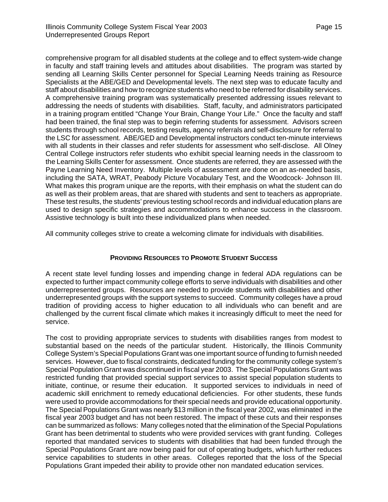<span id="page-17-0"></span>comprehensive program for all disabled students at the college and to effect system-wide change in faculty and staff training levels and attitudes about disabilities. The program was started by sending all Learning Skills Center personnel for Special Learning Needs training as Resource Specialists at the ABE/GED and Developmental levels. The next step was to educate faculty and staff about disabilities and how to recognize students who need to be referred for disability services. A comprehensive training program was systematically presented addressing issues relevant to addressing the needs of students with disabilities. Staff, faculty, and administrators participated in a training program entitled "Change Your Brain, Change Your Life." Once the faculty and staff had been trained, the final step was to begin referring students for assessment. Advisors screen students through school records, testing results, agency referrals and self-disclosure for referral to the LSC for assessment. ABE/GED and Developmental instructors conduct ten-minute interviews with all students in their classes and refer students for assessment who self-disclose. All Olney Central College instructors refer students who exhibit special learning needs in the classroom to the Learning Skills Center for assessment. Once students are referred, they are assessed with the Payne Learning Need Inventory. Multiple levels of assessment are done on an as-needed basis, including the SATA, WRAT, Peabody Picture Vocabulary Test, and the Woodcock- Johnson III. What makes this program unique are the reports, with their emphasis on what the student can do as well as their problem areas, that are shared with students and sent to teachers as appropriate. These test results, the students' previous testing school records and individual education plans are used to design specific strategies and accommodations to enhance success in the classroom. Assistive technology is built into these individualized plans when needed.

All community colleges strive to create a welcoming climate for individuals with disabilities.

## **PROVIDING RESOURCES TO PROMOTE STUDENT SUCCESS**

A recent state level funding losses and impending change in federal ADA regulations can be expected to further impact community college efforts to serve individuals with disabilities and other underrepresented groups. Resources are needed to provide students with disabilities and other underrepresented groups with the support systems to succeed. Community colleges have a proud tradition of providing access to higher education to all individuals who can benefit and are challenged by the current fiscal climate which makes it increasingly difficult to meet the need for service.

The cost to providing appropriate services to students with disabilities ranges from modest to substantial based on the needs of the particular student. Historically, the Illinois Community College System's Special Populations Grant was one important source of funding to furnish needed services. However, due to fiscal constraints, dedicated funding for the community college system's Special Population Grant was discontinued in fiscal year 2003. The Special Populations Grant was restricted funding that provided special support services to assist special population students to initiate, continue, or resume their education. It supported services to individuals in need of academic skill enrichment to remedy educational deficiencies. For other students, these funds were used to provide accommodations for their special needs and provide educational opportunity. The Special Populations Grant was nearly \$13 million in the fiscal year 2002, was eliminated in the fiscal year 2003 budget and has not been restored. The impact of these cuts and their responses can be summarized as follows: Many colleges noted that the elimination of the Special Populations Grant has been detrimental to students who were provided services with grant funding. Colleges reported that mandated services to students with disabilities that had been funded through the Special Populations Grant are now being paid for out of operating budgets, which further reduces service capabilities to students in other areas. Colleges reported that the loss of the Special Populations Grant impeded their ability to provide other non mandated education services.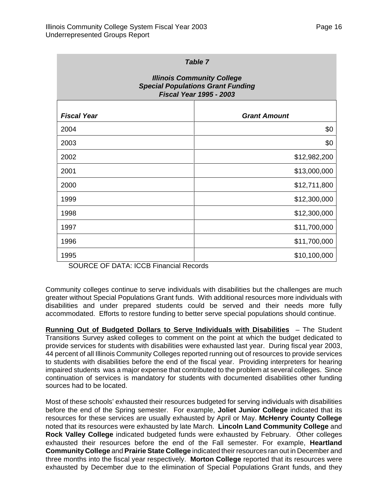<span id="page-18-0"></span>

| <b>Table 7</b>                                                                                                  |                     |  |  |  |  |  |  |
|-----------------------------------------------------------------------------------------------------------------|---------------------|--|--|--|--|--|--|
| <b>Illinois Community College</b><br><b>Special Populations Grant Funding</b><br><b>Fiscal Year 1995 - 2003</b> |                     |  |  |  |  |  |  |
| <b>Fiscal Year</b>                                                                                              | <b>Grant Amount</b> |  |  |  |  |  |  |
| 2004                                                                                                            | \$0                 |  |  |  |  |  |  |
| 2003                                                                                                            | \$0                 |  |  |  |  |  |  |
| 2002                                                                                                            | \$12,982,200        |  |  |  |  |  |  |
| 2001                                                                                                            | \$13,000,000        |  |  |  |  |  |  |
| 2000                                                                                                            | \$12,711,800        |  |  |  |  |  |  |
| 1999                                                                                                            | \$12,300,000        |  |  |  |  |  |  |
| 1998                                                                                                            | \$12,300,000        |  |  |  |  |  |  |
| 1997                                                                                                            | \$11,700,000        |  |  |  |  |  |  |
| 1996                                                                                                            | \$11,700,000        |  |  |  |  |  |  |
| 1995                                                                                                            | \$10,100,000        |  |  |  |  |  |  |

SOURCE OF DATA: ICCB Financial Records

Community colleges continue to serve individuals with disabilities but the challenges are much greater without Special Populations Grant funds. With additional resources more individuals with disabilities and under prepared students could be served and their needs more fully accommodated. Efforts to restore funding to better serve special populations should continue.

**Running Out of Budgeted Dollars to Serve Individuals with Disabilities** – The Student Transitions Survey asked colleges to comment on the point at which the budget dedicated to provide services for students with disabilities were exhausted last year. During fiscal year 2003, 44 percent of all Illinois Community Colleges reported running out of resources to provide services to students with disabilities before the end of the fiscal year. Providing interpreters for hearing impaired students was a major expense that contributed to the problem at several colleges. Since continuation of services is mandatory for students with documented disabilities other funding sources had to be located.

Most of these schools' exhausted their resources budgeted for serving individuals with disabilities before the end of the Spring semester. For example, **Joliet Junior College** indicated that its resources for these services are usually exhausted by April or May. **McHenry County College** noted that its resources were exhausted by late March. **Lincoln Land Community College** and **Rock Valley College** indicated budgeted funds were exhausted by February. Other colleges exhausted their resources before the end of the Fall semester. For example, **Heartland Community College** and **Prairie State College** indicated their resources ran out in December and three months into the fiscal year respectively. **Morton College** reported that its resources were exhausted by December due to the elimination of Special Populations Grant funds, and they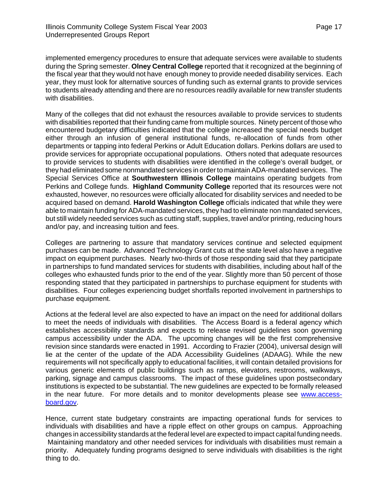implemented emergency procedures to ensure that adequate services were available to students during the Spring semester. **Olney Central College** reported that it recognized at the beginning of the fiscal year that they would not have enough money to provide needed disability services. Each year, they must look for alternative sources of funding such as external grants to provide services to students already attending and there are no resources readily available for new transfer students with disabilities.

Many of the colleges that did not exhaust the resources available to provide services to students with disabilities reported that their funding came from multiple sources. Ninety percent of those who encountered budgetary difficulties indicated that the college increased the special needs budget either through an infusion of general institutional funds, re-allocation of funds from other departments or tapping into federal Perkins or Adult Education dollars. Perkins dollars are used to provide services for appropriate occupational populations. Others noted that adequate resources to provide services to students with disabilities were identified in the college's overall budget, or they had eliminated some nonmandated services in order to maintain ADA-mandated services. The Special Services Office at **Southwestern Illinois College** maintains operating budgets from Perkins and College funds. **Highland Community College** reported that its resources were not exhausted, however, no resources were officially allocated for disability services and needed to be acquired based on demand. **Harold Washington College** officials indicated that while they were able to maintain funding for ADA-mandated services, they had to eliminate non mandated services, but still widely needed services such as cutting staff, supplies, travel and/or printing, reducing hours and/or pay, and increasing tuition and fees.

Colleges are partnering to assure that mandatory services continue and selected equipment purchases can be made. Advanced Technology Grant cuts at the state level also have a negative impact on equipment purchases. Nearly two-thirds of those responding said that they participate in partnerships to fund mandated services for students with disabilities, including about half of the colleges who exhausted funds prior to the end of the year. Slightly more than 50 percent of those responding stated that they participated in partnerships to purchase equipment for students with disabilities. Four colleges experiencing budget shortfalls reported involvement in partnerships to purchase equipment.

Actions at the federal level are also expected to have an impact on the need for additional dollars to meet the needs of individuals with disabilities. The Access Board is a federal agency which establishes accessibility standards and expects to release revised guidelines soon governing campus accessibility under the ADA. The upcoming changes will be the first comprehensive revision since standards were enacted in 1991. According to Frazier (2004), universal design will lie at the center of the update of the ADA Accessibility Guidelines (ADAAG). While the new requirements will not specifically apply to educational facilities, it will contain detailed provisions for various generic elements of public buildings such as ramps, elevators, restrooms, walkways, parking, signage and campus classrooms. The impact of these guidelines upon postsecondary institutions is expected to be substantial. The new guidelines are expected to be formally released in the near future. For more details and to monitor developments please see www.accessboard.gov.

Hence, current state budgetary constraints are impacting operational funds for services to individuals with disabilities and have a ripple effect on other groups on campus. Approaching changes in accessibility standards at the federal level are expected to impact capital funding needs. Maintaining mandatory and other needed services for individuals with disabilities must remain a priority. Adequately funding programs designed to serve individuals with disabilities is the right thing to do.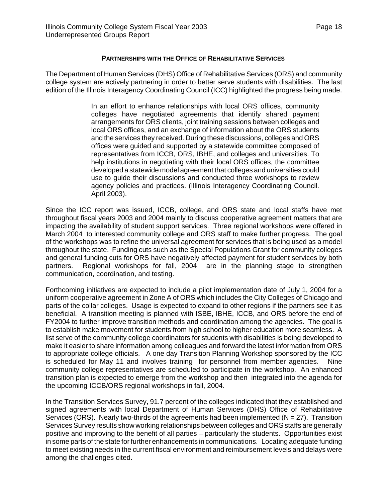### **PARTNERSHIPS WITH THE OFFICE OF REHABILITATIVE SERVICES**

<span id="page-20-0"></span>The Department of Human Services (DHS) Office of Rehabilitative Services (ORS) and community college system are actively partnering in order to better serve students with disabilities. The last edition of the Illinois Interagency Coordinating Council (ICC) highlighted the progress being made.

> In an effort to enhance relationships with local ORS offices, community colleges have negotiated agreements that identify shared payment arrangements for ORS clients, joint training sessions between colleges and local ORS offices, and an exchange of information about the ORS students and the services they received. During these discussions, colleges and ORS offices were guided and supported by a statewide committee composed of representatives from ICCB, ORS, IBHE, and colleges and universities. To help institutions in negotiating with their local ORS offices, the committee developed a statewide model agreement that colleges and universities could use to guide their discussions and conducted three workshops to review agency policies and practices. (Illinois Interagency Coordinating Council. April 2003).

Since the ICC report was issued, ICCB, college, and ORS state and local staffs have met throughout fiscal years 2003 and 2004 mainly to discuss cooperative agreement matters that are impacting the availability of student support services. Three regional workshops were offered in March 2004 to interested community college and ORS staff to make further progress. The goal of the workshops was to refine the universal agreement for services that is being used as a model throughout the state. Funding cuts such as the Special Populations Grant for community colleges and general funding cuts for ORS have negatively affected payment for student services by both partners. Regional workshops for fall, 2004 are in the planning stage to strengthen communication, coordination, and testing.

Forthcoming initiatives are expected to include a pilot implementation date of July 1, 2004 for a uniform cooperative agreement in Zone A of ORS which includes the City Colleges of Chicago and parts of the collar colleges. Usage is expected to expand to other regions if the partners see it as beneficial. A transition meeting is planned with ISBE, IBHE, ICCB, and ORS before the end of FY2004 to further improve transition methods and coordination among the agencies. The goal is to establish make movement for students from high school to higher education more seamless. A list serve of the community college coordinators for students with disabilities is being developed to make it easier to share information among colleagues and forward the latest information from ORS to appropriate college officials. A one day Transition Planning Workshop sponsored by the ICC is scheduled for May 11 and involves training for personnel from member agencies. Nine community college representatives are scheduled to participate in the workshop. An enhanced transition plan is expected to emerge from the workshop and then integrated into the agenda for the upcoming ICCB/ORS regional workshops in fall, 2004.

In the Transition Services Survey, 91.7 percent of the colleges indicated that they established and signed agreements with local Department of Human Services (DHS) Office of Rehabilitative Services (ORS). Nearly two-thirds of the agreements had been implemented ( $N = 27$ ). Transition Services Survey results show working relationships between colleges and ORS staffs are generally positive and improving to the benefit of all parties – particularly the students. Opportunities exist in some parts of the state for further enhancements in communications. Locating adequate funding to meet existing needs in the current fiscal environment and reimbursement levels and delays were among the challenges cited.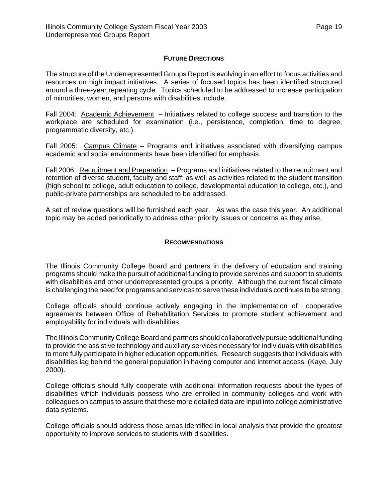### **FUTURE DIRECTIONS**

<span id="page-21-0"></span>The structure of the Underrepresented Groups Report is evolving in an effort to focus activities and resources on high impact initiatives. A series of focused topics has been identified structured around a three-year repeating cycle. Topics scheduled to be addressed to increase participation of minorities, women, and persons with disabilities include:

Fall 2004: Academic Achievement – Initiatives related to college success and transition to the workplace are scheduled for examination (i.e., persistence, completion, time to degree, programmatic diversity, etc.).

Fall 2005: Campus Climate - Programs and initiatives associated with diversifying campus academic and social environments have been identified for emphasis.

Fall 2006: Recruitment and Preparation – Programs and initiatives related to the recruitment and retention of diverse student, faculty and staff; as well as activities related to the student transition (high school to college, adult education to college, developmental education to college, etc.), and public-private partnerships are scheduled to be addressed.

A set of review questions will be furnished each year. As was the case this year. An additional topic may be added periodically to address other priority issues or concerns as they arise.

### **RECOMMENDATIONS**

The Illinois Community College Board and partners in the delivery of education and training programs should make the pursuit of additional funding to provide services and support to students with disabilities and other underrepresented groups a priority. Although the current fiscal climate is challenging the need for programs and services to serve these individuals continues to be strong.

College officials should continue actively engaging in the implementation of cooperative agreements between Office of Rehabilitation Services to promote student achievement and employability for individuals with disabilities.

The Illinois Community College Board and partners should collaboratively pursue additional funding to provide the assistive technology and auxiliary services necessary for individuals with disabilities to more fully participate in higher education opportunities. Research suggests that individuals with disabilities lag behind the general population in having computer and internet access (Kaye, July 2000).

College officials should fully cooperate with additional information requests about the types of disabilities which individuals possess who are enrolled in community colleges and work with colleagues on campus to assure that these more detailed data are input into college administrative data systems.

College officials should address those areas identified in local analysis that provide the greatest opportunity to improve services to students with disabilities.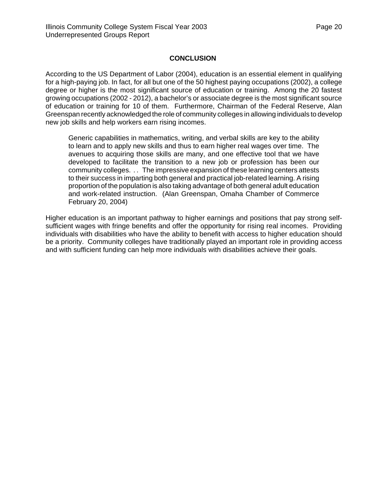## **CONCLUSION**

<span id="page-22-0"></span>According to the US Department of Labor (2004), education is an essential element in qualifying for a high-paying job. In fact, for all but one of the 50 highest paying occupations (2002), a college degree or higher is the most significant source of education or training. Among the 20 fastest growing occupations (2002 - 2012), a bachelor's or associate degree is the most significant source of education or training for 10 of them. Furthermore, Chairman of the Federal Reserve, Alan Greenspan recently acknowledged the role of community colleges in allowing individuals to develop new job skills and help workers earn rising incomes.

Generic capabilities in mathematics, writing, and verbal skills are key to the ability to learn and to apply new skills and thus to earn higher real wages over time. The avenues to acquiring those skills are many, and one effective tool that we have developed to facilitate the transition to a new job or profession has been our community colleges. . . The impressive expansion of these learning centers attests to their success in imparting both general and practical job-related learning. A rising proportion of the population is also taking advantage of both general adult education and work-related instruction. (Alan Greenspan, Omaha Chamber of Commerce February 20, 2004)

Higher education is an important pathway to higher earnings and positions that pay strong selfsufficient wages with fringe benefits and offer the opportunity for rising real incomes. Providing individuals with disabilities who have the ability to benefit with access to higher education should be a priority. Community colleges have traditionally played an important role in providing access and with sufficient funding can help more individuals with disabilities achieve their goals.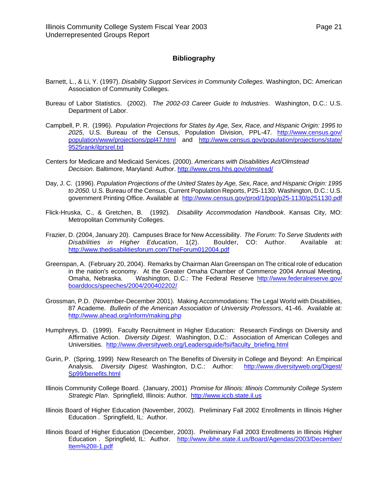### **Bibliography**

- <span id="page-23-0"></span>Barnett, L., & Li, Y. (1997). *Disability Support Services in Community Colleges*. Washington, DC: American Association of Community Colleges.
- Bureau of Labor Statistics. (2002). *The 2002-03 Career Guide to Industries*. Washington, D.C.: U.S. Department of Labor.
- Campbell, P. R. (1996). *Population Projections for States by Age, Sex, Race, and Hispanic Origin: 1995 to 2025*, U.S. Bureau of the Census, Population Division, PPL-47. <http://www.census.gov/> population/www/projections/ppl47.html and <http://www.census.gov/population/projections/state/> 9525rank/ilprsrel.txt
- Centers for Medicare and Medicaid Services. (2000). *Americans with Disabilities Act/Olmstead Decision*. Baltimore, Maryland: Author.<http://www.cms.hhs.gov/olmstead/>
- Day, J. C. (1996). *Population Projections of the United States by Age, Sex, Race, and Hispanic Origin: 1995 to 2050.* U.S. Bureau of the Census, Current Population Reports, P25-1130. Washington, D.C.: U.S. government Printing Office. Available at <http://www.census.gov/prod/1/pop/p25-1130/p251130.pdf>
- Flick-Hruska, C., & Gretchen, B. (1992)*. Disability Accommodation Handbook*. Kansas City, MO: Metropolitan Community Colleges.
- Frazier, D. (2004, January 20). Campuses Brace for New Accessibility. *The Forum: To Serve Students with Disabilities in Higher Education*, 1(2). Boulder, CO: Author. Available at: <http://www.thedisabilitiesforum.com/TheForum012004.pdf>
- Greenspan, A. (February 20, 2004). Remarks by Chairman Alan Greenspan on The critical role of education in the nation's economy. At the Greater Omaha Chamber of Commerce 2004 Annual Meeting, Omaha, Nebraska. Washington, D.C.: The Federal Reserve <http://www.federalreserve.gov/> boarddocs/speeches/2004/200402202/
- Grossman, P.D. (November-December 2001). Making Accommodations: The Legal World with Disabilities, 87 Academe. *Bulletin of the American Association of University Professors*, 41-46. Available at: <http://www.ahead.org/inform/making.php>
- Humphreys, D. (1999). Faculty Recruitment in Higher Education: Research Findings on Diversity and Affirmative Action. *Diversity Digest*. Washington, D.C.: Association of American Colleges and Universities. [http://www.diversityweb.org/Leadersguide/fsi/faculty\\_briefing.html](http://www.diversityweb.org/Leadersguide/fsi/faculty_briefing.html)
- Gurin, P. (Spring, 1999) New Research on The Benefits of Diversity in College and Beyond: An Empirical Analysis. *Diversity Digest.* Washington, D.C.: Author: <http://www.diversityweb.org/Digest/> Sp99/benefits.html
- Illinois Community College Board. (January, 2001) *Promise for Illinois: Illinois Community College System Strategic Plan*. Springfield, Illinois: Author. <http://www.iccb.state.il.us>
- Illinois Board of Higher Education (November, 2002). Preliminary Fall 2002 Enrollments in Illinois Higher Education . Springfield, IL: Author.
- Illinois Board of Higher Education (December, 2003). Preliminary Fall 2003 Enrollments in Illinois Higher Education . Springfield, IL: Author. <http://www.ibhe.state.il.us/Board/Agendas/2003/December/> Item%20II-1.pdf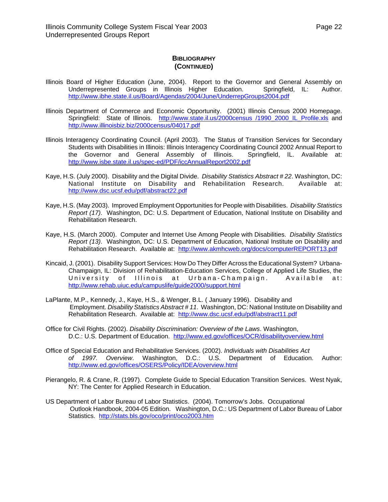### **BIBLIOGRAPHY (CONTINUED)**

- <span id="page-24-0"></span>Illinois Board of Higher Education (June, 2004). Report to the Governor and General Assembly on Underrepresented Groups in Illinois Higher Education. Springfield, IL: Author. <http://www.ibhe.state.il.us/Board/Agendas/2004/June/UnderrepGroups2004.pdf>
- Illinois Department of Commerce and Economic Opportunity. (2001) Illinois Census 2000 Homepage. Springfield: State of Illinois. <http://www.state.il.us/2000census> /1990\_2000\_IL\_Profile.xls and <http://www.illinoisbiz.biz/2000census/04017.pdf>
- Illinois Interagency Coordinating Council. (April 2003). The Status of Transition Services for Secondary Students with Disabilities in Illinois: Illinois Interagency Coordinating Council 2002 Annual Report to the Governor and General Assembly of Illinois. Springfield, IL. Available at: <http://www.isbe.state.il.us/spec-ed/PDF/iccAnnualReport2002.pdf>
- Kaye, H.S. (July 2000). Disability and the Digital Divide. *Disability Statistics Abstract # 22*. Washington, DC: National Institute on Disability and Rehabilitation Research. Available at: <http://www.dsc.ucsf.edu/pdf/abstract22.pdf>
- Kaye, H.S. (May 2003). Improved Employment Opportunities for People with Disabilities. *Disability Statistics Report (17)*. Washington, DC: U.S. Department of Education, National Institute on Disability and Rehabilitation Research.
- Kaye, H.S. (March 2000). Computer and Internet Use Among People with Disabilities. *Disability Statistics Report (13)*. Washington, DC: U.S. Department of Education, National Institute on Disability and Rehabilitation Research. Available at: <http://www.akmhcweb.org/docs/computerREPORT13.pdf>
- Kincaid, J. (2001). Disability Support Services: How Do They Differ Across the Educational System? Urbana-Champaign, IL: Division of Rehabilitation-Education Services, College of Applied Life Studies, the University of Illinois at Urbana-Champaign. Available at: <http://www.rehab.uiuc.edu/campuslife/guide2000/support.html>
- LaPlante, M.P., Kennedy, J., Kaye, H.S., & Wenger, B.L. ( January 1996). Disability and Employment. *Disability Statistics Abstract # 11*. Washington, DC: National Institute on Disability and Rehabilitation Research. Available at: <http://www.dsc.ucsf.edu/pdf/abstract11.pdf>
- Office for Civil Rights. (2002). *Disability Discrimination: Overview of the Laws*. Washington, D.C.: U.S. Department of Education. <http://www.ed.gov/offices/OCR/disabilityoverview.html>
- Office of Special Education and Rehabilitative Services. (2002). *Individuals with Disabilities Act of 1997. Overview*. Washington, D.C.: U.S. Department of Education. Author: <http://www.ed.gov/offices/OSERS/Policy/IDEA/overview.html>
- Pierangelo, R. & Crane, R. (1997). Complete Guide to Special Education Transition Services. West Nyak, NY: The Center for Applied Research in Education.
- US Department of Labor Bureau of Labor Statistics. (2004). Tomorrow's Jobs. Occupational Outlook Handbook, 2004-05 Edition. Washington, D.C.: US Department of Labor Bureau of Labor Statistics. <http://stats.bls.gov/oco/print/oco2003.htm>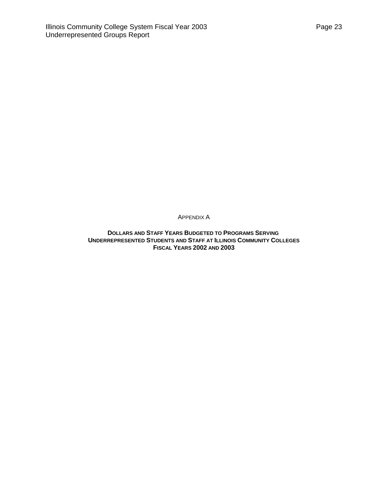<span id="page-25-0"></span>APPENDIX A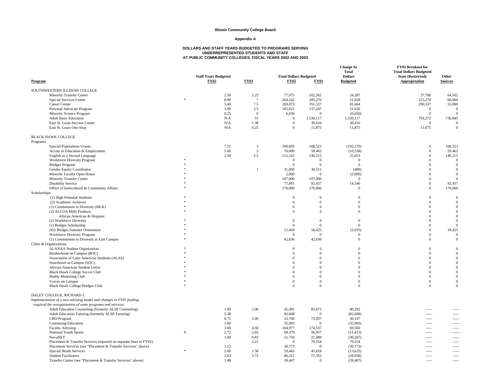#### **Appendix A**

<span id="page-26-0"></span>

| Program                                                            |   | <b>Staff Years Budgeted</b><br><b>FY02</b> | <b>FY03</b>             | <b>Total Dollars Budgeted</b><br><b>FY02</b> | <b>FY03</b>                    | <b>Change In</b><br><b>Total</b><br><b>Dollars</b><br><b>Budgeted</b> | FY03 Breakout for<br><b>Total Dollars Budgeted</b><br><b>State (Restricted)</b><br>Appropriation | Other<br><b>Sources</b> |
|--------------------------------------------------------------------|---|--------------------------------------------|-------------------------|----------------------------------------------|--------------------------------|-----------------------------------------------------------------------|--------------------------------------------------------------------------------------------------|-------------------------|
| SOUTHWESTERN ILLINOIS COLLEGE                                      |   |                                            |                         |                                              |                                |                                                                       |                                                                                                  |                         |
| Minority Transfer Center                                           |   | 2.50                                       | 2.25                    | 77,975                                       | 102.262                        | 24.287                                                                | 37,700                                                                                           | 64,562                  |
| Special Services Center                                            |   | 8.00                                       | $\overline{7}$          | 264,242                                      | 285,270                        | 21,028                                                                | 225,270                                                                                          | 60,000                  |
| Career Center                                                      |   | 5.40                                       | 7.5                     | 269,873                                      | 351,537                        | 81,664                                                                | 296,537                                                                                          | 55,000                  |
| Personal Advocate Program                                          |   | 3.00                                       | 3.5                     | 105,621                                      | 137,247                        | 31,626                                                                | $\overline{0}$                                                                                   | $\Omega$                |
| Minority Science Program                                           |   | 0.25                                       | $\mathbf{0}$            | 6,650                                        | $\overline{0}$                 | (6,650)                                                               | $\mathbf{0}$                                                                                     | $\Omega$                |
| <b>Adult Basic Education</b>                                       |   | N/A                                        | 53                      | $\mathbf{0}$                                 | 1,530,117                      | 1,530,117                                                             | 793,272                                                                                          | 736,845                 |
| East St. Louis Success Center                                      |   | N/A                                        | 1.38                    | $\boldsymbol{0}$                             | 39,410                         | 39,410                                                                | $\overline{0}$                                                                                   | $\mathbf{0}$            |
| East St. Louis One-Stop                                            |   | N/A                                        | 0.25                    | $\mathbf{0}$                                 | 11,875                         | 11,875                                                                | 11,875                                                                                           | $\boldsymbol{0}$        |
| <b>BLACK HAWK COLLEGE</b>                                          |   |                                            |                         |                                              |                                |                                                                       |                                                                                                  |                         |
| Programs                                                           |   |                                            |                         |                                              |                                |                                                                       |                                                                                                  |                         |
| <b>Special Populations Grants</b>                                  |   | 7.51                                       | $\overline{\mathbf{3}}$ | 300,693                                      | 108,523                        | (192, 170)                                                            | $\mathbf{0}$                                                                                     | 108,523                 |
| Access to Education & Employment                                   |   | 5.00                                       | 2                       | 70,000                                       | 59.462                         | (10, 538)                                                             | $\mathbf{0}$                                                                                     | 59,462                  |
| English as a Second Language                                       |   | 2.50                                       | 2.5                     | 115,162                                      | 140,215                        | 25,053                                                                | $\mathbf{0}$                                                                                     | 140,215                 |
| Workforce Diversity Program                                        |   |                                            |                         | $\overline{0}$                               | $\overline{0}$                 | $\overline{0}$                                                        | $\Omega$                                                                                         | $\Omega$                |
| <b>Bridges Program</b>                                             |   |                                            |                         | $\overline{0}$                               | $\Omega$                       | $\overline{0}$                                                        | $\Omega$                                                                                         | $\Omega$                |
| Gender Equity Coordinator                                          |   |                                            | $\mathbf{1}$            | 31,000                                       | 30,511                         | (489)                                                                 | $\mathbf{0}$                                                                                     | $\Omega$                |
| Minority Faculty Open House                                        |   |                                            |                         | 2,000                                        | $\overline{0}$                 | (2,000)                                                               | $\mathbf{0}$                                                                                     | $\mathbf{0}$            |
| <b>Minority Transfer Center</b>                                    |   |                                            |                         | 107,000                                      | 107,000                        | $\overline{0}$                                                        | $\mathbf{0}$                                                                                     | $\Omega$                |
| <b>Disability Service</b>                                          |   |                                            |                         | 77,891                                       | 92,437                         | 14,546                                                                | $\mathbf{0}$                                                                                     | 92,437                  |
| Office of Intercultural & Community Affairs                        |   |                                            |                         | 170,000                                      | 170,000                        | $\overline{0}$                                                        | $\mathbf{0}$                                                                                     | 170,000                 |
| Scholarships                                                       |   |                                            |                         |                                              |                                |                                                                       |                                                                                                  |                         |
| (2) High Potential Students                                        |   |                                            |                         | $\boldsymbol{0}$                             | $\mathbf{0}$                   | $\mathbf{0}$                                                          | $\mathbf{0}$                                                                                     | $\mathbf{0}$            |
| (2) Academic Achiever                                              |   |                                            |                         | $\overline{0}$                               | $\mathbf{0}$                   | $\overline{0}$                                                        | $\mathbf{0}$                                                                                     | $\Omega$                |
| (1) Commitment to Diversity (MLK)                                  |   |                                            |                         | $\boldsymbol{0}$                             | $\mathbf{0}$                   | $\boldsymbol{0}$                                                      | $\mathbf{0}$                                                                                     | $\Omega$                |
| (2) ALCOA Mills Products                                           |   |                                            |                         | $\mathbf{0}$                                 | $\mathbf{0}$                   | $\mathbf{0}$                                                          | $\mathbf{0}$                                                                                     | $\Omega$                |
| African American & Hispanic                                        |   |                                            |                         |                                              |                                |                                                                       | $\Omega$                                                                                         | $\Omega$                |
| (2) Workforce Diversity                                            |   |                                            |                         | $\overline{0}$                               | $\Omega$                       | $\overline{0}$                                                        | $\Omega$                                                                                         | $\Omega$                |
| (1) Bridges Scholarship                                            |   |                                            |                         | $\theta$                                     | $\overline{0}$                 | $\mathbf{0}$                                                          | $\mathbf{0}$                                                                                     | $\Omega$                |
| (65) Bridges Summer Orientation                                    |   |                                            |                         | 21,450                                       | 18,425                         | (3,025)                                                               | $\mathbf{0}$                                                                                     | 18,425                  |
| Workforce Diversity Program                                        |   |                                            |                         | $\Omega$                                     | $\overline{0}$                 | $\overline{0}$                                                        | $\mathbf{0}$                                                                                     | $\Omega$                |
| (1) Commitment to Diversity at East Campus                         |   |                                            |                         | 42,636                                       | 42,636                         | $\mathbf{0}$                                                          | $\mathbf{0}$                                                                                     | $\Omega$                |
| Clubs & Organizations                                              |   |                                            |                         |                                              |                                |                                                                       |                                                                                                  |                         |
| <b>ALANAA Student Organization</b>                                 |   |                                            |                         | $\mathbf{0}$                                 | $\overline{0}$                 | $\mathbf{0}$<br>$\Omega$                                              | $\mathbf{0}$                                                                                     | $\Omega$                |
| Brotherhood on Campus (BOC)                                        |   |                                            |                         | $\mathbf{0}$                                 | $\mathbf{0}$                   |                                                                       | $\mathbf{0}$                                                                                     | $\Omega$                |
| Association of Latin American Students (ALAS)                      |   |                                            |                         | $\mathbf{0}$<br>$\overline{0}$               | $\mathbf{0}$<br>$\overline{0}$ | $\mathbf{0}$<br>$\Omega$                                              | $\mathbf{0}$<br>$\mathbf{0}$                                                                     |                         |
| Sisterhood on Campus (SOC)                                         |   |                                            |                         | $\mathbf{0}$                                 | $\mathbf{0}$                   | $\theta$                                                              | $\mathbf{0}$                                                                                     |                         |
| African-American Student Union                                     |   |                                            |                         | $\mathbf{0}$                                 | $\Omega$                       | $\Omega$                                                              | $\Omega$                                                                                         |                         |
| Black Hawk College Soccer Club                                     |   |                                            |                         | $\overline{0}$                               |                                | $\Omega$                                                              | $\mathbf{0}$                                                                                     |                         |
| <b>Buddy Mentoring Club</b>                                        |   |                                            |                         |                                              | $\mathbf{0}$<br>$\mathbf{0}$   |                                                                       |                                                                                                  | $\Omega$                |
| Voices on Campus<br><b>Black Hawk College Bridges Club</b>         |   |                                            |                         | $\mathbf{0}$<br>$\Omega$                     | $\mathbf{0}$                   | $\mathbf{0}$<br>$\mathbf{0}$                                          | $\mathbf{0}$<br>$\mathbf{0}$                                                                     | $\Omega$                |
| DALEY COLLEGE, RICHARD J.                                          |   |                                            |                         |                                              |                                |                                                                       |                                                                                                  |                         |
| Implementation of a new advising model and changes in FY03 funding |   |                                            |                         |                                              |                                |                                                                       |                                                                                                  |                         |
| required the reorganization of some programs and services.         |   |                                            |                         |                                              |                                |                                                                       |                                                                                                  |                         |
| Adult Education Counseling (formerly ALSP Counseling)              |   | 1.00                                       | 2.00                    | 45,381                                       | 85,673                         | 40,292                                                                |                                                                                                  |                         |
| Adult Education Tutoring (formerly ALSP Tutoring)                  |   | 5.38                                       |                         | 82,608                                       | $\overline{0}$                 | (82, 608)                                                             | $- - - - -$                                                                                      |                         |
| CBO Program                                                        |   | 0.75                                       | 2.00                    | 23,760                                       | 73,957                         | 50,197                                                                | -----                                                                                            |                         |
| <b>Continuing Education</b>                                        |   | 1.00                                       |                         | 35,993                                       | $\overline{0}$                 | (35,993)                                                              | -----                                                                                            |                         |
| <b>Faculty Advising</b>                                            |   | 3.00                                       | 4.58                    | 104,977                                      | 174,537                        | 69,560                                                                | -----                                                                                            |                         |
| National Youth Sports                                              | # | 2.72                                       | 2.65                    | 68,370                                       | 56,957                         | (11, 413)                                                             | -----                                                                                            |                         |
| <b>NovaNET</b>                                                     |   | 1.00                                       | 0.83                    | 51,756                                       | 21,489                         | (30, 267)                                                             |                                                                                                  |                         |
| Placement & Transfer Services (reported on separate lines in FY02) |   |                                            | 2.21                    | $\mathbf{0}$                                 | 79,554                         | 79,554                                                                | -----                                                                                            |                         |
| Placement Services (see "Placement & Transfer Services" above)     |   | 1.12                                       |                         | 30,773                                       | $\overline{0}$                 | (30,773)                                                              | -----                                                                                            |                         |
| Special Needs Services                                             |   | 2.60                                       | 1.58                    | 59,443                                       | 45,818                         | (13, 625)                                                             |                                                                                                  |                         |
| <b>Student Facilitators</b>                                        |   | 5.63                                       | 3.72                    | 86,311                                       | 57,353                         | (28,958)                                                              | $- - - - -$                                                                                      | $\cdots$                |
| Transfer Center (see "Placement & Transfer Services" above)        |   | 1.48                                       |                         | 39.407                                       | $\Omega$                       | (39, 407)                                                             |                                                                                                  |                         |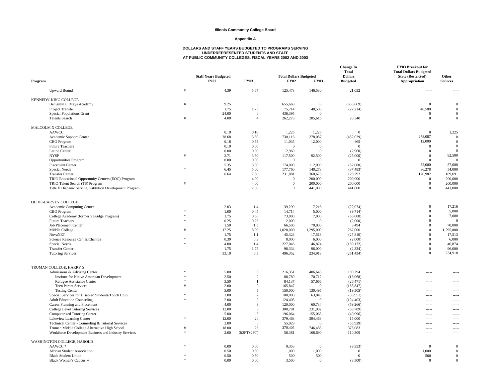#### **Appendix A**

| Program                                                                                               |    | <b>Staff Years Budgeted</b><br><b>FY02</b> | <b>FY03</b>                    | <b>Total Dollars Budgeted</b><br><b>FY02</b> | <b>FY03</b>             | <b>Change In</b><br><b>Total</b><br><b>Dollars</b><br><b>Budgeted</b> | FY03 Breakout for<br><b>Total Dollars Budgeted</b><br><b>State (Restricted)</b><br>Appropriation | Other<br><b>Sources</b>          |
|-------------------------------------------------------------------------------------------------------|----|--------------------------------------------|--------------------------------|----------------------------------------------|-------------------------|-----------------------------------------------------------------------|--------------------------------------------------------------------------------------------------|----------------------------------|
| <b>Upward Bound</b>                                                                                   |    | 4.39                                       | 5.64                           | 125,478                                      | 146,530                 | 21,052                                                                | $---$                                                                                            |                                  |
| KENNEDY-KING COLLEGE                                                                                  |    |                                            |                                |                                              |                         |                                                                       |                                                                                                  |                                  |
| Benjamin E. Mays Academy                                                                              |    | 9.25                                       | $\overline{0}$                 | 655,669                                      | $\mathbf{0}$            | (655, 669)                                                            | $\mathbf{0}$                                                                                     | $\overline{0}$                   |
| Project Transfer                                                                                      |    | 1.75                                       | 1.75                           | 75,714                                       | 48,500                  | (27, 214)                                                             | 48,500                                                                                           | $\overline{0}$                   |
| Special Populations Grant<br><b>Talents Search</b>                                                    |    | 24.00<br>4.00                              | $\mathbf{0}$<br>$\overline{4}$ | 436,395<br>262,275                           | $\mathbf{0}$<br>285,615 | 23,340                                                                | $\mathbf{0}$<br>$\mathbf{0}$                                                                     | $\overline{0}$<br>$\overline{0}$ |
|                                                                                                       |    |                                            |                                |                                              |                         |                                                                       |                                                                                                  |                                  |
| MALCOLM X COLLEGE                                                                                     |    |                                            |                                |                                              |                         |                                                                       |                                                                                                  |                                  |
| AAWCC<br>Academic Support Center                                                                      |    | 0.10<br>38.68                              | 0.10<br>13.50                  | 1,225<br>730,116                             | 1,225<br>278,087        | $\mathbf{0}$<br>(452, 029)                                            | $\mathbf{0}$<br>278,087                                                                          | 1,225<br>$\overline{0}$          |
| CBO Program                                                                                           |    | 0.18                                       | 0.55                           | 11,035                                       | 12,000                  | 965                                                                   | 12,000                                                                                           | $\overline{0}$                   |
| <b>Future Teachers</b>                                                                                |    | 0.10                                       | 0.00                           | $\mathbf{0}$                                 | $\Omega$                | $\overline{0}$                                                        | $\Omega$                                                                                         | $\Omega$                         |
| Latino Center                                                                                         |    | 0.00                                       | 0.00                           | 2,960                                        | $\mathbf{0}$            | (2,960)                                                               | $\bf{0}$                                                                                         | $\sqrt{ }$                       |
| <b>NYSP</b>                                                                                           |    | 2.71                                       | 3.50                           | 117,500                                      | 92,500                  | (25,000)                                                              | $\mathbf{0}$                                                                                     | 92,500                           |
| Opportunities Program                                                                                 |    | 0.00                                       | 0.00                           | $\Omega$                                     | $\Omega$                | $\overline{0}$                                                        | $\mathbf{0}$                                                                                     | $\Omega$                         |
| Placement Center                                                                                      |    | 5.35                                       | 3.30                           | 174,000                                      | 112,000                 | (62,000)                                                              | 55,000                                                                                           | 57,000                           |
| Special Needs<br><b>Transfer Center</b>                                                               |    | 6.45<br>6.64                               | 5.00<br>7.50                   | 177,760<br>231,881                           | 140,278<br>360,673      | (37, 483)<br>128,792                                                  | 86,278<br>170,982                                                                                | 54,000<br>189,691                |
| TRIO Educational Opportunity Centers (EOC) Program                                                    |    |                                            | 4.00                           | $\mathbf{0}$                                 | 200,000                 | 200,000                                                               | $\boldsymbol{0}$                                                                                 | 200,000                          |
| TRIO Talent Search (TS) Program                                                                       |    |                                            | 4.00                           | $\Omega$                                     | 200,000                 | 200,000                                                               | $\mathbf{0}$                                                                                     | 200,000                          |
| Title V Hispanic Serving Institution Development Program                                              |    |                                            | 2.50                           | $\Omega$                                     | 441,000                 | 441,000                                                               | $\mathbf{0}$                                                                                     | 441,000                          |
| OLIVE-HARVEY COLLEGE                                                                                  |    |                                            |                                |                                              |                         |                                                                       |                                                                                                  |                                  |
| Academic Computing Center                                                                             |    | 2.03                                       | 1.4                            | 39,290                                       | 17,216                  | (22,074)                                                              | $\mathbf{0}$                                                                                     | 17,216                           |
| CBO Program                                                                                           |    | 1.00                                       | 0.44                           | 14,714                                       | 5,000                   | (9,714)                                                               | $\mathbf{0}$                                                                                     | 5,000                            |
| College Academy (formerly Bridge Program)                                                             |    | 1.75                                       | 0.56                           | 73,000                                       | 7,000                   | (66,000)                                                              | $\mathbf{0}$                                                                                     | 7,000                            |
| <b>Future Teachers</b>                                                                                |    | 0.25                                       | 0.25                           | 2,000                                        | $\Omega$                | (2,000)                                                               | $\mathbf{0}$                                                                                     | $\overline{0}$                   |
| <b>Job Placement Center</b>                                                                           |    | 1.50                                       | 1.5                            | 66,506                                       | 70,000                  | 3,494                                                                 | $\mathbf{0}$                                                                                     | 70,000                           |
| Middle College                                                                                        |    | 17.25                                      | 18.09                          | 1,028,000                                    | 1,295,000               | 267,000                                                               | $\mathbf{0}$<br>$\mathbf{0}$                                                                     | 1,295,000                        |
| <b>NovaNET</b><br>Science Resource Center/Champs                                                      |    | 1.75<br>0.30                               | 1.1<br>0.3                     | 45,323<br>8,000                              | 17,513<br>6,000         | (27, 810)<br>(2,000)                                                  | $\mathbf{0}$                                                                                     | 17,513<br>6,000                  |
| Special Needs                                                                                         | ż. | 4.00                                       | 1.4                            | 227,046                                      | 46,874                  | (180, 172)                                                            | $\bf{0}$                                                                                         | 46,874                           |
| <b>Transfer Center</b>                                                                                |    | 1.75                                       | 1.75                           | 98,334                                       | 96,000                  | (2, 334)                                                              | $\mathbf{0}$                                                                                     | 96,000                           |
| <b>Tutoring Services</b>                                                                              |    | 33.10                                      | 6.5                            | 496,352                                      | 234,918                 | (261, 434)                                                            | $\Omega$                                                                                         | 234,918                          |
| TRUMAN COLLEGE, HARRY S                                                                               |    |                                            |                                |                                              |                         |                                                                       |                                                                                                  |                                  |
| Admissions & Advising Center                                                                          |    | 5.00                                       | 8                              | 216.351                                      | 406,645                 | 190,294                                                               | -----                                                                                            |                                  |
| <b>Institute for Native American Development</b>                                                      |    | 2.50                                       | $\overline{c}$                 | 88,780                                       | 70,712                  | (18,068)                                                              | -----                                                                                            | $\cdots$                         |
| Refugee Assistance Center                                                                             |    | 3.50                                       | $\mathbf{1}$                   | 84,137                                       | 57,666                  | (26, 471)                                                             | -----                                                                                            | -----                            |
| <b>Teen Parent Services</b>                                                                           |    | 2.00                                       | $\mathbf{0}$                   | 165,847                                      | $\Omega$                | (165, 847)                                                            | -----                                                                                            | $\cdots$                         |
| <b>Testing Center</b>                                                                                 |    | 5.00                                       | 5                              | 150,000                                      | 130,495                 | (19,505)                                                              | -----                                                                                            | $1 - 1 - 1$                      |
| Special Services for Disabled Students/Touch Club<br><b>Adult Education Counseling</b>                |    | 3.00<br>2.00                               | $\overline{c}$<br>$\mathbf{0}$ | 100,000<br>124,403                           | 63,049<br>$\mathbf{0}$  | (36,951)<br>(124, 403)                                                | -----<br>-----                                                                                   | $1 - 1 - 1 = 1$<br>$\sim$        |
| Career Planning and Placement                                                                         |    | 4.00                                       | $\overline{3}$                 | 120,000                                      | 60,734                  | (59,266)                                                              | -----                                                                                            | $\overline{\phantom{a}}$         |
| <b>College Level Tutoring Services</b>                                                                |    | 12.00                                      | $\bf 8$                        | 300,781                                      | 231,992                 | (68, 789)                                                             | -----                                                                                            | $\sim$                           |
| Computerized Tutoring Center                                                                          |    | 5.00                                       | $\overline{3}$                 | 196,064                                      | 155,068                 | (40,996)                                                              | -----                                                                                            | $1 - 1 - 1 = 1$                  |
| Lakeview Learning Center                                                                              |    | 12.00                                      | 20                             | 379,468                                      | 394,468                 | 15,000                                                                | -----                                                                                            | $\cdots$                         |
| Technical Center - Counseling & Tutorial Services                                                     |    | 2.00                                       | $\mathbf{0}$                   | 55,929                                       | $\mathbf{0}$            | (55, 929)                                                             |                                                                                                  | $\sim$                           |
| Truman Middle College Alternative High School<br>Workforce Development Business and Industry Services |    | 18.00<br>2.00                              | 25<br>$3(2FT+2PT)$             | 370,405<br>58,381                            | 746,488<br>168,690      | 376,083<br>110,309                                                    | $\frac{1}{2}$<br>-----                                                                           | $1 - 1 - 1 = 1$<br>              |
| WASHINGTON COLLEGE, HAROLD                                                                            |    |                                            |                                |                                              |                         |                                                                       |                                                                                                  |                                  |
| AAWCC*                                                                                                |    | 0.00                                       | 0.00                           | 9,353                                        | $\Omega$                | (9, 353)                                                              | $\mathbf{0}$                                                                                     | $\overline{0}$                   |
| African Student Association                                                                           |    | 0.50                                       | 0.50                           | 1,000                                        | 1,000                   | $\Omega$                                                              | 1,000                                                                                            | $\overline{0}$                   |
| <b>Black Student Union</b><br>Black Women's Caucus ^                                                  |    | 0.50<br>0.00                               | 0.50<br>0.00                   | 500<br>3.500                                 | 500<br>$\Omega$         | $\overline{0}$<br>(3.500)                                             | 500<br>$\Omega$                                                                                  | $\overline{0}$<br>$\Omega$       |
|                                                                                                       |    |                                            |                                |                                              |                         |                                                                       |                                                                                                  |                                  |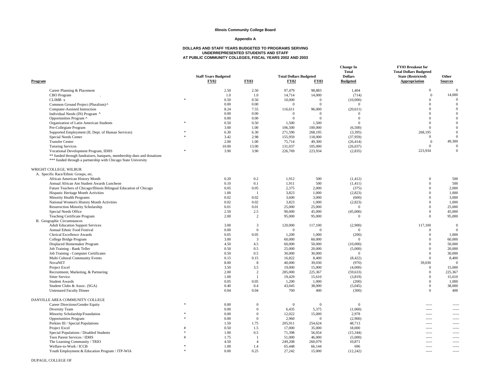#### **Appendix A**

| Program                                                                                                                                                                          |               | <b>Staff Years Budgeted</b><br><b>FY02</b> | <b>FY03</b>    | <b>Total Dollars Budgeted</b><br><b>FY02</b> | <b>FY03</b>    | <b>Change In</b><br><b>Total</b><br><b>Dollars</b><br><b>Budgeted</b> | <b>FY03 Breakout for</b><br><b>Total Dollars Budgeted</b><br><b>State (Restricted)</b><br><b>Appropriation</b> | Other<br><b>Sources</b> |
|----------------------------------------------------------------------------------------------------------------------------------------------------------------------------------|---------------|--------------------------------------------|----------------|----------------------------------------------|----------------|-----------------------------------------------------------------------|----------------------------------------------------------------------------------------------------------------|-------------------------|
| Career Planning & Placement                                                                                                                                                      |               | 2.50                                       | 2.50           | 97,479                                       | 98,883         | 1,404                                                                 | $\mathbf{0}$                                                                                                   | $\overline{0}$          |
| CBO Program                                                                                                                                                                      |               | 1.0                                        | 1.0            | 14,714                                       | 14,000         | (714)                                                                 | $\overline{0}$                                                                                                 | 14,000                  |
| CLIMB x                                                                                                                                                                          | $\ast$        | 0.50                                       | 0.50           | 10,000                                       | $\Omega$       | (10,000)                                                              | $\overline{0}$                                                                                                 | $\Omega$                |
| Common Ground Project (Pluralism) ^                                                                                                                                              |               | 0.00                                       | 0.00           | $\Omega$                                     | $\Omega$       | $\mathbf{0}$                                                          | $\overline{0}$                                                                                                 | $\mathbf{0}$            |
| Computer-Assisted Instruction                                                                                                                                                    |               | 8.24                                       | 7.55           | 116,611                                      | 96,000         | (20,611)                                                              | $\overline{0}$                                                                                                 | $\mathbf{0}$            |
| Individual Needs (IN) Program ^                                                                                                                                                  |               | 0.00                                       | 0.00           | $\Omega$                                     | $\Omega$       | $\overline{0}$                                                        | $\overline{0}$                                                                                                 | $\Omega$                |
| Opportunities Program ^                                                                                                                                                          |               | 0.00                                       | 0.00           | $\theta$                                     | $\Omega$       | $\mathbf{0}$                                                          | $\overline{0}$                                                                                                 | $\Omega$                |
| Organization of Latin American Students                                                                                                                                          |               | 0.50                                       | 0.50           | 1,500                                        | 1,500          | $\mathbf{0}$                                                          | $\overline{0}$                                                                                                 | $\Omega$                |
| Pre-Collegiate Program                                                                                                                                                           |               | 3.00                                       | 1.00           | 106,500                                      | 100,000        | (6,500)                                                               | $\Omega$                                                                                                       | $\Omega$                |
| Supported Employment (IL Dept. of Human Services)                                                                                                                                | $\mathcal{R}$ | 6.30                                       | 6.30           | 271,590                                      | 268,195        | (3,395)                                                               | 268,195                                                                                                        | $\mathbf{0}$            |
| Special Needs Center                                                                                                                                                             |               | 3.42                                       | 2.98           | 155,959                                      | 118,000        | (37,959)                                                              | $\mathbf{0}$                                                                                                   | $\mathbf{0}$            |
| <b>Transfer Center</b>                                                                                                                                                           |               | 2.00                                       | 1.00           | 75,714                                       | 49,300         | (26, 414)                                                             | $\Omega$                                                                                                       | 49,300                  |
| <b>Tutoring Services</b>                                                                                                                                                         |               | 10.00                                      | 13.00          | 131,037                                      | 105,000        | (26,037)                                                              | $\overline{0}$                                                                                                 | $\mathbf{0}$            |
| Vocational Development Program, IDHS<br>** funded through fundraisers, banquets, membership dues and donations<br>*** funded through a partnership with Chicago State University |               | 3.90                                       | 3.90           | 226,769                                      | 223,934        | (2,835)                                                               | 223,934                                                                                                        | $\mathbf{0}$            |
| WRIGHT COLLEGE, WILBUR                                                                                                                                                           |               |                                            |                |                                              |                |                                                                       |                                                                                                                |                         |
| A. Specific Race/Ethnic Groups, etc.                                                                                                                                             |               |                                            |                |                                              |                |                                                                       |                                                                                                                |                         |
| African American History Month                                                                                                                                                   |               | 0.20                                       | 0.2            | 1,912                                        | 500            | (1, 412)                                                              | $\mathbf{0}$                                                                                                   | 500                     |
| Annual African Am Student Awards Luncheon                                                                                                                                        |               | 0.10                                       | 0.1            | 1,911                                        | 500            | (1, 411)                                                              | $\mathbf{0}$                                                                                                   | 500                     |
| Future Teachers of Chicago/Illinois Bilingual Education of Chicago                                                                                                               |               | 0.05                                       | 0.05           | 2,375                                        | 2,000          | (375)                                                                 | $\mathbf{0}$                                                                                                   | 2,000                   |
| Hispanic Heritage Month Activities                                                                                                                                               |               | 1.00                                       | $\overline{1}$ | 3,823                                        | 1,000          | (2,823)                                                               | $\mathbf{0}$                                                                                                   | 1,000                   |
| Minority Health Programs                                                                                                                                                         |               | 0.02                                       | 0.02           | 3,600                                        | 3,000          | (600)                                                                 | $\theta$                                                                                                       | 3,000                   |
| National Women's History Month Activities                                                                                                                                        |               | 0.02                                       | 0.02           | 3,823                                        | 1,000          | (2,823)                                                               | $\mathbf{0}$                                                                                                   | 1,000                   |
| <b>Resurrection Minority Scholarship</b>                                                                                                                                         |               | 0.01                                       | 0.01           | 25,000                                       | 25,000         | $\overline{0}$                                                        | $\mathbf{0}$                                                                                                   | 25,000                  |
| Special Needs Office                                                                                                                                                             |               | 2.50                                       | 2.5            | 90,000                                       | 45,000         | (45,000)                                                              | $\overline{0}$                                                                                                 | 45,000                  |
| Teaching Certificate Program                                                                                                                                                     |               | 2.00                                       | 2              | 95,000                                       | 95,000         | $\mathbf{0}$                                                          | $\overline{0}$                                                                                                 | 95,000                  |
| <b>B.</b> Geographic Circumstances                                                                                                                                               |               |                                            |                |                                              |                |                                                                       |                                                                                                                |                         |
| <b>Adult Education Support Services</b>                                                                                                                                          |               | 3.00                                       | 3              | 120,000                                      | 117,100        | (2,900)                                                               | 117,100                                                                                                        | $\overline{0}$          |
| Annual Ethnic Food Festival                                                                                                                                                      |               | 0.00                                       | $\overline{0}$ | $\Omega$                                     | $\Omega$       | $\mathbf{0}$                                                          | $\mathbf{0}$                                                                                                   | $\Omega$                |
| Clerical Excellence Awards                                                                                                                                                       |               | 0.05                                       | 0.05           | 1,200                                        | 1,000          | (200)                                                                 | $\overline{0}$                                                                                                 | 1,000                   |
| College Bridge Program                                                                                                                                                           |               | 3.00                                       | $\overline{3}$ | 60,000                                       | 60,000         | $\overline{0}$                                                        | $\overline{0}$                                                                                                 | 60,000                  |
| Displaced Homemaker Program                                                                                                                                                      |               | 4.50                                       | 4.5            | 60,000                                       | 50,000         | (10,000)                                                              | $\Omega$                                                                                                       | 50,000                  |
| Job Training - Bank Teller                                                                                                                                                       |               | 0.50                                       | 0.5            | 25,000                                       | 20,000         | (5,000)                                                               | $\mathbf{0}$                                                                                                   | 20,000                  |
| Job Training - Computer Certificates                                                                                                                                             |               | 0.50                                       | 0.5            | 30,000                                       | 30,000         | $\overline{0}$                                                        | $\Omega$                                                                                                       | 30,000                  |
| Multi Cultural Community Events                                                                                                                                                  |               | 0.15                                       | 0.15           | 16,822                                       | 8,400          | (8, 422)                                                              | $\overline{0}$                                                                                                 | 8,400                   |
| <b>NovaNET</b>                                                                                                                                                                   |               | 8.00                                       | 8              | 40,000                                       | 39,030         | (970)                                                                 | 39,030                                                                                                         | $\Omega$                |
| Project Excel                                                                                                                                                                    |               | 3.50                                       | 3.5            | 19,000                                       | 15,000         | (4,000)                                                               | $\overline{0}$                                                                                                 | 15,000                  |
| Recruitment, Marketing, & Partnering                                                                                                                                             |               | 2.00                                       | $\overline{c}$ | 285,000                                      | 225,367        | (59, 633)                                                             | $\mathbf{0}$                                                                                                   | 225,367                 |
| <b>Sitter Service</b>                                                                                                                                                            |               | 1.00                                       | -1             | 19,429                                       | 15,610         | (3,819)                                                               | $\overline{0}$                                                                                                 | 15,610                  |
| <b>Student Awards</b>                                                                                                                                                            |               | 0.05                                       | 0.05           | 1,200<br>43,045                              | 1,000          | (200)                                                                 | $\overline{0}$<br>$\mathbf{0}$                                                                                 | 1,000                   |
| Student Clubs & Assoc. (SGA)<br><b>Untenured Faculty Dinner</b>                                                                                                                  |               | 0.40<br>0.04                               | 0.4<br>0.04    | 700                                          | 38,000<br>400  | (5,045)<br>(300)                                                      | $\overline{0}$                                                                                                 | 38,000<br>400           |
| DANVILLE AREA COMMUNITY COLLEGE                                                                                                                                                  |               |                                            |                |                                              |                |                                                                       |                                                                                                                |                         |
| Career Directions/Gender Equity                                                                                                                                                  |               | 0.00                                       | $\mathbf{0}$   | $\overline{0}$                               | $\overline{0}$ | $\mathbf{0}$                                                          | $\sim$ $\sim$ $\sim$                                                                                           |                         |
| Diversity Team                                                                                                                                                                   |               | 0.00                                       | $\overline{0}$ | 6,435                                        | 5.375          | (1,060)                                                               | $\cdots$                                                                                                       | $\sim$                  |
| Minority Scholarship/Foundation                                                                                                                                                  |               | 0.00                                       | $\overline{0}$ | 12,022                                       | 15,000         | 2,978                                                                 | 1.1.1.1                                                                                                        | -----                   |
| <b>Opportunities Program</b>                                                                                                                                                     |               | 0.00                                       | $\mathbf{0}$   | 2,960                                        | $\Omega$       | (2,960)                                                               | -----                                                                                                          |                         |
| Perkins III / Special Populations                                                                                                                                                |               | 1.50                                       | 1.75           | 205,911                                      | 254,624        | 48,713                                                                | $---$                                                                                                          |                         |
| Project Excel                                                                                                                                                                    |               | 0.50                                       | 1.5            | 17,000                                       | 35,000         | 18,000                                                                | $\cdots$                                                                                                       | -----                   |
| Special Populations / Disabled Students                                                                                                                                          |               | 1.00                                       | 0.5            | 71,398                                       | 56,054         | (15, 344)                                                             | $1 - 1 - 1 = 1$                                                                                                | $\sim$                  |
| Teen Parent Services / IDHS                                                                                                                                                      |               | 1.75                                       | $\overline{1}$ | 51,000                                       | 46,000         | (5,000)                                                               | $- - - - -$                                                                                                    | -----                   |
| The Learning Community / TRIO                                                                                                                                                    |               | 4.50                                       | $\overline{4}$ | 249,208                                      | 260,079        | 10,871                                                                | -----                                                                                                          |                         |
| Welfare-to-Work / ICCB                                                                                                                                                           |               | 1.00                                       | 1.4            | 65,448                                       | 66,144         | 696                                                                   | -----                                                                                                          | -----                   |
| Youth Employment & Education Program / JTP-WIA                                                                                                                                   | $\mathcal{R}$ | 0.00                                       | 0.25           | 27.242                                       | 15,000         | (12, 242)                                                             | $- - - -$                                                                                                      | $---$                   |
|                                                                                                                                                                                  |               |                                            |                |                                              |                |                                                                       |                                                                                                                |                         |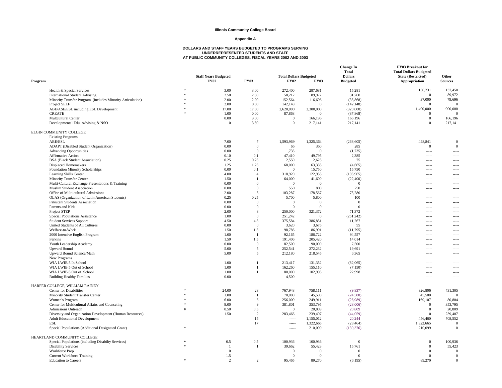#### **Appendix A**

| Program                                                    |                | <b>Staff Years Budgeted</b><br><b>FY02</b> | <b>FY03</b>                    | <b>Total Dollars Budgeted</b><br><b>FY02</b> | <b>FY03</b>      | <b>Change In</b><br><b>Total</b><br><b>Dollars</b><br><b>Budgeted</b> | FY03 Breakout for<br><b>Total Dollars Budgeted</b><br><b>State (Restricted)</b><br><b>Appropriation</b> | Other<br><b>Sources</b>  |
|------------------------------------------------------------|----------------|--------------------------------------------|--------------------------------|----------------------------------------------|------------------|-----------------------------------------------------------------------|---------------------------------------------------------------------------------------------------------|--------------------------|
| Health & Special Services                                  | $\frac{1}{20}$ | 3.00                                       | 3.00                           | 272,400                                      | 287,681          | 15,281                                                                | 150,231                                                                                                 | 137,450                  |
| <b>International Student Advising</b>                      |                | 2.50                                       | 2.50                           | 58,212                                       | 89,972           | 31,760                                                                | $\mathbf{0}$                                                                                            | 89,972                   |
| Minority Transfer Program (includes Minority Articulation) |                | 2.00                                       | 2.00                           | 152,564                                      | 116,696          | (35,868)                                                              | 37,000                                                                                                  | 79,696                   |
| Project SELF                                               |                | 2.00                                       | 0.00                           | 142,148                                      | $\Omega$         | (142, 148)                                                            | $\Omega$                                                                                                | $\Omega$                 |
| ABE/ASE/ESL including ESL Development                      |                | 17.00                                      | 17.00                          | 2,620,000                                    | 2,300,000        | (320,000)                                                             | 1,400,000                                                                                               | 900,000                  |
| <b>CREATE</b>                                              |                | 1.00                                       | 0.00                           | 87,868                                       | $\Omega$         | (87, 868)                                                             | $\Omega$                                                                                                | $\Omega$                 |
| Multcultural Center                                        |                | 0.00                                       | 3.00                           | $\Omega$                                     | 166,196          | 166,196                                                               | $\mathbf{0}$                                                                                            | 166,196                  |
| Developmental Edu. Advising & NSO                          |                | $\overline{0}$                             | 3.50                           | $\Omega$                                     | 217,141          | 217,141                                                               | $\mathbf{0}$                                                                                            | 217,141                  |
| ELGIN COMMUNITY COLLEGE                                    |                |                                            |                                |                                              |                  |                                                                       |                                                                                                         |                          |
| <b>Existing Programs</b>                                   |                |                                            |                                |                                              |                  |                                                                       |                                                                                                         | $\Omega$                 |
| ABE/ESL<br><b>ADAPT</b> (Disabled Student Organization)    |                | 7.00<br>0.00                               | $\overline{7}$<br>$\mathbf{0}$ | 1,593,969<br>65                              | 1,325,364<br>350 | (268, 605)<br>285                                                     | 448,841<br>$\mathbf{0}$                                                                                 | $\overline{0}$           |
| <b>Advancing Opportunities</b>                             |                | 0.00                                       | $\mathbf{0}$                   | 1,735                                        | $\Omega$         | (1,735)                                                               | $\frac{1}{2}$                                                                                           |                          |
| Affirmative Action                                         |                | 0.10                                       | 0.1                            | 47,410                                       | 49,795           | 2,385                                                                 | $\sim$ $\sim$ $\sim$                                                                                    | 1.111                    |
| <b>BSA</b> (Black Student Association)                     |                | 0.25                                       | 0.25                           | 2,550                                        | 2,625            | 75                                                                    | $---$                                                                                                   | $- - - - -$              |
| <b>Displaced Homemakers</b>                                |                | 1.25                                       | 1.25                           | 68,000                                       | 63,335           | (4,665)                                                               | $\frac{1}{2}$                                                                                           | -----                    |
| Foundation Minority Scholarships                           |                | 0.00                                       | 0.1                            | $\Omega$                                     | 15,750           | 15,750                                                                | $\sim$ $\sim$ $\sim$                                                                                    | 1.111                    |
| Learning Skills Center                                     |                | 4.00                                       | $\overline{4}$                 | 318,920                                      | 122,955          | (195, 965)                                                            | $---$                                                                                                   | $- - - - -$              |
| <b>Minority Transfer Center</b>                            |                | 1.50                                       | $\overline{1}$                 | 64,000                                       | 41,600           | (22, 400)                                                             | $1 - 1 - 1$                                                                                             | -----                    |
| Multi-Cultural Exchange Presentations & Training           |                | 0.00                                       | $\mathbf{0}$                   | $\Omega$                                     | $\overline{0}$   | $\Omega$                                                              | $\sim$ $\sim$ $\sim$ $\sim$                                                                             | 1.111                    |
| Muslim Student Association                                 |                | 0.00                                       | $\mathbf{0}$                   | 550                                          | 800              | 250                                                                   | $---$                                                                                                   | $- - - - -$              |
| Office of Multi cultural Admissions                        |                | 2.00                                       | 5                              | 103,287                                      | 178,567          | 75,280                                                                | $1 - 1 - 1$                                                                                             | -----                    |
| OLAS (Organization of Latin American Students)             |                | 0.25                                       | 0.25                           | 5,700                                        | 5,800            | 100                                                                   | $\sim$ $\sim$ $\sim$ $\sim$                                                                             | 1.111                    |
| Pakistani Students Association                             |                | 0.00                                       | $\Omega$                       | $\Omega$                                     | $\Omega$         | $\mathbf{0}$                                                          | $---$                                                                                                   | $- - - - -$              |
| Parents and Kids                                           |                | 0.00                                       | $\mathbf{0}$                   | $\Omega$                                     | $\Omega$         | $\mathbf{0}$                                                          | $\frac{1}{2}$                                                                                           | -----                    |
| Project STEP                                               |                | 2.00                                       | 3                              | 250,000                                      | 321,372          | 71,372                                                                | $\sim$                                                                                                  | $\sim$                   |
| Special Populations Assistance                             |                | 1.00                                       | $\mathbf{0}$                   | 251,242                                      | $\Omega$         | (251, 242)                                                            | $\frac{1}{2}$                                                                                           | -----                    |
| <b>Student Services Support</b>                            |                | 4.50                                       | 4.5                            | 375,584                                      | 386,851          | 11,267                                                                | $\frac{1}{2}$                                                                                           | -----                    |
| United Students of All Cultures                            |                | 0.00                                       | $\overline{0}$                 | 3,620                                        | 3,675            | 55                                                                    | $\sim$                                                                                                  | $\overline{a}$           |
| Welfare-to-Work                                            |                | 1.50                                       | 1.5                            | 98,786                                       | 86,991           | (11,795)                                                              | $1 - 1 - 1$                                                                                             | -----                    |
| 2000 Intensive English Program                             |                | 1.00                                       | $\overline{1}$                 | 92,165                                       | 186,722          | 94,557                                                                | $\frac{1}{2}$                                                                                           | -----                    |
| Perkins                                                    |                | 1.50                                       | 1.5                            | 191,406                                      | 205,420          | 14,014                                                                | $1 - 1 - 1 = 1$                                                                                         | $\cdots$                 |
| Youth Leadership Academy                                   |                | 0.00                                       | $\mathbf{0}$                   | 82,500                                       | 90,000           | 7,500                                                                 | $1 - 1 - 1 = 1$                                                                                         | -----                    |
| <b>Upward Bound</b>                                        |                | 5.00                                       | 5                              | 252,541                                      | 272,232          | 19,691                                                                | $1 - 1 - 1 = 1$                                                                                         | $\sim$                   |
| Upward Bound Science/Math                                  |                | 5.00                                       | 5                              | 212,180                                      | 218,545          | 6,365                                                                 | $1 - 1 - 1 = 1$                                                                                         | $---$                    |
| New Programs                                               |                |                                            |                                |                                              |                  |                                                                       |                                                                                                         |                          |
| WIA LWIB 5 In School                                       |                | 1.00                                       | $\overline{1}$                 | 213,417                                      | 131,352          | (82,065)                                                              | $\sim$                                                                                                  |                          |
| WIA LWIB 5 Out of School                                   |                | 1.00                                       | $\overline{1}$<br>-1           | 162,260                                      | 155,110          | (7,150)                                                               | $1 - 1 - 1 = 1$                                                                                         | $\cdots$                 |
| WIA LWIB 8 Out of School                                   |                | 1.00                                       |                                | 80,000                                       | 102,998          | 22,998                                                                | $\frac{1}{2}$<br>$---$                                                                                  | -----                    |
| <b>Building Healthy Families</b>                           |                | 0.00                                       |                                | 4,500                                        |                  |                                                                       |                                                                                                         | $\overline{\phantom{a}}$ |
| HARPER COLLEGE, WILLIAM RAINEY<br>Center for Disabilities  |                | 24.00                                      | 23                             | 767,948                                      | 758,111          | (9,837)                                                               | 326,806                                                                                                 | 431,305                  |
| Minority Student Transfer Center                           |                | 1.00                                       | $\overline{1}$                 | 70,000                                       | 45,500           | (24,500)                                                              | 45,500                                                                                                  | $\Omega$                 |
| Women's Program                                            | $\ast$         | 6.00                                       | 5                              | 256,009                                      | 249,911          | (26,989)                                                              | 169,107                                                                                                 | 80,804                   |
| Center for Multicultural Affairs and Counseling            |                | 9.00                                       | $\overline{9}$                 | 381,801                                      | 353,795          | (28,006)                                                              | $\Omega$                                                                                                | 353,795                  |
| <b>Admissions Outreach</b>                                 |                | 0.50                                       | 0.5                            | $\Omega$                                     | 20,809           | 20,809                                                                | $\Omega$                                                                                                | 20,809                   |
| Diversity and Organization Development (Human Resources)   |                | 1.50                                       | $\overline{c}$                 | 283,466                                      | 239,407          | (44,059)                                                              | $\Omega$                                                                                                | 239,407                  |
| <b>Adult Educational Development</b>                       |                |                                            | 15                             | $1 - 1 - 1 = 1$                              | 1,155,012        | 20,244                                                                | 446,460                                                                                                 | 708,552                  |
| <b>ESL</b>                                                 |                |                                            | 17                             | $\overline{\phantom{a}}$                     | 1,322,665        | (28, 464)                                                             | 1,322,665                                                                                               | $\Omega$                 |
| Special Populations (Additional Designated Grant)          | $\pm$          |                                            |                                | $1 - 1 - 1 = 1$                              | 210,099          | (139, 376)                                                            | 210,099                                                                                                 | $\Omega$                 |
| HEARTLAND COMMUNITY COLLEGE                                |                |                                            |                                |                                              |                  |                                                                       |                                                                                                         |                          |
| Special Populations (including Disabilty Services)         | 滚              | 0.5                                        | 0.5                            | 100,936                                      | 100,936          | $\Omega$                                                              | $\Omega$                                                                                                | 100,936                  |
| <b>Disability Services</b>                                 |                | $\overline{1}$                             | $\overline{1}$                 | 39,662                                       | 55,423           | 15,761                                                                | $\mathbf{0}$                                                                                            | 55,423                   |
| <b>Workforce Prep</b>                                      |                | $\overline{0}$                             |                                | $\Omega$                                     | $\Omega$         | $\Omega$                                                              | $\Omega$                                                                                                | $\overline{0}$           |
| <b>Current Workforce Training</b>                          |                | 1.5                                        |                                | $\Omega$                                     | $\Omega$         | $\Omega$                                                              | $\Omega$                                                                                                | $\Omega$                 |
| <b>Education</b> to Careers                                | ×.             | $\mathcal{D}$                              | $\mathcal{D}$                  | 95,465                                       | 89,270           | (6, 195)                                                              | 89.270                                                                                                  | $\Omega$                 |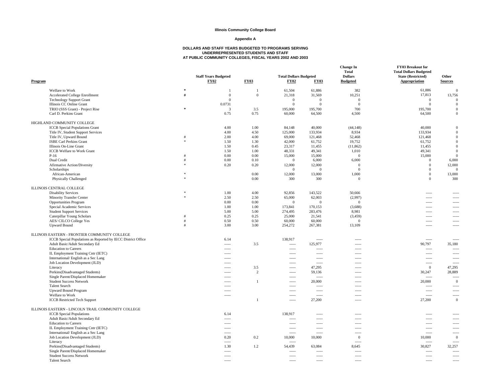#### **Appendix A**

| Program |                                                                                       |               | <b>Staff Years Budgeted</b><br><b>FY02</b> | <b>FY03</b>  | <b>Total Dollars Budgeted</b><br><b>FY02</b> | <b>FY03</b>              | <b>Change In</b><br><b>Total</b><br><b>Dollars</b><br><b>Budgeted</b> | FY03 Breakout for<br><b>Total Dollars Budgeted</b><br><b>State (Restricted)</b><br>Appropriation | Other<br><b>Sources</b>  |
|---------|---------------------------------------------------------------------------------------|---------------|--------------------------------------------|--------------|----------------------------------------------|--------------------------|-----------------------------------------------------------------------|--------------------------------------------------------------------------------------------------|--------------------------|
|         | Welfare to Work                                                                       | $\ast$        | $\mathbf{1}$                               | $\mathbf{1}$ | 61,504                                       | 61,886                   | 382                                                                   | 61,886                                                                                           | $\Omega$                 |
|         | Accelerated College Enrollment                                                        | #             | $\overline{0}$                             | $\mathbf{0}$ | 21,318                                       | 31,569                   | 10,251                                                                | 17,813                                                                                           | 13,756                   |
|         | <b>Technology Support Grant</b>                                                       |               | $\overline{0}$                             |              | $\Omega$                                     | $\mathbf{0}$             | $\overline{0}$                                                        | $\mathbf{0}$                                                                                     | $\Omega$                 |
|         | Illinois CC Online Grant                                                              |               | 0.0731                                     |              | $\Omega$                                     | $\Omega$                 | $\mathbf{0}$                                                          | $\overline{0}$                                                                                   | $\mathbf{0}$             |
|         | TRIO (SSS Grant) - Project Rise                                                       | s.            | 3                                          | 3.5          | 195,000                                      | 195,700                  | 700                                                                   | 195,700                                                                                          | $\Omega$                 |
|         | Carl D. Perkins Grant                                                                 |               | 0.75                                       | 0.75         | 60,000                                       | 64,500                   | 4,500                                                                 | 64,500                                                                                           | $\mathbf{0}$             |
|         | HIGHLAND COMMUNITY COLLEGE                                                            |               |                                            |              |                                              |                          |                                                                       |                                                                                                  |                          |
|         | <b>ICCB</b> Special Populations Grant                                                 |               | 4.00                                       | 1.00         | 84,148                                       | 40,000                   | (44, 148)                                                             | 40,000                                                                                           | $\Omega$                 |
|         |                                                                                       |               | 4.00                                       | 4.50         | 125,000                                      | 133,934                  | 8,934                                                                 | 133,934                                                                                          | $\overline{0}$           |
|         | Title IV, Student Support Services<br>Title IV, Upward Bound                          | #             | 2.00                                       | 4.00         | 69,000                                       | 121,468                  |                                                                       | 121,468                                                                                          | $\mathbf{0}$             |
|         |                                                                                       |               |                                            | 1.30         |                                              |                          | 52,468                                                                |                                                                                                  | $\overline{0}$           |
|         | <b>ISBE Carl Perkins Grant</b>                                                        |               | 1.50                                       |              | 42,000                                       | 61,752                   | 19,752                                                                | 61,752                                                                                           |                          |
|         | Illinois On-Line Grant                                                                |               | 1.50                                       | 0.45         | 23,317                                       | 11,455                   | (11, 862)                                                             | 11,455                                                                                           | $\overline{0}$           |
|         | <b>ICCB</b> Welfare to Work Grant                                                     |               | 1.50                                       | 1.00         | 48,331                                       | 49,341                   | 1,010                                                                 | 49,341                                                                                           | $\overline{0}$           |
|         | $P-16$                                                                                |               | 0.00                                       | 0.00         | 15,000                                       | 15,000                   | $\mathbf{0}$                                                          | 15,000                                                                                           | $\overline{0}$           |
|         | Dual Credit                                                                           |               | 0.00                                       | 0.10         | $\Omega$                                     | 6,000                    | 6,000                                                                 | $\mathbf{0}$                                                                                     | 6,000                    |
|         | Afirmative Action/Diversity                                                           |               | 0.20                                       | 0.20         | 12,000                                       | 12,000                   | $\Omega$                                                              | $\Omega$                                                                                         | 12,000                   |
|         | Scholarships                                                                          |               |                                            |              | $\Omega$                                     | $\mathbf{0}$             | $\Omega$                                                              | $\overline{0}$                                                                                   | $\Omega$                 |
|         | African-American                                                                      |               |                                            | 0.00         | 12,000                                       | 13,000                   | 1,000                                                                 | $\overline{0}$                                                                                   | 13,000                   |
|         | Physically Challenged                                                                 |               |                                            | 0.00         | 300                                          | 300                      | $\mathbf{0}$                                                          | $\Omega$                                                                                         | 300                      |
|         | ILLINOIS CENTRAL COLLEGE                                                              |               |                                            |              |                                              |                          |                                                                       |                                                                                                  |                          |
|         | <b>Disability Services</b>                                                            | $\frac{1}{2}$ | 1.00                                       | 4.00         | 92,856                                       | 143,522                  | 50,666                                                                | $\frac{1}{2}$                                                                                    | -----                    |
|         | <b>Minority Transfer Center</b>                                                       |               | 2.50                                       | 2.50         | 65,000                                       | 62,003                   | (2,997)                                                               | $\frac{1}{2}$                                                                                    | -----                    |
|         | <b>Opportunities Program</b>                                                          |               | 0.00                                       | 0.00         | $\overline{0}$                               | $\mathbf{0}$             | $\overline{0}$                                                        | $---$                                                                                            | $---$                    |
|         | Special Academic Services                                                             |               | 1.00                                       | 1.00         | 173,841                                      | 170,153                  | (3,688)                                                               |                                                                                                  | -----                    |
|         | <b>Student Support Services</b>                                                       |               | 5.00                                       | 5.00         | 274,495                                      | 283,476                  | 8,981                                                                 |                                                                                                  | -----                    |
|         |                                                                                       |               | 0.25                                       | 0.25         |                                              |                          |                                                                       | $\sim$                                                                                           |                          |
|         | Caterpillar Young Scholars                                                            | #             |                                            |              | 25,000                                       | 21,541                   | (3, 459)                                                              | $\frac{1}{2}$                                                                                    | $\overline{\phantom{a}}$ |
|         | AES/CILCO College Yes<br><b>Upward Bound</b>                                          |               | 0.50<br>3.00                               | 0.50<br>3.00 | 60,000<br>254,272                            | 60,000<br>267,381        | $\mathbf{0}$<br>13,109                                                | $\frac{1}{2}$<br>$\overline{\phantom{a}}$                                                        | -----                    |
|         |                                                                                       |               |                                            |              |                                              |                          |                                                                       |                                                                                                  |                          |
|         | ILLINOIS EASTERN - FRONTIER COMMUNITY COLLEGE                                         |               |                                            |              |                                              |                          |                                                                       |                                                                                                  |                          |
|         | ICCB Special Populations as Reported by IECC District Office                          |               | 6.14                                       |              | 138,917                                      | $\overline{\phantom{a}}$ | -----                                                                 | $\frac{1}{2}$                                                                                    | $\overline{a}$           |
|         | Adult Basic/Adult Secondary Ed                                                        |               | $- - - - -$                                | 3.5          | $\cdots$                                     | 125,977                  | $\overline{\phantom{a}}$                                              | 90,797                                                                                           | 35,180                   |
|         | <b>Education</b> to Careers                                                           |               | $\frac{1}{2}$                              |              | $1 - 1 - 1$                                  | $\overline{\phantom{a}}$ | -----                                                                 | $\frac{1}{2}$                                                                                    |                          |
|         | IL Employment Training Cntr (IETC)                                                    |               | $- - - -$                                  |              | $---$                                        | $\sim$                   | -----                                                                 | $\sim$                                                                                           | $\sim$                   |
|         | International/English as a Sec Lang                                                   |               | $\sim$                                     |              | 1.1111                                       | $\sim$ $\sim$ $\sim$     | -----                                                                 | $\sim$ $\sim$ $\sim$                                                                             | $---$                    |
|         | Job Location Development (JLD)                                                        |               |                                            |              |                                              |                          | -----                                                                 | -----                                                                                            |                          |
|         | Literacy                                                                              |               | $- - - -$                                  | 3.5          | $- - - -$                                    | 47,295                   | -----                                                                 | $\overline{0}$                                                                                   | 47,295                   |
|         | Perkins(Disadvantaged Students)                                                       |               | 1.1.1.1                                    | 2            | $\overline{\phantom{a}}$                     | 59,136                   | -----                                                                 | 30,247                                                                                           | 28,889                   |
|         | Single Parent/Displaced Homemaker                                                     |               |                                            |              | -----                                        | $\cdots$                 | -----                                                                 | $\frac{1}{2}$                                                                                    |                          |
|         | <b>Student Success Network</b>                                                        |               | $\cdots$                                   | $\mathbf{1}$ | $\sim$                                       | 20,000                   | -----                                                                 | 20,000                                                                                           | $\mathbf{0}$             |
|         | <b>Talent Search</b>                                                                  |               | 1.1.1.1                                    |              | -----                                        | $1 - 1 - 1$              | -----                                                                 | $\sim$                                                                                           | $\sim$                   |
|         | <b>Upward Bound Program</b>                                                           |               | $1 - 1 - 1$                                |              | -----                                        | $\overline{\phantom{a}}$ | -----                                                                 | $\frac{1}{2}$                                                                                    |                          |
|         | Welfare to Work                                                                       |               | $1 - 1 - 1$                                |              | -----                                        |                          |                                                                       | $\frac{1}{2}$                                                                                    | -----                    |
|         | <b>ICCB</b> Restricted Tech Support                                                   |               |                                            | $\mathbf{1}$ | $\cdots$                                     | 27,200                   | -----                                                                 | 27,200                                                                                           | $\overline{0}$           |
|         |                                                                                       |               |                                            |              |                                              |                          |                                                                       |                                                                                                  |                          |
|         | ILLINOIS EASTERN - LINCOLN TRAIL COMMUNITY COLLEGE<br><b>ICCB</b> Special Populations |               | 6.14                                       |              | 138,917                                      | $\sim$                   | -----                                                                 | $\sim$                                                                                           | -----                    |
|         |                                                                                       |               |                                            |              |                                              |                          |                                                                       |                                                                                                  |                          |
|         | Adult Basic/Adult Secondary Ed                                                        |               | $1 - 1 - 1$                                |              | -----<br>1.1111                              | $100 - 100 = 100$        | -----                                                                 | $\sim$                                                                                           | -----<br>$\sim$          |
|         | <b>Education</b> to Careers                                                           |               | $- - - - -$                                |              |                                              | $\overline{\phantom{a}}$ | -----                                                                 |                                                                                                  |                          |
|         | IL Employment Training Cntr (IETC)                                                    |               | $1 - 1 - 1$                                |              | $1 - 1 - 1 = 1$                              | $\sim$                   | -----                                                                 | $\sim$                                                                                           | $\sim$                   |
|         | International/English as a Sec Lang                                                   |               | $\frac{1}{2}$                              |              | $\frac{1}{2}$                                | $\frac{1}{2}$            | -----                                                                 | $\frac{1}{2}$                                                                                    | -----                    |
|         | Job Location Development (JLD)                                                        |               | 0.20                                       | 0.2          | 10,000                                       | 10,000                   | $\overline{0}$                                                        | 10,000                                                                                           | $\mathbf{0}$             |
|         | Literacy                                                                              |               | $\cdots$                                   |              | $---$                                        |                          | -----                                                                 | $\sim$                                                                                           | $\sim$                   |
|         | Perkins(Disadvantaged Students)                                                       |               | 1.30                                       | 1.2          | 54,439                                       | 63,084                   | 8,645                                                                 | 30,827                                                                                           | 32,257                   |
|         | Single Parent/Displaced Homemaker                                                     |               | $\frac{1}{2}$                              |              | $---$                                        | $\frac{1}{2}$            | -----                                                                 | $\sim$                                                                                           | $---$                    |
|         | <b>Student Success Network</b>                                                        |               | $- - - - -$                                |              | $1 - 1 - 1 = 1$                              | $\overline{\phantom{a}}$ | $\overline{\phantom{a}}$                                              | $\frac{1}{2}$                                                                                    | $\sim$                   |
|         | <b>Talent Search</b>                                                                  |               |                                            |              | $\overline{\phantom{a}}$                     |                          | -----                                                                 | $\overline{\phantom{a}}$                                                                         | -----                    |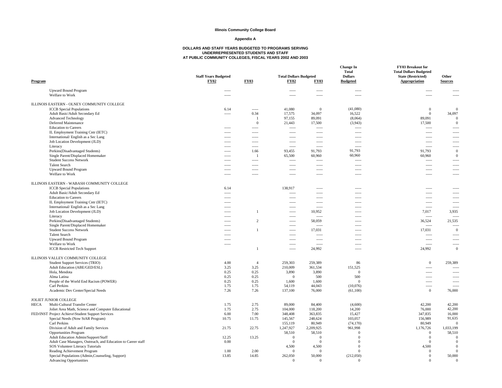#### **Appendix A**

| Program                                                                                                 | <b>Staff Years Budgeted</b><br><b>FY02</b> | <b>FY03</b>              | <b>Total Dollars Budgeted</b><br><b>FY02</b> | <b>FY03</b>                               | <b>Change In</b><br><b>Total</b><br><b>Dollars</b><br><b>Budgeted</b> | FY03 Breakout for<br><b>Total Dollars Budgeted</b><br><b>State (Restricted)</b><br>Appropriation | Other<br><b>Sources</b>  |
|---------------------------------------------------------------------------------------------------------|--------------------------------------------|--------------------------|----------------------------------------------|-------------------------------------------|-----------------------------------------------------------------------|--------------------------------------------------------------------------------------------------|--------------------------|
| <b>Upward Bound Program</b>                                                                             | $\cdots$                                   |                          | -----                                        | -----                                     | -----                                                                 |                                                                                                  |                          |
| Welfare to Work                                                                                         | $---$                                      |                          | -----                                        | $---$                                     | $---$                                                                 | $---$                                                                                            |                          |
| ILLINOIS EASTERN - OLNEY COMMUNITY COLLEGE                                                              |                                            |                          |                                              |                                           |                                                                       |                                                                                                  |                          |
| <b>ICCB</b> Special Populations                                                                         | 6.14                                       | $\sim$ $\sim$ $\sim$     | 41,080                                       | $\Omega$                                  | (41,080)                                                              | $\mathbf{0}$                                                                                     | $\Omega$                 |
| Adult Basic/Adult Secondary Ed<br><b>Advanced Technology</b>                                            | $\sim$                                     | 0.34<br>$\overline{1}$   | 17,575<br>97,155                             | 34,097                                    | 16,522<br>(8,064)                                                     | $\mathbf{0}$                                                                                     | 34,097<br>$\overline{0}$ |
| Deferred Maintenance                                                                                    |                                            | $\overline{0}$           | 21,443                                       | 89,091<br>17,500                          | (3,943)                                                               | 89,091<br>17,500                                                                                 | $\Omega$                 |
| <b>Education</b> to Careers                                                                             | $1 - 1 - 1 = 1$                            | $\overline{\phantom{a}}$ | $1 - 1 - 1 = 1$                              | $\overline{\phantom{a}}$                  | $\overline{\phantom{a}}$                                              | $\overline{\phantom{a}}$                                                                         | -----                    |
| IL Employment Training Cntr (IETC)                                                                      | $1 - 1 - 1 = 1$                            | $\overline{\phantom{a}}$ | $1 - 1 - 1 = 1$                              | $\overline{\phantom{a}}$                  | $1 - 1 - 1 - 1 = 1$                                                   | $\overline{\phantom{a}}$                                                                         | -----                    |
| International/English as a Sec Lang                                                                     | $\sim$                                     | $\sim$                   | 1.111                                        | $\sim$ $\sim$ $\sim$                      | $\sim$ $\sim$ $\sim$                                                  | $---$                                                                                            | $\overline{a}$           |
| Job Location Development (JLD)                                                                          | $1 - 1 - 1 = 1$                            | $\overline{\phantom{a}}$ | $- - - - -$                                  | $- - - - -$                               | $\overline{\phantom{a}}$                                              | $\sim$                                                                                           | -----                    |
| Literacy                                                                                                |                                            | -----                    | $\sim$                                       | $---$                                     | -----                                                                 | $1 - 1$                                                                                          | $\theta$                 |
| Perkins(Disadvantaged Students)<br>Single Parent/Displaced Homemaker                                    | $- - - - -$<br>$- - - -$                   | 1.66<br>-1               | 93,455<br>65,500                             | 91,793<br>60,960                          | 91,793<br>60,960                                                      | 91,793<br>60,960                                                                                 | $\overline{0}$           |
| <b>Student Success Network</b>                                                                          |                                            | -----                    | $1 - 1 - 1 = 1$                              | $\overline{\phantom{a}}$                  | $\frac{1}{2}$                                                         | $\frac{1}{2}$                                                                                    |                          |
| <b>Talent Search</b>                                                                                    | $\sim$                                     | $\sim$                   | $\sim$                                       | $\sim$                                    | $\sim$                                                                | $\sim$                                                                                           | $\sim$                   |
| <b>Upward Bound Program</b>                                                                             | $\overline{\phantom{a}}$                   | $\cdots$                 | $\frac{1}{2}$                                | $\frac{1}{2}$                             | $\overline{\phantom{a}}$                                              | $\frac{1}{2}$                                                                                    | -----                    |
| Welfare to Work                                                                                         | $\overline{\phantom{a}}$                   | -----                    | -----                                        |                                           | -----                                                                 | $\overline{\phantom{a}}$                                                                         | $---$                    |
| ILLINOIS EASTERN - WABASH COMMUNITY COLLEGE                                                             |                                            |                          |                                              |                                           |                                                                       |                                                                                                  |                          |
| <b>ICCB</b> Special Populations                                                                         | 6.14                                       |                          | 138,917                                      | $\frac{1}{2}$                             | -----                                                                 | $\frac{1}{2}$                                                                                    |                          |
| Adult Basic/Adult Secondary Ed                                                                          | 1.1111                                     |                          | $\cdots$                                     | $\overline{\phantom{a}}$                  | $\overline{\phantom{a}}$                                              | $\overline{\phantom{a}}$                                                                         | -----                    |
| <b>Education</b> to Careers                                                                             | $- - - -$                                  |                          | -----                                        | $1 - 1 - 1$                               | $\frac{1}{2}$                                                         | $1 - 1 - 1 - 1 = 0$                                                                              | -----                    |
| IL Employment Training Cntr (IETC)<br>International/English as a Sec Lang                               | $\sim$                                     |                          | <br>$\sim$                                   | $\frac{1}{2}$<br>$\overline{\phantom{a}}$ | -----<br>$\overline{\phantom{a}}$                                     | $\frac{1}{2}$<br>$\sim$                                                                          | -----<br>-----           |
| Job Location Development (JLD)                                                                          | $- - - -$                                  | -1                       | -----                                        | 10,952                                    | $1 - 1 - 1$                                                           | 7,017                                                                                            | 3,935                    |
| Literacy                                                                                                | $---$                                      |                          | -----                                        | $\sim$                                    | $\overline{\phantom{a}}$                                              | $\sim$                                                                                           | $\sim$                   |
| Perkins(Disadvantaged Students)                                                                         | $\sim$                                     | $\overline{c}$           | 1.111                                        | 58,059                                    | $\sim$ $\sim$ $\sim$                                                  | 36,524                                                                                           | 21,535                   |
| Single Parent/Displaced Homemaker                                                                       | $- - - - -$                                |                          | $\sim$                                       | $\sim$                                    | $\overline{\phantom{a}}$                                              | $\sim$                                                                                           | $\sim$                   |
| <b>Student Success Network</b>                                                                          | $---$                                      | $\overline{1}$           | -----                                        | 17,031                                    | $\overline{\phantom{a}}$                                              | 17,031                                                                                           | $\overline{0}$           |
| <b>Talent Search</b>                                                                                    | $\sim$                                     |                          | $---$                                        | $\sim$                                    | $\sim$ $\sim$ $\sim$                                                  | $\sim$                                                                                           | $\cdots$<br>-----        |
| <b>Upward Bound Program</b><br>Welfare to Work                                                          | $\sim$                                     |                          | -----<br>-----                               | $\overline{\phantom{a}}$<br>$\sim$        | -----<br>$\overline{\phantom{a}}$                                     | $\overline{\phantom{a}}$<br>$\overline{\phantom{a}}$                                             | $\frac{1}{2}$            |
| <b>ICCB</b> Restricted Tech Support                                                                     |                                            | $\overline{1}$           | $1 - 1 - 1 = 1$                              | 24,992                                    | $---$                                                                 | 24,992                                                                                           | $\Omega$                 |
| ILLINOIS VALLEY COMMUNITY COLLEGE                                                                       |                                            |                          |                                              |                                           |                                                                       |                                                                                                  |                          |
| Student Support Services (TRIO)                                                                         | 4.00                                       | $\overline{4}$           | 259,303                                      | 259,389                                   | 86                                                                    | $\mathbf{0}$                                                                                     | 259.389                  |
| Adult Education (ABE/GED/ESL)                                                                           | 3.25                                       | 3.25                     | 210,009                                      | 361,534                                   | 151,525                                                               | $\overline{\phantom{a}}$                                                                         |                          |
| Hola, Mendota                                                                                           | 0.25                                       | 0.25                     | 3,890                                        | 3,890                                     | $\mathbf{0}$                                                          | 1.111                                                                                            | $- - - - -$              |
| Alma Latina                                                                                             | 0.25                                       | 0.25                     | $\Omega$                                     | 500                                       | 500                                                                   | 1.1.1.1                                                                                          | $- - - - -$              |
| People of the World End Racism (POWER)                                                                  | 0.25                                       | 0.25                     | 1,600                                        | 1,600                                     | $\overline{0}$                                                        | $\frac{1}{2}$                                                                                    |                          |
| Carl Perkins                                                                                            | 1.75                                       | 1.75                     | 54,119                                       | 44,043                                    | (10,076)                                                              | $\overline{\phantom{a}}$<br>$\mathbf{0}$                                                         | $\frac{1}{2}$<br>76,000  |
| Academic Dev Center/Special Needs                                                                       | 7.26                                       | 7.26                     | 137,100                                      | 76,000                                    | (61,100)                                                              |                                                                                                  |                          |
| JOLIET JUNIOR COLLEGE                                                                                   |                                            |                          |                                              |                                           |                                                                       |                                                                                                  |                          |
| HECA<br>Multi-Cultural Transfer Center                                                                  | 1.75<br>1.75                               | 2.75<br>2.75             | 89,000                                       | 84,400                                    | (4,600)                                                               | 42,200                                                                                           | 42,200<br>42,200         |
| Joliet Area Math, Science and Computer Educational<br>FED/INST Project Achieve\Student Support Services | 6.00                                       | 7.00                     | 104,000<br>348,408                           | 118,200<br>363,835                        | 14,200<br>15,427                                                      | 76,000<br>347,835                                                                                | 16,000                   |
| Special Needs (Now StAR Program)                                                                        | 10.75                                      | 11.75                    | 145,567                                      | 248,624                                   | 103,057                                                               | 156,989                                                                                          | 91,635                   |
| Carl Perkins                                                                                            |                                            |                          | 155,119                                      | 80,949                                    | (74, 170)                                                             | 80,949                                                                                           | $\Omega$                 |
| Division of Adult and Family Services                                                                   | 21.75                                      | 22.75                    | 1,247,927                                    | 2,209,925                                 | 961,998                                                               | 1,176,726                                                                                        | 1,033,199                |
| <b>Opportunities Program</b>                                                                            |                                            |                          | 58,510                                       | 58,510                                    | $\Omega$                                                              | $\overline{0}$                                                                                   | 58,510                   |
| Adult Education Admin/Support/Staff                                                                     | 12.25                                      | 13.25                    | $\Omega$                                     | $\Omega$                                  | $\Omega$                                                              | $\overline{0}$                                                                                   | $\Omega$                 |
| Adult Case Managers, Outreach, and Education to Career staff                                            | $0.00\,$                                   |                          | $\Omega$                                     | $\Omega$                                  | $\Omega$                                                              | $\theta$                                                                                         | $\Omega$                 |
| SOS Volunteer Literacy Tutorials                                                                        |                                            | 2.00                     | 4,500                                        | 4,500<br>$\Omega$                         | $\Omega$<br>$\Omega$                                                  | 4,500<br>$\Omega$                                                                                | $\Omega$<br>$\Omega$     |
| Reading Achievement Program<br>Special Populations (Admin, Counseling, Support)                         | 1.00<br>13.85                              | 14.85                    | 262,050                                      | 50,000                                    | (212,050)                                                             | $\mathbf{0}$                                                                                     | 50,000                   |
| <b>Advancing Opportunities</b>                                                                          |                                            |                          | $\Omega$                                     | $\Omega$                                  |                                                                       | $\Omega$                                                                                         | $\Omega$                 |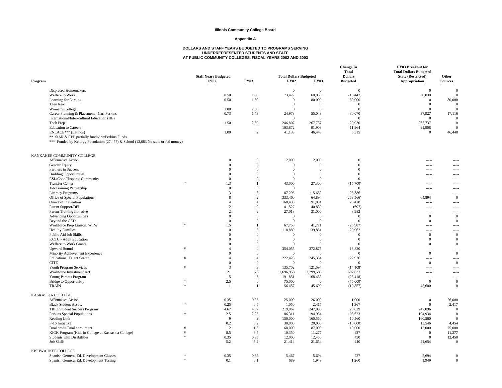#### **Appendix A**

| Program                                                                                                                             | <b>Staff Years Budgeted</b><br><b>FY02</b> | <b>FY03</b>            | <b>Total Dollars Budgeted</b><br><b>FY02</b> | <b>FY03</b>       | <b>Change In</b><br><b>Total</b><br><b>Dollars</b><br><b>Budgeted</b> | FY03 Breakout for<br><b>Total Dollars Budgeted</b><br><b>State (Restricted)</b><br>Appropriation | Other<br><b>Sources</b> |
|-------------------------------------------------------------------------------------------------------------------------------------|--------------------------------------------|------------------------|----------------------------------------------|-------------------|-----------------------------------------------------------------------|--------------------------------------------------------------------------------------------------|-------------------------|
| <b>Displaced Homemakers</b>                                                                                                         |                                            |                        | $\Omega$                                     | $\overline{0}$    | $\mathbf{0}$                                                          | $\mathbf{0}$                                                                                     | $\Omega$                |
| Welfare to Work                                                                                                                     | 0.50                                       | 1.50                   | 73,477                                       | 60,030            | (13, 447)                                                             | 60,030                                                                                           | $\Omega$                |
| Learning for Earning                                                                                                                | 0.50                                       | 1.50                   | $\overline{0}$                               | 80,000            | 80,000                                                                | $\Omega$                                                                                         | 80,000                  |
| Teen Reach                                                                                                                          |                                            |                        | $\Omega$                                     | $\overline{0}$    | $\mathbf{0}$                                                          | $\Omega$                                                                                         | $\Omega$                |
| Women's College                                                                                                                     | 1.00                                       | 2.00                   | $\overline{0}$                               | $\overline{0}$    | $\mathbf{0}$                                                          | $\Omega$                                                                                         | $\mathbf{0}$            |
| Career Planning & Placement - Carl Perkins                                                                                          | 0.73                                       | 1.73                   | 24,973                                       | 55,043            | 30,070                                                                | 37,927                                                                                           | 17,116                  |
| International/Inter-cultural Education (IIE)                                                                                        |                                            |                        | $\Omega$                                     | $\overline{0}$    | $\overline{0}$                                                        | $\Omega$                                                                                         | $\overline{0}$          |
| Tech Prep                                                                                                                           | 1.50                                       | 2.50                   | 246,807                                      | 267,737           | 20,930                                                                | 267,737                                                                                          | $\mathbf{0}$            |
| <b>Education</b> to Careers                                                                                                         |                                            |                        | 103,872                                      | 91,908            | 11,964                                                                | 91,908                                                                                           | $\overline{0}$          |
| ENLACE*** (Latinos)                                                                                                                 | 1.00                                       | 2                      | 41,133                                       | 46,448            | 5,315                                                                 | $\Omega$                                                                                         | 46,448                  |
| ** StAR & CPP partially funded w/Perkins Funds<br>*** Funded by Kellogg Foundation (27,457) & School (13,683 No state or fed money) |                                            |                        |                                              |                   |                                                                       |                                                                                                  |                         |
| KANKAKEE COMMUNITY COLLEGE                                                                                                          |                                            |                        |                                              |                   |                                                                       |                                                                                                  |                         |
| Affirmative Action                                                                                                                  | $\Omega$                                   | $\theta$               | 2,000                                        | 2,000             | $\Omega$                                                              | $\overline{\phantom{a}}$                                                                         |                         |
| Gender Equity                                                                                                                       | $\boldsymbol{0}$                           | $\mathbf{0}$           | $\Omega$                                     | $\overline{0}$    | $\mathbf{0}$                                                          |                                                                                                  | -----                   |
| Partners in Success                                                                                                                 | $\Omega$                                   | $\Omega$               | $\Omega$                                     | $\overline{0}$    | $\overline{0}$                                                        | $---$                                                                                            | -----                   |
| <b>Building Opportunities</b>                                                                                                       | $\Omega$                                   | $\Omega$               | $\Omega$                                     | $\overline{0}$    | $\overline{0}$                                                        |                                                                                                  |                         |
| ESL/Coop/Hispanic Community                                                                                                         | $\mathbf{0}$                               | $\Omega$               | $\Omega$                                     | $\overline{0}$    | $\mathbf{0}$                                                          | $\sim$ $\sim$ $\sim$ $\sim$                                                                      | -----                   |
| <b>Transfer Center</b>                                                                                                              | $\ast$<br>1.3                              | $\overline{1}$         | 43,000                                       | 27,300            | (15,700)                                                              | $- - - - -$                                                                                      | -----                   |
| Job Training Partnership                                                                                                            | $\mathbf{0}$                               | $\Omega$               | $\overline{0}$                               | $\overline{0}$    | $\overline{0}$                                                        | $\overline{\phantom{a}}$                                                                         |                         |
| <b>Literacy Programs</b>                                                                                                            | 3                                          | 3                      | 87,296                                       | 115,682           | 28,386                                                                | $\sim$                                                                                           | -----                   |
| Office of Special Populations                                                                                                       | 8                                          | 2                      | 333,460                                      | 64,894            | (268, 566)                                                            | 64,894                                                                                           | $\Omega$                |
| <b>Ounce of Prevention</b>                                                                                                          | $\overline{4}$                             | $\boldsymbol{\Delta}$  | 168,433                                      | 191,851           | 23,418                                                                | $\overline{\phantom{a}}$                                                                         |                         |
| Parent Support/DFI                                                                                                                  | 2                                          | 2                      | 41,527                                       | 40,830            | (697)                                                                 | $\sim$ $\sim$ $\sim$ $\sim$                                                                      | -----                   |
| <b>Parent Training Initiative</b>                                                                                                   | 2                                          | 2<br>$\Omega$          | 27,018                                       | 31,000            | 3,982                                                                 | $1 - 1 - 1 = 1$                                                                                  | -----                   |
| <b>Advancing Opportunities</b>                                                                                                      | $\mathbf{0}$                               | $\Omega$               | $\overline{0}$<br>$\Omega$                   | $\overline{0}$    | $\overline{0}$                                                        | $\mathbf{0}$                                                                                     | $\Omega$                |
| Beyond the GED                                                                                                                      | $\mathbf{0}$<br>1.5                        | $\mathbf{1}$           |                                              | $\overline{0}$    | $\overline{0}$                                                        | $\mathbf{0}$                                                                                     | $\Omega$                |
| Workforce Prep Liaison; WTW<br><b>Healthy Families</b>                                                                              | $\mathbf{0}$                               | 3                      | 67,758<br>118,889                            | 41,771<br>139,851 | (25,987)<br>20,962                                                    | $\cdots$<br>$\sim$                                                                               | -----<br>-----          |
| Public Aid Job Skills                                                                                                               | $\mathbf{0}$                               | $\Omega$               | $\mathbf{0}$                                 | $\overline{0}$    | $\bf{0}$                                                              | $\mathbf{0}$                                                                                     | $\Omega$                |
| KCTC - Adult Education                                                                                                              | $\mathbf{0}$                               | $\Omega$               | $\overline{0}$                               | $\overline{0}$    | $\overline{0}$                                                        | $\mathbf{0}$                                                                                     | $\mathbf{0}$            |
| Welfare to Work Grants                                                                                                              | $\Omega$                                   | $\Omega$               | $\theta$                                     | $\Omega$          | $\theta$                                                              | $\Omega$                                                                                         | $\Omega$                |
| <b>Upward Bound</b>                                                                                                                 | $\overline{A}$<br>#                        | $\boldsymbol{\Delta}$  | 354,055                                      | 372,875           | 18,820                                                                | $\sim$                                                                                           |                         |
| Minority Achievement Experience                                                                                                     | $\mathbf{0}$                               | $\mathbf{0}$           | $\mathbf{0}$                                 | $\overline{0}$    | $\mathbf{0}$                                                          | $\mathbf{0}$                                                                                     | $\mathbf{0}$            |
| <b>Educational Talent Search</b>                                                                                                    | $\overline{4}$                             | $\boldsymbol{\Lambda}$ | 222,428                                      | 245,354           | 22,926                                                                | $---$                                                                                            |                         |
| <b>CITE</b>                                                                                                                         | $\mathbf{0}$                               | $\overline{0}$         | $\overline{0}$                               | $\overline{0}$    | $\mathbf{0}$                                                          | $\mathbf{0}$                                                                                     | $\theta$                |
| Youth Program Services                                                                                                              | $\mathfrak{Z}$<br>#                        | $\mathfrak{Z}$         | 135,702                                      | 121,594           | (14, 108)                                                             | $\frac{1}{2}$                                                                                    | -----                   |
| Workforce Investment Act                                                                                                            | 21                                         | 23                     | 2,696,953                                    | 3,299,586         | 602,633                                                               | $\overline{\phantom{a}}$                                                                         | -----                   |
| Young Parents Program                                                                                                               | 5                                          | 6                      | 191,851                                      | 168,433           | (23, 418)                                                             | $\overline{\phantom{a}}$                                                                         | -----                   |
| <b>Bridge to Opportunitiy</b>                                                                                                       | 2.5<br>$\ast$                              | $\mathbf{0}$           | 75,000                                       | $\overline{0}$    | (75,000)                                                              | $\mathbf{0}$                                                                                     | $\mathbf{0}$            |
| <b>TRAIN</b>                                                                                                                        | -1                                         | $\overline{1}$         | 56,457                                       | 45,600            | (10, 857)                                                             | 45,600                                                                                           | $\mathbf{0}$            |
| KASKASKIA COLLEGE                                                                                                                   |                                            |                        |                                              |                   |                                                                       |                                                                                                  |                         |
| Affirmative Action                                                                                                                  | 0.35                                       | 0.35                   | 25,000                                       | 26,000            | 1,000                                                                 | $\mathbf{0}$                                                                                     | 26,000                  |
| <b>Black Student Assoc.</b>                                                                                                         | $\ast$<br>0.25                             | 0.5                    | 1,050                                        | 2,417             | 1,367                                                                 | $\mathbf{0}$                                                                                     | 2,417                   |
| TRIO/Student Success Program                                                                                                        | 4.67                                       | 4.67                   | 219,067                                      | 247,096           | 28,029                                                                | 247,096                                                                                          | $\overline{0}$          |
| Perkins Special Populations                                                                                                         | $\ast$<br>2.5                              | 2.25                   | 86,311                                       | 194,934           | 108,623                                                               | 194,934                                                                                          | $\overline{0}$          |
| Reading Link                                                                                                                        | 9                                          | 9                      | 150,000                                      | 160,560           | 10,560                                                                | 160,560                                                                                          | $\Omega$                |
| P-16 Initiative                                                                                                                     | 0.2                                        | 0.2                    | 30,000                                       | 20,000            | (10,000)                                                              | 15,546                                                                                           | 4,454                   |
| Dual credit/Dual enrollment                                                                                                         | 1.2<br>#                                   | 1.5                    | 68,000                                       | 87,000            | 19,000                                                                | 12,000                                                                                           | 75,000                  |
| KICK Program (Kids in College at Kaskaskia College)                                                                                 | 8.5<br>#                                   | 8.5                    | 10,350                                       | 11,277            | 927                                                                   | $\Omega$                                                                                         | 11,277                  |
| Students with Disabilities                                                                                                          | 0.35                                       | 0.35                   | 12,000                                       | 12,450            | 450                                                                   | $\Omega$                                                                                         | 12,450                  |
| <b>Job Skills</b>                                                                                                                   | 5.2                                        | 5.2                    | 21,414                                       | 21,654            | 240                                                                   | 21,654                                                                                           | $\mathbf{0}$            |
| KISHWAUKEE COLLEGE                                                                                                                  |                                            |                        |                                              |                   |                                                                       |                                                                                                  |                         |
| Spanish Gerneral Ed. Development Classes                                                                                            | $\ast$<br>0.35                             | 0.35                   | 5,467                                        | 5,694             | 227                                                                   | 5,694                                                                                            | $\Omega$                |
| Spanish Gerneral Ed. Development Testing                                                                                            | $\ast$<br>0.1                              | 0.1                    | 689                                          | 1,949             | 1,260                                                                 | 1,949                                                                                            | $\mathbf{0}$            |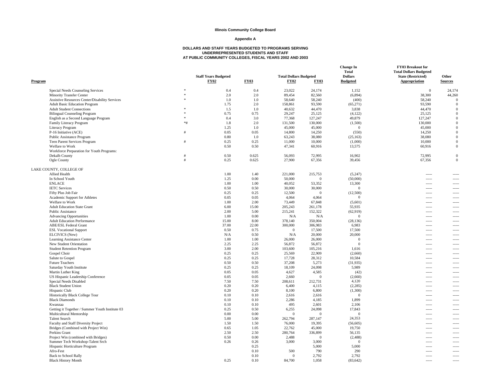#### **Appendix A**

| Program                                                         |        | <b>Staff Years Budgeted</b><br><b>FY02</b> | <b>FY03</b>  | <b>Total Dollars Budgeted</b><br>FY02 | <b>FY03</b>        | <b>Change In</b><br><b>Total</b><br><b>Dollars</b><br><b>Budgeted</b> | FY03 Breakout for<br><b>Total Dollars Budgeted</b><br><b>State (Restricted)</b><br><b>Appropriation</b> | Other<br><b>Sources</b>  |
|-----------------------------------------------------------------|--------|--------------------------------------------|--------------|---------------------------------------|--------------------|-----------------------------------------------------------------------|---------------------------------------------------------------------------------------------------------|--------------------------|
| Special Needs Counseling Services                               | $\ast$ | 0.4                                        | 0.4          | 23,022                                | 24,174             | 1,152                                                                 | $\mathbf{0}$                                                                                            | 24,174                   |
| Minority Transfer Center                                        | $\ast$ | 2.0                                        | 2.0          | 89,454                                | 82,560             | (6,894)                                                               | 38,300                                                                                                  | 44,260                   |
| Assistive Resources Center/Disability Services                  |        | 1.0                                        | 1.0          | 58,640                                | 58,240             | (400)                                                                 | 58,240                                                                                                  | $\Omega$                 |
| <b>Adult Basic Education Program</b>                            |        | 1.75                                       | 2.0          | 158,861                               | 93,590             | (65,271)                                                              | 93,590                                                                                                  | $\mathbf{0}$             |
| <b>Adult Student Connections</b>                                |        | 1.5                                        | 1.0          | 40,632                                | 44,470             | 3,838                                                                 | 44,470                                                                                                  | $\mathbf{0}$             |
| <b>Bilingual Counseling Program</b>                             |        | 0.75                                       | 0.75         | 29,247                                | 25,125             | (4, 122)                                                              | 25,125                                                                                                  | $\Omega$                 |
| English as a Second Language Program                            | $\ast$ | 0.4                                        | 3.0          | 77,368                                | 127,247            | 49,879                                                                | 127,247                                                                                                 | $\mathbf{0}$             |
| Family Literacy Program                                         | $*#$   | 1.8                                        | 2.0          | 131,500                               | 130,000            | (1,500)                                                               | 130,000                                                                                                 | $\mathbf{0}$             |
| <b>Literacy Program</b>                                         |        | 1.25                                       | 1.0          | 45,000                                | 45,000             | $\overline{0}$                                                        | 45,000                                                                                                  | $\Omega$                 |
| P-16 Initiative (ACE)                                           |        | 0.05                                       | 0.05         | 14,800                                | 14,250             | (550)                                                                 | 14,250                                                                                                  | $\Omega$                 |
| Public Assistance Program                                       |        | 0.80                                       | 1.0          | 63,243                                | 38,080             | (25, 163)                                                             | 38,080                                                                                                  | $\Omega$                 |
| Teen Parent Services Program                                    |        | 0.25                                       | 0.25         | 11,000                                | 10,000             | (1,000)                                                               | 10,000                                                                                                  | $\Omega$                 |
| Welfare to Work                                                 |        | 0.50                                       | 0.50         | 47,341                                | 60,916             | 13,575                                                                | 60,916                                                                                                  | $\overline{0}$           |
| Workforce Preparation for Youth Programs:                       |        |                                            |              |                                       |                    |                                                                       |                                                                                                         |                          |
| Dekalb County                                                   | #      | 0.50                                       | 0.625        | 56,093                                | 72,995             | 16,902                                                                | 72,995                                                                                                  | $\mathbf{0}$             |
| Ogle County                                                     | $\#$   | 0.25                                       | 0.625        | 27,900                                | 67,356             | 39,456                                                                | 67,356                                                                                                  | $\mathbf{0}$             |
|                                                                 |        |                                            |              |                                       |                    |                                                                       |                                                                                                         |                          |
| LAKE COUNTY, COLLEGE OF                                         |        |                                            |              |                                       |                    |                                                                       |                                                                                                         |                          |
| Allied Health                                                   |        | 1.00                                       | 1.40         | 221,000                               | 215,753            | (5,247)                                                               | -----                                                                                                   |                          |
| In School Youth                                                 |        | 1.25                                       | 0.00         | 50,000                                | $\Omega$           | (50,000)                                                              | 1.111                                                                                                   | $\sim$ $\sim$ $\sim$     |
| <b>ENLACE</b>                                                   |        | 1.00                                       | 1.00         | 40,052                                | 53,352             | 13,300                                                                | -----                                                                                                   | $- - - - -$              |
| <b>IETC</b> Services                                            |        | 0.50                                       | 0.50         | 30,000                                | 30,000             | $\overline{0}$                                                        | -----                                                                                                   |                          |
| Fifty Plus Job Fair                                             |        | 0.25                                       | 0.25         | 12,500                                | $\Omega$           | (12,500)                                                              | $\sim$ $\sim$ $\sim$                                                                                    | $\sim$ $\sim$ $\sim$     |
| Academic Support for Athletes                                   |        | 0.05                                       | 0.05         | 4,064                                 | 4.064              | $\theta$                                                              | $1 - 1 - 1 = 1$                                                                                         | $\sim$ $\sim$ $\sim$     |
| Welfare to Work                                                 |        | 1.00                                       | 2.00         | 73,449                                | 67,848             | (5,601)                                                               | $\frac{1}{2}$                                                                                           | -----                    |
| <b>Adult Education State Grant</b>                              |        | 6.00                                       | 15.00        | 205,243                               | 261,178            | 55,935                                                                | 1.111                                                                                                   | $---$                    |
| Public Assistance                                               |        | 2.00                                       | 5.00         | 215,241                               | 152,322            | (62, 919)                                                             | $1 - 1 - 1 = 1$                                                                                         | $\sim$ $\sim$ $\sim$     |
| <b>Advancing Opportunities</b>                                  |        | 1.00                                       | 0.00         | N/A                                   | N/A                | $\overline{0}$                                                        | $\sim$                                                                                                  | -----                    |
| <b>Adult Education Performance</b>                              |        | 15.00                                      | 8.00         | 378,140                               | 350,004            | (28, 136)                                                             | 1.111                                                                                                   | $\sim$ $\sim$ $\sim$     |
| <b>ABE/ESL Federal Grant</b>                                    |        | 37.00                                      | 22.00        | 300,000                               | 306,983            | 6,983                                                                 |                                                                                                         | $\sim$ $\sim$ $\sim$     |
| <b>ESL Vocational Support</b>                                   |        | 0.50                                       | 0.75         | $\Omega$                              | 17,500             | 17,500                                                                | $\sim$                                                                                                  | $---$                    |
| ELCIVICS (New)                                                  |        | N/A                                        | 0.50         | N/A                                   | 20,000             | 20,000                                                                | 1.111                                                                                                   | $---$                    |
| Learning Assistance Center                                      |        | 1.00                                       | 1.00         | 26,000                                | 26,000             | $\mathbf{0}$                                                          | $\frac{1}{2}$                                                                                           | -----                    |
| New Student Orientation                                         |        | 2.25                                       | 2.25         | 56,872                                | 56,872             | $\overline{0}$                                                        | $- - - -$                                                                                               | $---$                    |
| <b>Student Retention Program</b>                                |        | 3.00                                       | 2.00         | 103,600                               | 105,216            | 1,616                                                                 | $1 - 1 - 1 = 1$                                                                                         | $\sim$ $\sim$ $\sim$     |
| Gospel Choir                                                    |        | 0.25                                       | 0.25         | 25,569                                | 22,909             | (2,660)                                                               | -----                                                                                                   | -----                    |
| Salute to Gospel                                                |        | 0.25                                       | 0.25         | 17,728                                | 28,312             | 10,584                                                                | $- - - -$                                                                                               | $---$                    |
| <b>Future Teachers</b>                                          |        | 0.50                                       | 0.50         | 37,208                                | 5,273              | (31, 935)                                                             | $100 - 100$                                                                                             | $\overline{\phantom{a}}$ |
| Saturday Youth Institute                                        |        | 0.25                                       | 0.25         | 18,109                                | 24,098             | 5,989                                                                 | -----                                                                                                   | -----                    |
| Martin Luther King                                              |        | 0.05                                       | 0.05         | 4,627                                 | 4,585              | (42)                                                                  | $1 - 1 - 1 = 1$                                                                                         | $---$                    |
| US Hispanic Leadership Conference                               |        | 0.05                                       | 0.05         | 2,660                                 | $\Omega$           | (2,660)                                                               |                                                                                                         | $\overline{\phantom{a}}$ |
| Special Needs Disabled                                          |        | 7.50                                       | 7.50         | 208,611                               | 212,731            | 4,120                                                                 | $-----$<br>-----                                                                                        | -----                    |
| <b>Black Student Union</b>                                      |        | 0.20                                       | 0.20         | 6,400                                 | 4,115              | (2, 285)                                                              | $- - - - -$                                                                                             | $\sim$                   |
| Hispanic Club                                                   |        | 0.20                                       | 0.20         | 8,100                                 | 6,800              | (1,300)                                                               |                                                                                                         | $\overline{\phantom{a}}$ |
|                                                                 |        |                                            |              |                                       |                    | $\mathbf{0}$                                                          | $- - - - -$                                                                                             |                          |
| <b>Historically Black College Tour</b><br><b>Black Diamonds</b> |        | 0.10                                       | 0.10<br>0.10 | 2,616                                 | 2,616              | 1,899                                                                 | -----                                                                                                   | -----                    |
|                                                                 |        | 0.10                                       |              | 2,286                                 | 4,185              |                                                                       | $- - - - -$                                                                                             | $\sim$                   |
| Kwanzaa                                                         |        | 0.10                                       | 0.10         | 495                                   | 2,601              | 2,106                                                                 | $1 - 1 - 1 = 1$                                                                                         | $\overline{\phantom{a}}$ |
| Getting it Together / Summer Youth Institute 03                 |        | 0.25                                       | 0.50         | 6,255                                 | 24,098<br>$\Omega$ | 17,843                                                                | $\sim$                                                                                                  | $\sim$                   |
| Multicultural Mentorship                                        |        | 0.00                                       | 0.00         | $\Omega$                              |                    | $\mathbf{0}$                                                          | $- - - - -$                                                                                             | $\overline{\phantom{a}}$ |
| <b>Talent Search</b>                                            |        | 5.00                                       | 5.00         | 262,794                               | 287,147            | 24,353                                                                | $- - - - -$                                                                                             | $\overline{\phantom{a}}$ |
| Faculty and Staff Diversity Project                             |        | 1.50                                       | 1.50         | 76,000                                | 19,395             | (56, 605)                                                             | $\sim$                                                                                                  | $\sim$                   |
| Bridges (Combined with Project Win)                             |        | 0.65                                       | 1.05         | 22,762                                | 45,000             | 19,750                                                                | $- - - - -$                                                                                             | $\overline{\phantom{a}}$ |
| Perkins Grant                                                   |        | 2.50                                       | 2.50         | 280,764                               | 336,899            | 56,135                                                                | -----                                                                                                   |                          |
| Project Win (combined with Bridges)                             |        | 0.50                                       | 0.00         | 2,488                                 | $\Omega$           | (2, 488)                                                              | $\sim$                                                                                                  | $\sim$                   |
| Summer Tech Workshop-Talent Srch                                |        | 0.26                                       | 0.26         | 3,000                                 | 3,000              | $\overline{0}$                                                        | $-----$                                                                                                 | -----                    |
| Hispanic Horticulture Program                                   |        |                                            | 0.25         |                                       | 5,000              | 5,000                                                                 | 1.11                                                                                                    |                          |
| Afro-Fest                                                       |        |                                            | 0.10         | 500                                   | 790                | 290                                                                   | $\sim$ $\sim$ $\sim$                                                                                    | $\sim$ $\sim$ $\sim$     |
| <b>Back to School Rally</b>                                     |        |                                            | 0.10         | $\Omega$                              | 2,792              | 2,792                                                                 | -----                                                                                                   | $\sim$                   |
| <b>Black History Month</b>                                      |        | 0.25                                       | 0.10         | 84,700                                | 1,058              | (83, 642)                                                             | $- - - -$                                                                                               |                          |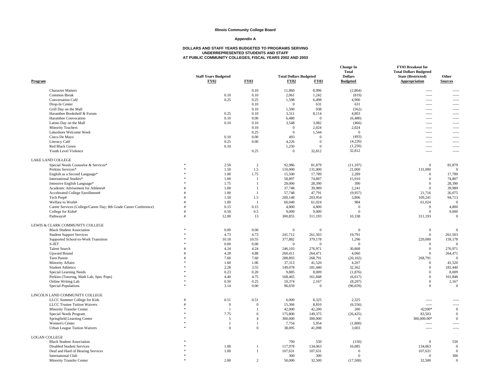#### **Appendix A**

| <b>Character Matters</b><br>0.10<br>11,860<br>8,996<br>(2,864)<br>$\sim$<br>-----<br>1,242<br><b>Common Break</b><br>0.10<br>0.10<br>2,061<br>(819)<br>-----<br>0.25<br>0.25<br>1,598<br>6,498<br>4,900<br>Conversation Café<br>$1 - 1 - 1 = 1$<br>-----<br>0.10<br>Drop-In Center<br>$\overline{0}$<br>631<br>631<br>$---$<br>$\cdots$<br>1,500<br>Grill Day on the Mall<br>0.10<br>938<br>(562)<br>-----<br>$- - - - -$<br>0.25<br>3,311<br>8,114<br>4,803<br>Harambee Bookshelf & Forum<br>0.10<br>-----<br>$\overline{\phantom{a}}$<br>Harambee Convocation<br>0.10<br>0.00<br>6,480<br>$\overline{0}$<br>(6,480)<br>$\sim$<br>$\frac{1}{2}$<br>0.10<br>3,548<br>3,082<br>Latino Day on the Mall<br>0.10<br>(466)<br>-----<br>2,024<br>2,024<br><b>Minority Teachers</b><br>0.10<br>$\overline{0}$<br>$\frac{1}{2}$<br>$\overline{\phantom{a}}$<br>Lakeshore Welcome Week<br>0.25<br>$\overline{0}$<br>1,544<br>$\overline{0}$<br>$\overline{\phantom{a}}$<br>$\frac{1}{2}$<br>(493)<br>0.10<br>0.00<br>493<br>Cinco De Mayo<br>$\overline{0}$<br><br>(4,226)<br>Literacy Café<br>0.25<br>0.00<br>4,226<br>$\theta$<br>$\frac{1}{2}$<br>-----<br>Red Black Green<br>1,250<br>(1,250)<br>0.10<br>$\Omega$<br>$---$<br>$- - - - -$<br>32,812<br>Youth Level Violence<br>0.25<br>$\overline{0}$<br>32,812<br>-----<br>$1 - 1 - 1 = 1$<br>LAKE LAND COLLEGE<br>$\overline{2}$<br>92.986<br>Special Needs Counselor & Services*<br>2.50<br>81,879<br>(11, 107)<br>$\mathbf{0}$<br>81,879<br>1.50<br>1.5<br>110,000<br>131,000<br>21,000<br>131,000<br>Perkins Services*<br>$\Omega$<br>1.00<br>1.75<br>15,500<br>2,289<br>English as a Second Language*<br>17,789<br>$\Omega$<br>17,789<br>International Studies*<br>1.00<br>58,897<br>74,807<br>15,910<br>74,807<br>-1<br>$\Omega$<br>1.75<br>28,000<br>28,390<br>390<br>28,390<br>Intensive English Language*<br>$\overline{1}$<br>$\Omega$<br>37,748<br>Academic Advisement for Athletes#<br>1.00<br>$\overline{1}$<br>39,989<br>2,241<br>$\Omega$<br>39,989<br>Accelerated College Enrollment#<br>1.00<br>57,748<br>(9,957)<br>26,075<br>47,791<br>21,716<br>$\overline{1}$<br>1.5<br>Tech Prep#<br>1.50<br>200,148<br>203,954<br>3,806<br>109,241<br>94,713<br>Welfare to Work#<br>1.00<br>$\overline{1}$<br>60,040<br>61,024<br>984<br>61,024<br>$\overline{0}$<br>Career Services (College/Career Day; 8th Grade Career Conference)<br>0.15<br>4,800<br>4,800<br>0.15<br>4,800<br>$\overline{0}$<br>$\bf{0}$<br>9,000<br>9,000<br>0.50<br>0.5<br>9,000<br>$\mathbf{0}$<br>College for Kids#<br>$\Omega$<br>12.00<br>13<br>300,855<br>311,193<br>10,338<br>311,193<br>Pathways#<br>$\Omega$<br>LEWIS & CLARK COMMUNITY COLLEGE<br>0.00<br>0.00<br>$\mathbf{0}$<br><b>Black Student Association</b><br>$\overline{0}$<br>$\Omega$<br>$\overline{0}$<br>$\Omega$<br>4.73<br>241,712<br>261,503<br>19,791<br>261,503<br><b>Student Support Services</b><br>4.73<br>$\Omega$<br>10.18<br>10.55<br>377,882<br>379,178<br>220,000<br>159,178<br>Supported School-to-Work Transition<br>1,296<br>0.00<br>S-JET<br>0.00<br>$\Omega$<br>$\theta$<br>$\Omega$<br>$\Omega$<br>$\Omega$<br><b>Talent Search</b><br>4.24<br>4.24<br>246,103<br>276,971<br>30,868<br>$\mathbf{0}$<br>276,971<br><b>Upward Bound</b><br>4.88<br>264,471<br>4.28<br>260,411<br>264,471<br>4,060<br>$\Omega$<br>Teen Parent<br>7.60<br>7.60<br>288,893<br>268,791<br>(20, 102)<br>268,791<br>$\Omega$<br>1.60<br>1.06<br>37,313<br>41,520<br>4,207<br>41,520<br><b>Minority Affairs</b><br>$\Omega$<br>149,078<br><b>Student Athletics</b><br>2.28<br>3.55<br>181,440<br>32,362<br>$\mathbf{0}$<br>181,440<br>0.23<br>0.20<br>9,885<br>8,009<br>(1,876)<br>8,009<br>Special Learning Needs<br>$\Omega$<br>4.40<br>4.75<br>168,465<br>161,848<br>$\mathbf{0}$<br>161,848<br>Perkins (Tutoring, Math Lab, Spec Pops)<br>(6,617)<br>0.25<br>10,374<br>$\mathbf{0}$<br>Online Writing Lab<br>0.50<br>2,167<br>2,167<br>(8,207)<br><b>Special Populations</b><br>0.00<br>96,659<br>$\Omega$<br>3.14<br>$\Omega$<br>(96, 659)<br>$\Omega$<br>LINCOLN LAND COMMUNITY COLLEGE<br>LLCC Summer College for Kids<br>0.51<br>0.51<br>6,000<br>8,325<br>2,325<br>$\sim$<br>----<br><b>LLCC Trustee Tuition Waivers</b><br>$\overline{0}$<br>$\overline{0}$<br>15,366<br>8.810<br>(6, 556)<br>$\overline{\phantom{a}}$<br>-----<br>42,000<br>42,200<br>42200*<br>$\,0\,$<br>Minority Transfer Center<br>200<br>-1<br>7.75<br>175,800<br>149,375<br>Special Needs Program<br>6<br>(26, 425)<br>83,503<br>$\mathbf{0}$<br>Springfield Learning Center<br>5<br>$\overline{4}$<br>300,000<br>300,000<br>$\mathbf{0}$<br>300,000.00*<br>$\mathbf{0}$<br>7,754<br>5,954<br>Women's Center<br>(1,800)<br>$\overline{1}$<br>$\frac{1}{2}$<br>-----<br>$\overline{0}$<br>38,095<br><b>Urban League Tuition Waivers</b><br>$\overline{0}$<br>41,098<br>3,003<br>$\sim$<br>$\sim$<br><b>LOGAN COLLEGE</b><br>700<br>550<br>(150)<br>$\mathbf{0}$<br>550<br><b>Black Student Association</b><br>1.00<br>117,978<br>134,063<br>16,085<br>134,063<br><b>Disabled Student Services</b><br>$\overline{0}$<br>$\mathbf{1}$<br>1.00<br>107,631<br>107,631<br>107,631<br>$\Omega$<br>Deaf and Hard of Hearing Services<br>$\overline{1}$<br>$\Omega$<br>300<br>300<br><b>International Club</b><br>300<br>$\Omega$<br>$\Omega$<br>2.00<br>50,000<br>32,500<br><b>Minority Transfer Center</b><br>$\mathcal{D}$<br>32,500<br>(17,500)<br>$\Omega$ | Program | <b>Staff Years Budgeted</b><br><b>FY02</b> | <b>FY03</b> | <b>Total Dollars Budgeted</b><br><b>FY02</b> | <b>FY03</b> | <b>Change In</b><br><b>Total</b><br><b>Dollars</b><br><b>Budgeted</b> | FY03 Breakout for<br><b>Total Dollars Budgeted</b><br><b>State (Restricted)</b><br>Appropriation | Other<br><b>Sources</b> |
|-------------------------------------------------------------------------------------------------------------------------------------------------------------------------------------------------------------------------------------------------------------------------------------------------------------------------------------------------------------------------------------------------------------------------------------------------------------------------------------------------------------------------------------------------------------------------------------------------------------------------------------------------------------------------------------------------------------------------------------------------------------------------------------------------------------------------------------------------------------------------------------------------------------------------------------------------------------------------------------------------------------------------------------------------------------------------------------------------------------------------------------------------------------------------------------------------------------------------------------------------------------------------------------------------------------------------------------------------------------------------------------------------------------------------------------------------------------------------------------------------------------------------------------------------------------------------------------------------------------------------------------------------------------------------------------------------------------------------------------------------------------------------------------------------------------------------------------------------------------------------------------------------------------------------------------------------------------------------------------------------------------------------------------------------------------------------------------------------------------------------------------------------------------------------------------------------------------------------------------------------------------------------------------------------------------------------------------------------------------------------------------------------------------------------------------------------------------------------------------------------------------------------------------------------------------------------------------------------------------------------------------------------------------------------------------------------------------------------------------------------------------------------------------------------------------------------------------------------------------------------------------------------------------------------------------------------------------------------------------------------------------------------------------------------------------------------------------------------------------------------------------------------------------------------------------------------------------------------------------------------------------------------------------------------------------------------------------------------------------------------------------------------------------------------------------------------------------------------------------------------------------------------------------------------------------------------------------------------------------------------------------------------------------------------------------------------------------------------------------------------------------------------------------------------------------------------------------------------------------------------------------------------------------------------------------------------------------------------------------------------------------------------------------------------------------------------------------------------------------------------------------------------------------------------------------------------------------------------------------------------------------------------------------------------------------------------------------------------------------------------------------------------------------------------------------------------------------------------------------------------------------------------------------------------------------------------------------------------------------------------------------------------------------------------------------------------------------------------------------------------------------------------------------------------------------------------------------------------------------------------------------------------------------------------------------------------------------------------------------------------------------------------------------------------------------------------------------------------------------------------------------------------------------------------------------------------------------------------------------------------------------------------------------------------------------------------------------------------------------------------------------------------------------------------------------|---------|--------------------------------------------|-------------|----------------------------------------------|-------------|-----------------------------------------------------------------------|--------------------------------------------------------------------------------------------------|-------------------------|
|                                                                                                                                                                                                                                                                                                                                                                                                                                                                                                                                                                                                                                                                                                                                                                                                                                                                                                                                                                                                                                                                                                                                                                                                                                                                                                                                                                                                                                                                                                                                                                                                                                                                                                                                                                                                                                                                                                                                                                                                                                                                                                                                                                                                                                                                                                                                                                                                                                                                                                                                                                                                                                                                                                                                                                                                                                                                                                                                                                                                                                                                                                                                                                                                                                                                                                                                                                                                                                                                                                                                                                                                                                                                                                                                                                                                                                                                                                                                                                                                                                                                                                                                                                                                                                                                                                                                                                                                                                                                                                                                                                                                                                                                                                                                                                                                                                                                                                                                                                                                                                                                                                                                                                                                                                                                                                                                                                                                                                     |         |                                            |             |                                              |             |                                                                       |                                                                                                  |                         |
|                                                                                                                                                                                                                                                                                                                                                                                                                                                                                                                                                                                                                                                                                                                                                                                                                                                                                                                                                                                                                                                                                                                                                                                                                                                                                                                                                                                                                                                                                                                                                                                                                                                                                                                                                                                                                                                                                                                                                                                                                                                                                                                                                                                                                                                                                                                                                                                                                                                                                                                                                                                                                                                                                                                                                                                                                                                                                                                                                                                                                                                                                                                                                                                                                                                                                                                                                                                                                                                                                                                                                                                                                                                                                                                                                                                                                                                                                                                                                                                                                                                                                                                                                                                                                                                                                                                                                                                                                                                                                                                                                                                                                                                                                                                                                                                                                                                                                                                                                                                                                                                                                                                                                                                                                                                                                                                                                                                                                                     |         |                                            |             |                                              |             |                                                                       |                                                                                                  |                         |
|                                                                                                                                                                                                                                                                                                                                                                                                                                                                                                                                                                                                                                                                                                                                                                                                                                                                                                                                                                                                                                                                                                                                                                                                                                                                                                                                                                                                                                                                                                                                                                                                                                                                                                                                                                                                                                                                                                                                                                                                                                                                                                                                                                                                                                                                                                                                                                                                                                                                                                                                                                                                                                                                                                                                                                                                                                                                                                                                                                                                                                                                                                                                                                                                                                                                                                                                                                                                                                                                                                                                                                                                                                                                                                                                                                                                                                                                                                                                                                                                                                                                                                                                                                                                                                                                                                                                                                                                                                                                                                                                                                                                                                                                                                                                                                                                                                                                                                                                                                                                                                                                                                                                                                                                                                                                                                                                                                                                                                     |         |                                            |             |                                              |             |                                                                       |                                                                                                  |                         |
|                                                                                                                                                                                                                                                                                                                                                                                                                                                                                                                                                                                                                                                                                                                                                                                                                                                                                                                                                                                                                                                                                                                                                                                                                                                                                                                                                                                                                                                                                                                                                                                                                                                                                                                                                                                                                                                                                                                                                                                                                                                                                                                                                                                                                                                                                                                                                                                                                                                                                                                                                                                                                                                                                                                                                                                                                                                                                                                                                                                                                                                                                                                                                                                                                                                                                                                                                                                                                                                                                                                                                                                                                                                                                                                                                                                                                                                                                                                                                                                                                                                                                                                                                                                                                                                                                                                                                                                                                                                                                                                                                                                                                                                                                                                                                                                                                                                                                                                                                                                                                                                                                                                                                                                                                                                                                                                                                                                                                                     |         |                                            |             |                                              |             |                                                                       |                                                                                                  |                         |
|                                                                                                                                                                                                                                                                                                                                                                                                                                                                                                                                                                                                                                                                                                                                                                                                                                                                                                                                                                                                                                                                                                                                                                                                                                                                                                                                                                                                                                                                                                                                                                                                                                                                                                                                                                                                                                                                                                                                                                                                                                                                                                                                                                                                                                                                                                                                                                                                                                                                                                                                                                                                                                                                                                                                                                                                                                                                                                                                                                                                                                                                                                                                                                                                                                                                                                                                                                                                                                                                                                                                                                                                                                                                                                                                                                                                                                                                                                                                                                                                                                                                                                                                                                                                                                                                                                                                                                                                                                                                                                                                                                                                                                                                                                                                                                                                                                                                                                                                                                                                                                                                                                                                                                                                                                                                                                                                                                                                                                     |         |                                            |             |                                              |             |                                                                       |                                                                                                  |                         |
|                                                                                                                                                                                                                                                                                                                                                                                                                                                                                                                                                                                                                                                                                                                                                                                                                                                                                                                                                                                                                                                                                                                                                                                                                                                                                                                                                                                                                                                                                                                                                                                                                                                                                                                                                                                                                                                                                                                                                                                                                                                                                                                                                                                                                                                                                                                                                                                                                                                                                                                                                                                                                                                                                                                                                                                                                                                                                                                                                                                                                                                                                                                                                                                                                                                                                                                                                                                                                                                                                                                                                                                                                                                                                                                                                                                                                                                                                                                                                                                                                                                                                                                                                                                                                                                                                                                                                                                                                                                                                                                                                                                                                                                                                                                                                                                                                                                                                                                                                                                                                                                                                                                                                                                                                                                                                                                                                                                                                                     |         |                                            |             |                                              |             |                                                                       |                                                                                                  |                         |
|                                                                                                                                                                                                                                                                                                                                                                                                                                                                                                                                                                                                                                                                                                                                                                                                                                                                                                                                                                                                                                                                                                                                                                                                                                                                                                                                                                                                                                                                                                                                                                                                                                                                                                                                                                                                                                                                                                                                                                                                                                                                                                                                                                                                                                                                                                                                                                                                                                                                                                                                                                                                                                                                                                                                                                                                                                                                                                                                                                                                                                                                                                                                                                                                                                                                                                                                                                                                                                                                                                                                                                                                                                                                                                                                                                                                                                                                                                                                                                                                                                                                                                                                                                                                                                                                                                                                                                                                                                                                                                                                                                                                                                                                                                                                                                                                                                                                                                                                                                                                                                                                                                                                                                                                                                                                                                                                                                                                                                     |         |                                            |             |                                              |             |                                                                       |                                                                                                  |                         |
|                                                                                                                                                                                                                                                                                                                                                                                                                                                                                                                                                                                                                                                                                                                                                                                                                                                                                                                                                                                                                                                                                                                                                                                                                                                                                                                                                                                                                                                                                                                                                                                                                                                                                                                                                                                                                                                                                                                                                                                                                                                                                                                                                                                                                                                                                                                                                                                                                                                                                                                                                                                                                                                                                                                                                                                                                                                                                                                                                                                                                                                                                                                                                                                                                                                                                                                                                                                                                                                                                                                                                                                                                                                                                                                                                                                                                                                                                                                                                                                                                                                                                                                                                                                                                                                                                                                                                                                                                                                                                                                                                                                                                                                                                                                                                                                                                                                                                                                                                                                                                                                                                                                                                                                                                                                                                                                                                                                                                                     |         |                                            |             |                                              |             |                                                                       |                                                                                                  |                         |
|                                                                                                                                                                                                                                                                                                                                                                                                                                                                                                                                                                                                                                                                                                                                                                                                                                                                                                                                                                                                                                                                                                                                                                                                                                                                                                                                                                                                                                                                                                                                                                                                                                                                                                                                                                                                                                                                                                                                                                                                                                                                                                                                                                                                                                                                                                                                                                                                                                                                                                                                                                                                                                                                                                                                                                                                                                                                                                                                                                                                                                                                                                                                                                                                                                                                                                                                                                                                                                                                                                                                                                                                                                                                                                                                                                                                                                                                                                                                                                                                                                                                                                                                                                                                                                                                                                                                                                                                                                                                                                                                                                                                                                                                                                                                                                                                                                                                                                                                                                                                                                                                                                                                                                                                                                                                                                                                                                                                                                     |         |                                            |             |                                              |             |                                                                       |                                                                                                  |                         |
|                                                                                                                                                                                                                                                                                                                                                                                                                                                                                                                                                                                                                                                                                                                                                                                                                                                                                                                                                                                                                                                                                                                                                                                                                                                                                                                                                                                                                                                                                                                                                                                                                                                                                                                                                                                                                                                                                                                                                                                                                                                                                                                                                                                                                                                                                                                                                                                                                                                                                                                                                                                                                                                                                                                                                                                                                                                                                                                                                                                                                                                                                                                                                                                                                                                                                                                                                                                                                                                                                                                                                                                                                                                                                                                                                                                                                                                                                                                                                                                                                                                                                                                                                                                                                                                                                                                                                                                                                                                                                                                                                                                                                                                                                                                                                                                                                                                                                                                                                                                                                                                                                                                                                                                                                                                                                                                                                                                                                                     |         |                                            |             |                                              |             |                                                                       |                                                                                                  |                         |
|                                                                                                                                                                                                                                                                                                                                                                                                                                                                                                                                                                                                                                                                                                                                                                                                                                                                                                                                                                                                                                                                                                                                                                                                                                                                                                                                                                                                                                                                                                                                                                                                                                                                                                                                                                                                                                                                                                                                                                                                                                                                                                                                                                                                                                                                                                                                                                                                                                                                                                                                                                                                                                                                                                                                                                                                                                                                                                                                                                                                                                                                                                                                                                                                                                                                                                                                                                                                                                                                                                                                                                                                                                                                                                                                                                                                                                                                                                                                                                                                                                                                                                                                                                                                                                                                                                                                                                                                                                                                                                                                                                                                                                                                                                                                                                                                                                                                                                                                                                                                                                                                                                                                                                                                                                                                                                                                                                                                                                     |         |                                            |             |                                              |             |                                                                       |                                                                                                  |                         |
|                                                                                                                                                                                                                                                                                                                                                                                                                                                                                                                                                                                                                                                                                                                                                                                                                                                                                                                                                                                                                                                                                                                                                                                                                                                                                                                                                                                                                                                                                                                                                                                                                                                                                                                                                                                                                                                                                                                                                                                                                                                                                                                                                                                                                                                                                                                                                                                                                                                                                                                                                                                                                                                                                                                                                                                                                                                                                                                                                                                                                                                                                                                                                                                                                                                                                                                                                                                                                                                                                                                                                                                                                                                                                                                                                                                                                                                                                                                                                                                                                                                                                                                                                                                                                                                                                                                                                                                                                                                                                                                                                                                                                                                                                                                                                                                                                                                                                                                                                                                                                                                                                                                                                                                                                                                                                                                                                                                                                                     |         |                                            |             |                                              |             |                                                                       |                                                                                                  |                         |
|                                                                                                                                                                                                                                                                                                                                                                                                                                                                                                                                                                                                                                                                                                                                                                                                                                                                                                                                                                                                                                                                                                                                                                                                                                                                                                                                                                                                                                                                                                                                                                                                                                                                                                                                                                                                                                                                                                                                                                                                                                                                                                                                                                                                                                                                                                                                                                                                                                                                                                                                                                                                                                                                                                                                                                                                                                                                                                                                                                                                                                                                                                                                                                                                                                                                                                                                                                                                                                                                                                                                                                                                                                                                                                                                                                                                                                                                                                                                                                                                                                                                                                                                                                                                                                                                                                                                                                                                                                                                                                                                                                                                                                                                                                                                                                                                                                                                                                                                                                                                                                                                                                                                                                                                                                                                                                                                                                                                                                     |         |                                            |             |                                              |             |                                                                       |                                                                                                  |                         |
|                                                                                                                                                                                                                                                                                                                                                                                                                                                                                                                                                                                                                                                                                                                                                                                                                                                                                                                                                                                                                                                                                                                                                                                                                                                                                                                                                                                                                                                                                                                                                                                                                                                                                                                                                                                                                                                                                                                                                                                                                                                                                                                                                                                                                                                                                                                                                                                                                                                                                                                                                                                                                                                                                                                                                                                                                                                                                                                                                                                                                                                                                                                                                                                                                                                                                                                                                                                                                                                                                                                                                                                                                                                                                                                                                                                                                                                                                                                                                                                                                                                                                                                                                                                                                                                                                                                                                                                                                                                                                                                                                                                                                                                                                                                                                                                                                                                                                                                                                                                                                                                                                                                                                                                                                                                                                                                                                                                                                                     |         |                                            |             |                                              |             |                                                                       |                                                                                                  |                         |
|                                                                                                                                                                                                                                                                                                                                                                                                                                                                                                                                                                                                                                                                                                                                                                                                                                                                                                                                                                                                                                                                                                                                                                                                                                                                                                                                                                                                                                                                                                                                                                                                                                                                                                                                                                                                                                                                                                                                                                                                                                                                                                                                                                                                                                                                                                                                                                                                                                                                                                                                                                                                                                                                                                                                                                                                                                                                                                                                                                                                                                                                                                                                                                                                                                                                                                                                                                                                                                                                                                                                                                                                                                                                                                                                                                                                                                                                                                                                                                                                                                                                                                                                                                                                                                                                                                                                                                                                                                                                                                                                                                                                                                                                                                                                                                                                                                                                                                                                                                                                                                                                                                                                                                                                                                                                                                                                                                                                                                     |         |                                            |             |                                              |             |                                                                       |                                                                                                  |                         |
|                                                                                                                                                                                                                                                                                                                                                                                                                                                                                                                                                                                                                                                                                                                                                                                                                                                                                                                                                                                                                                                                                                                                                                                                                                                                                                                                                                                                                                                                                                                                                                                                                                                                                                                                                                                                                                                                                                                                                                                                                                                                                                                                                                                                                                                                                                                                                                                                                                                                                                                                                                                                                                                                                                                                                                                                                                                                                                                                                                                                                                                                                                                                                                                                                                                                                                                                                                                                                                                                                                                                                                                                                                                                                                                                                                                                                                                                                                                                                                                                                                                                                                                                                                                                                                                                                                                                                                                                                                                                                                                                                                                                                                                                                                                                                                                                                                                                                                                                                                                                                                                                                                                                                                                                                                                                                                                                                                                                                                     |         |                                            |             |                                              |             |                                                                       |                                                                                                  |                         |
|                                                                                                                                                                                                                                                                                                                                                                                                                                                                                                                                                                                                                                                                                                                                                                                                                                                                                                                                                                                                                                                                                                                                                                                                                                                                                                                                                                                                                                                                                                                                                                                                                                                                                                                                                                                                                                                                                                                                                                                                                                                                                                                                                                                                                                                                                                                                                                                                                                                                                                                                                                                                                                                                                                                                                                                                                                                                                                                                                                                                                                                                                                                                                                                                                                                                                                                                                                                                                                                                                                                                                                                                                                                                                                                                                                                                                                                                                                                                                                                                                                                                                                                                                                                                                                                                                                                                                                                                                                                                                                                                                                                                                                                                                                                                                                                                                                                                                                                                                                                                                                                                                                                                                                                                                                                                                                                                                                                                                                     |         |                                            |             |                                              |             |                                                                       |                                                                                                  |                         |
|                                                                                                                                                                                                                                                                                                                                                                                                                                                                                                                                                                                                                                                                                                                                                                                                                                                                                                                                                                                                                                                                                                                                                                                                                                                                                                                                                                                                                                                                                                                                                                                                                                                                                                                                                                                                                                                                                                                                                                                                                                                                                                                                                                                                                                                                                                                                                                                                                                                                                                                                                                                                                                                                                                                                                                                                                                                                                                                                                                                                                                                                                                                                                                                                                                                                                                                                                                                                                                                                                                                                                                                                                                                                                                                                                                                                                                                                                                                                                                                                                                                                                                                                                                                                                                                                                                                                                                                                                                                                                                                                                                                                                                                                                                                                                                                                                                                                                                                                                                                                                                                                                                                                                                                                                                                                                                                                                                                                                                     |         |                                            |             |                                              |             |                                                                       |                                                                                                  |                         |
|                                                                                                                                                                                                                                                                                                                                                                                                                                                                                                                                                                                                                                                                                                                                                                                                                                                                                                                                                                                                                                                                                                                                                                                                                                                                                                                                                                                                                                                                                                                                                                                                                                                                                                                                                                                                                                                                                                                                                                                                                                                                                                                                                                                                                                                                                                                                                                                                                                                                                                                                                                                                                                                                                                                                                                                                                                                                                                                                                                                                                                                                                                                                                                                                                                                                                                                                                                                                                                                                                                                                                                                                                                                                                                                                                                                                                                                                                                                                                                                                                                                                                                                                                                                                                                                                                                                                                                                                                                                                                                                                                                                                                                                                                                                                                                                                                                                                                                                                                                                                                                                                                                                                                                                                                                                                                                                                                                                                                                     |         |                                            |             |                                              |             |                                                                       |                                                                                                  |                         |
|                                                                                                                                                                                                                                                                                                                                                                                                                                                                                                                                                                                                                                                                                                                                                                                                                                                                                                                                                                                                                                                                                                                                                                                                                                                                                                                                                                                                                                                                                                                                                                                                                                                                                                                                                                                                                                                                                                                                                                                                                                                                                                                                                                                                                                                                                                                                                                                                                                                                                                                                                                                                                                                                                                                                                                                                                                                                                                                                                                                                                                                                                                                                                                                                                                                                                                                                                                                                                                                                                                                                                                                                                                                                                                                                                                                                                                                                                                                                                                                                                                                                                                                                                                                                                                                                                                                                                                                                                                                                                                                                                                                                                                                                                                                                                                                                                                                                                                                                                                                                                                                                                                                                                                                                                                                                                                                                                                                                                                     |         |                                            |             |                                              |             |                                                                       |                                                                                                  |                         |
|                                                                                                                                                                                                                                                                                                                                                                                                                                                                                                                                                                                                                                                                                                                                                                                                                                                                                                                                                                                                                                                                                                                                                                                                                                                                                                                                                                                                                                                                                                                                                                                                                                                                                                                                                                                                                                                                                                                                                                                                                                                                                                                                                                                                                                                                                                                                                                                                                                                                                                                                                                                                                                                                                                                                                                                                                                                                                                                                                                                                                                                                                                                                                                                                                                                                                                                                                                                                                                                                                                                                                                                                                                                                                                                                                                                                                                                                                                                                                                                                                                                                                                                                                                                                                                                                                                                                                                                                                                                                                                                                                                                                                                                                                                                                                                                                                                                                                                                                                                                                                                                                                                                                                                                                                                                                                                                                                                                                                                     |         |                                            |             |                                              |             |                                                                       |                                                                                                  |                         |
|                                                                                                                                                                                                                                                                                                                                                                                                                                                                                                                                                                                                                                                                                                                                                                                                                                                                                                                                                                                                                                                                                                                                                                                                                                                                                                                                                                                                                                                                                                                                                                                                                                                                                                                                                                                                                                                                                                                                                                                                                                                                                                                                                                                                                                                                                                                                                                                                                                                                                                                                                                                                                                                                                                                                                                                                                                                                                                                                                                                                                                                                                                                                                                                                                                                                                                                                                                                                                                                                                                                                                                                                                                                                                                                                                                                                                                                                                                                                                                                                                                                                                                                                                                                                                                                                                                                                                                                                                                                                                                                                                                                                                                                                                                                                                                                                                                                                                                                                                                                                                                                                                                                                                                                                                                                                                                                                                                                                                                     |         |                                            |             |                                              |             |                                                                       |                                                                                                  |                         |
|                                                                                                                                                                                                                                                                                                                                                                                                                                                                                                                                                                                                                                                                                                                                                                                                                                                                                                                                                                                                                                                                                                                                                                                                                                                                                                                                                                                                                                                                                                                                                                                                                                                                                                                                                                                                                                                                                                                                                                                                                                                                                                                                                                                                                                                                                                                                                                                                                                                                                                                                                                                                                                                                                                                                                                                                                                                                                                                                                                                                                                                                                                                                                                                                                                                                                                                                                                                                                                                                                                                                                                                                                                                                                                                                                                                                                                                                                                                                                                                                                                                                                                                                                                                                                                                                                                                                                                                                                                                                                                                                                                                                                                                                                                                                                                                                                                                                                                                                                                                                                                                                                                                                                                                                                                                                                                                                                                                                                                     |         |                                            |             |                                              |             |                                                                       |                                                                                                  |                         |
|                                                                                                                                                                                                                                                                                                                                                                                                                                                                                                                                                                                                                                                                                                                                                                                                                                                                                                                                                                                                                                                                                                                                                                                                                                                                                                                                                                                                                                                                                                                                                                                                                                                                                                                                                                                                                                                                                                                                                                                                                                                                                                                                                                                                                                                                                                                                                                                                                                                                                                                                                                                                                                                                                                                                                                                                                                                                                                                                                                                                                                                                                                                                                                                                                                                                                                                                                                                                                                                                                                                                                                                                                                                                                                                                                                                                                                                                                                                                                                                                                                                                                                                                                                                                                                                                                                                                                                                                                                                                                                                                                                                                                                                                                                                                                                                                                                                                                                                                                                                                                                                                                                                                                                                                                                                                                                                                                                                                                                     |         |                                            |             |                                              |             |                                                                       |                                                                                                  |                         |
|                                                                                                                                                                                                                                                                                                                                                                                                                                                                                                                                                                                                                                                                                                                                                                                                                                                                                                                                                                                                                                                                                                                                                                                                                                                                                                                                                                                                                                                                                                                                                                                                                                                                                                                                                                                                                                                                                                                                                                                                                                                                                                                                                                                                                                                                                                                                                                                                                                                                                                                                                                                                                                                                                                                                                                                                                                                                                                                                                                                                                                                                                                                                                                                                                                                                                                                                                                                                                                                                                                                                                                                                                                                                                                                                                                                                                                                                                                                                                                                                                                                                                                                                                                                                                                                                                                                                                                                                                                                                                                                                                                                                                                                                                                                                                                                                                                                                                                                                                                                                                                                                                                                                                                                                                                                                                                                                                                                                                                     |         |                                            |             |                                              |             |                                                                       |                                                                                                  |                         |
|                                                                                                                                                                                                                                                                                                                                                                                                                                                                                                                                                                                                                                                                                                                                                                                                                                                                                                                                                                                                                                                                                                                                                                                                                                                                                                                                                                                                                                                                                                                                                                                                                                                                                                                                                                                                                                                                                                                                                                                                                                                                                                                                                                                                                                                                                                                                                                                                                                                                                                                                                                                                                                                                                                                                                                                                                                                                                                                                                                                                                                                                                                                                                                                                                                                                                                                                                                                                                                                                                                                                                                                                                                                                                                                                                                                                                                                                                                                                                                                                                                                                                                                                                                                                                                                                                                                                                                                                                                                                                                                                                                                                                                                                                                                                                                                                                                                                                                                                                                                                                                                                                                                                                                                                                                                                                                                                                                                                                                     |         |                                            |             |                                              |             |                                                                       |                                                                                                  |                         |
|                                                                                                                                                                                                                                                                                                                                                                                                                                                                                                                                                                                                                                                                                                                                                                                                                                                                                                                                                                                                                                                                                                                                                                                                                                                                                                                                                                                                                                                                                                                                                                                                                                                                                                                                                                                                                                                                                                                                                                                                                                                                                                                                                                                                                                                                                                                                                                                                                                                                                                                                                                                                                                                                                                                                                                                                                                                                                                                                                                                                                                                                                                                                                                                                                                                                                                                                                                                                                                                                                                                                                                                                                                                                                                                                                                                                                                                                                                                                                                                                                                                                                                                                                                                                                                                                                                                                                                                                                                                                                                                                                                                                                                                                                                                                                                                                                                                                                                                                                                                                                                                                                                                                                                                                                                                                                                                                                                                                                                     |         |                                            |             |                                              |             |                                                                       |                                                                                                  |                         |
|                                                                                                                                                                                                                                                                                                                                                                                                                                                                                                                                                                                                                                                                                                                                                                                                                                                                                                                                                                                                                                                                                                                                                                                                                                                                                                                                                                                                                                                                                                                                                                                                                                                                                                                                                                                                                                                                                                                                                                                                                                                                                                                                                                                                                                                                                                                                                                                                                                                                                                                                                                                                                                                                                                                                                                                                                                                                                                                                                                                                                                                                                                                                                                                                                                                                                                                                                                                                                                                                                                                                                                                                                                                                                                                                                                                                                                                                                                                                                                                                                                                                                                                                                                                                                                                                                                                                                                                                                                                                                                                                                                                                                                                                                                                                                                                                                                                                                                                                                                                                                                                                                                                                                                                                                                                                                                                                                                                                                                     |         |                                            |             |                                              |             |                                                                       |                                                                                                  |                         |
|                                                                                                                                                                                                                                                                                                                                                                                                                                                                                                                                                                                                                                                                                                                                                                                                                                                                                                                                                                                                                                                                                                                                                                                                                                                                                                                                                                                                                                                                                                                                                                                                                                                                                                                                                                                                                                                                                                                                                                                                                                                                                                                                                                                                                                                                                                                                                                                                                                                                                                                                                                                                                                                                                                                                                                                                                                                                                                                                                                                                                                                                                                                                                                                                                                                                                                                                                                                                                                                                                                                                                                                                                                                                                                                                                                                                                                                                                                                                                                                                                                                                                                                                                                                                                                                                                                                                                                                                                                                                                                                                                                                                                                                                                                                                                                                                                                                                                                                                                                                                                                                                                                                                                                                                                                                                                                                                                                                                                                     |         |                                            |             |                                              |             |                                                                       |                                                                                                  |                         |
|                                                                                                                                                                                                                                                                                                                                                                                                                                                                                                                                                                                                                                                                                                                                                                                                                                                                                                                                                                                                                                                                                                                                                                                                                                                                                                                                                                                                                                                                                                                                                                                                                                                                                                                                                                                                                                                                                                                                                                                                                                                                                                                                                                                                                                                                                                                                                                                                                                                                                                                                                                                                                                                                                                                                                                                                                                                                                                                                                                                                                                                                                                                                                                                                                                                                                                                                                                                                                                                                                                                                                                                                                                                                                                                                                                                                                                                                                                                                                                                                                                                                                                                                                                                                                                                                                                                                                                                                                                                                                                                                                                                                                                                                                                                                                                                                                                                                                                                                                                                                                                                                                                                                                                                                                                                                                                                                                                                                                                     |         |                                            |             |                                              |             |                                                                       |                                                                                                  |                         |
|                                                                                                                                                                                                                                                                                                                                                                                                                                                                                                                                                                                                                                                                                                                                                                                                                                                                                                                                                                                                                                                                                                                                                                                                                                                                                                                                                                                                                                                                                                                                                                                                                                                                                                                                                                                                                                                                                                                                                                                                                                                                                                                                                                                                                                                                                                                                                                                                                                                                                                                                                                                                                                                                                                                                                                                                                                                                                                                                                                                                                                                                                                                                                                                                                                                                                                                                                                                                                                                                                                                                                                                                                                                                                                                                                                                                                                                                                                                                                                                                                                                                                                                                                                                                                                                                                                                                                                                                                                                                                                                                                                                                                                                                                                                                                                                                                                                                                                                                                                                                                                                                                                                                                                                                                                                                                                                                                                                                                                     |         |                                            |             |                                              |             |                                                                       |                                                                                                  |                         |
|                                                                                                                                                                                                                                                                                                                                                                                                                                                                                                                                                                                                                                                                                                                                                                                                                                                                                                                                                                                                                                                                                                                                                                                                                                                                                                                                                                                                                                                                                                                                                                                                                                                                                                                                                                                                                                                                                                                                                                                                                                                                                                                                                                                                                                                                                                                                                                                                                                                                                                                                                                                                                                                                                                                                                                                                                                                                                                                                                                                                                                                                                                                                                                                                                                                                                                                                                                                                                                                                                                                                                                                                                                                                                                                                                                                                                                                                                                                                                                                                                                                                                                                                                                                                                                                                                                                                                                                                                                                                                                                                                                                                                                                                                                                                                                                                                                                                                                                                                                                                                                                                                                                                                                                                                                                                                                                                                                                                                                     |         |                                            |             |                                              |             |                                                                       |                                                                                                  |                         |
|                                                                                                                                                                                                                                                                                                                                                                                                                                                                                                                                                                                                                                                                                                                                                                                                                                                                                                                                                                                                                                                                                                                                                                                                                                                                                                                                                                                                                                                                                                                                                                                                                                                                                                                                                                                                                                                                                                                                                                                                                                                                                                                                                                                                                                                                                                                                                                                                                                                                                                                                                                                                                                                                                                                                                                                                                                                                                                                                                                                                                                                                                                                                                                                                                                                                                                                                                                                                                                                                                                                                                                                                                                                                                                                                                                                                                                                                                                                                                                                                                                                                                                                                                                                                                                                                                                                                                                                                                                                                                                                                                                                                                                                                                                                                                                                                                                                                                                                                                                                                                                                                                                                                                                                                                                                                                                                                                                                                                                     |         |                                            |             |                                              |             |                                                                       |                                                                                                  |                         |
|                                                                                                                                                                                                                                                                                                                                                                                                                                                                                                                                                                                                                                                                                                                                                                                                                                                                                                                                                                                                                                                                                                                                                                                                                                                                                                                                                                                                                                                                                                                                                                                                                                                                                                                                                                                                                                                                                                                                                                                                                                                                                                                                                                                                                                                                                                                                                                                                                                                                                                                                                                                                                                                                                                                                                                                                                                                                                                                                                                                                                                                                                                                                                                                                                                                                                                                                                                                                                                                                                                                                                                                                                                                                                                                                                                                                                                                                                                                                                                                                                                                                                                                                                                                                                                                                                                                                                                                                                                                                                                                                                                                                                                                                                                                                                                                                                                                                                                                                                                                                                                                                                                                                                                                                                                                                                                                                                                                                                                     |         |                                            |             |                                              |             |                                                                       |                                                                                                  |                         |
|                                                                                                                                                                                                                                                                                                                                                                                                                                                                                                                                                                                                                                                                                                                                                                                                                                                                                                                                                                                                                                                                                                                                                                                                                                                                                                                                                                                                                                                                                                                                                                                                                                                                                                                                                                                                                                                                                                                                                                                                                                                                                                                                                                                                                                                                                                                                                                                                                                                                                                                                                                                                                                                                                                                                                                                                                                                                                                                                                                                                                                                                                                                                                                                                                                                                                                                                                                                                                                                                                                                                                                                                                                                                                                                                                                                                                                                                                                                                                                                                                                                                                                                                                                                                                                                                                                                                                                                                                                                                                                                                                                                                                                                                                                                                                                                                                                                                                                                                                                                                                                                                                                                                                                                                                                                                                                                                                                                                                                     |         |                                            |             |                                              |             |                                                                       |                                                                                                  |                         |
|                                                                                                                                                                                                                                                                                                                                                                                                                                                                                                                                                                                                                                                                                                                                                                                                                                                                                                                                                                                                                                                                                                                                                                                                                                                                                                                                                                                                                                                                                                                                                                                                                                                                                                                                                                                                                                                                                                                                                                                                                                                                                                                                                                                                                                                                                                                                                                                                                                                                                                                                                                                                                                                                                                                                                                                                                                                                                                                                                                                                                                                                                                                                                                                                                                                                                                                                                                                                                                                                                                                                                                                                                                                                                                                                                                                                                                                                                                                                                                                                                                                                                                                                                                                                                                                                                                                                                                                                                                                                                                                                                                                                                                                                                                                                                                                                                                                                                                                                                                                                                                                                                                                                                                                                                                                                                                                                                                                                                                     |         |                                            |             |                                              |             |                                                                       |                                                                                                  |                         |
|                                                                                                                                                                                                                                                                                                                                                                                                                                                                                                                                                                                                                                                                                                                                                                                                                                                                                                                                                                                                                                                                                                                                                                                                                                                                                                                                                                                                                                                                                                                                                                                                                                                                                                                                                                                                                                                                                                                                                                                                                                                                                                                                                                                                                                                                                                                                                                                                                                                                                                                                                                                                                                                                                                                                                                                                                                                                                                                                                                                                                                                                                                                                                                                                                                                                                                                                                                                                                                                                                                                                                                                                                                                                                                                                                                                                                                                                                                                                                                                                                                                                                                                                                                                                                                                                                                                                                                                                                                                                                                                                                                                                                                                                                                                                                                                                                                                                                                                                                                                                                                                                                                                                                                                                                                                                                                                                                                                                                                     |         |                                            |             |                                              |             |                                                                       |                                                                                                  |                         |
|                                                                                                                                                                                                                                                                                                                                                                                                                                                                                                                                                                                                                                                                                                                                                                                                                                                                                                                                                                                                                                                                                                                                                                                                                                                                                                                                                                                                                                                                                                                                                                                                                                                                                                                                                                                                                                                                                                                                                                                                                                                                                                                                                                                                                                                                                                                                                                                                                                                                                                                                                                                                                                                                                                                                                                                                                                                                                                                                                                                                                                                                                                                                                                                                                                                                                                                                                                                                                                                                                                                                                                                                                                                                                                                                                                                                                                                                                                                                                                                                                                                                                                                                                                                                                                                                                                                                                                                                                                                                                                                                                                                                                                                                                                                                                                                                                                                                                                                                                                                                                                                                                                                                                                                                                                                                                                                                                                                                                                     |         |                                            |             |                                              |             |                                                                       |                                                                                                  |                         |
|                                                                                                                                                                                                                                                                                                                                                                                                                                                                                                                                                                                                                                                                                                                                                                                                                                                                                                                                                                                                                                                                                                                                                                                                                                                                                                                                                                                                                                                                                                                                                                                                                                                                                                                                                                                                                                                                                                                                                                                                                                                                                                                                                                                                                                                                                                                                                                                                                                                                                                                                                                                                                                                                                                                                                                                                                                                                                                                                                                                                                                                                                                                                                                                                                                                                                                                                                                                                                                                                                                                                                                                                                                                                                                                                                                                                                                                                                                                                                                                                                                                                                                                                                                                                                                                                                                                                                                                                                                                                                                                                                                                                                                                                                                                                                                                                                                                                                                                                                                                                                                                                                                                                                                                                                                                                                                                                                                                                                                     |         |                                            |             |                                              |             |                                                                       |                                                                                                  |                         |
|                                                                                                                                                                                                                                                                                                                                                                                                                                                                                                                                                                                                                                                                                                                                                                                                                                                                                                                                                                                                                                                                                                                                                                                                                                                                                                                                                                                                                                                                                                                                                                                                                                                                                                                                                                                                                                                                                                                                                                                                                                                                                                                                                                                                                                                                                                                                                                                                                                                                                                                                                                                                                                                                                                                                                                                                                                                                                                                                                                                                                                                                                                                                                                                                                                                                                                                                                                                                                                                                                                                                                                                                                                                                                                                                                                                                                                                                                                                                                                                                                                                                                                                                                                                                                                                                                                                                                                                                                                                                                                                                                                                                                                                                                                                                                                                                                                                                                                                                                                                                                                                                                                                                                                                                                                                                                                                                                                                                                                     |         |                                            |             |                                              |             |                                                                       |                                                                                                  |                         |
|                                                                                                                                                                                                                                                                                                                                                                                                                                                                                                                                                                                                                                                                                                                                                                                                                                                                                                                                                                                                                                                                                                                                                                                                                                                                                                                                                                                                                                                                                                                                                                                                                                                                                                                                                                                                                                                                                                                                                                                                                                                                                                                                                                                                                                                                                                                                                                                                                                                                                                                                                                                                                                                                                                                                                                                                                                                                                                                                                                                                                                                                                                                                                                                                                                                                                                                                                                                                                                                                                                                                                                                                                                                                                                                                                                                                                                                                                                                                                                                                                                                                                                                                                                                                                                                                                                                                                                                                                                                                                                                                                                                                                                                                                                                                                                                                                                                                                                                                                                                                                                                                                                                                                                                                                                                                                                                                                                                                                                     |         |                                            |             |                                              |             |                                                                       |                                                                                                  |                         |
|                                                                                                                                                                                                                                                                                                                                                                                                                                                                                                                                                                                                                                                                                                                                                                                                                                                                                                                                                                                                                                                                                                                                                                                                                                                                                                                                                                                                                                                                                                                                                                                                                                                                                                                                                                                                                                                                                                                                                                                                                                                                                                                                                                                                                                                                                                                                                                                                                                                                                                                                                                                                                                                                                                                                                                                                                                                                                                                                                                                                                                                                                                                                                                                                                                                                                                                                                                                                                                                                                                                                                                                                                                                                                                                                                                                                                                                                                                                                                                                                                                                                                                                                                                                                                                                                                                                                                                                                                                                                                                                                                                                                                                                                                                                                                                                                                                                                                                                                                                                                                                                                                                                                                                                                                                                                                                                                                                                                                                     |         |                                            |             |                                              |             |                                                                       |                                                                                                  |                         |
|                                                                                                                                                                                                                                                                                                                                                                                                                                                                                                                                                                                                                                                                                                                                                                                                                                                                                                                                                                                                                                                                                                                                                                                                                                                                                                                                                                                                                                                                                                                                                                                                                                                                                                                                                                                                                                                                                                                                                                                                                                                                                                                                                                                                                                                                                                                                                                                                                                                                                                                                                                                                                                                                                                                                                                                                                                                                                                                                                                                                                                                                                                                                                                                                                                                                                                                                                                                                                                                                                                                                                                                                                                                                                                                                                                                                                                                                                                                                                                                                                                                                                                                                                                                                                                                                                                                                                                                                                                                                                                                                                                                                                                                                                                                                                                                                                                                                                                                                                                                                                                                                                                                                                                                                                                                                                                                                                                                                                                     |         |                                            |             |                                              |             |                                                                       |                                                                                                  |                         |
|                                                                                                                                                                                                                                                                                                                                                                                                                                                                                                                                                                                                                                                                                                                                                                                                                                                                                                                                                                                                                                                                                                                                                                                                                                                                                                                                                                                                                                                                                                                                                                                                                                                                                                                                                                                                                                                                                                                                                                                                                                                                                                                                                                                                                                                                                                                                                                                                                                                                                                                                                                                                                                                                                                                                                                                                                                                                                                                                                                                                                                                                                                                                                                                                                                                                                                                                                                                                                                                                                                                                                                                                                                                                                                                                                                                                                                                                                                                                                                                                                                                                                                                                                                                                                                                                                                                                                                                                                                                                                                                                                                                                                                                                                                                                                                                                                                                                                                                                                                                                                                                                                                                                                                                                                                                                                                                                                                                                                                     |         |                                            |             |                                              |             |                                                                       |                                                                                                  |                         |
|                                                                                                                                                                                                                                                                                                                                                                                                                                                                                                                                                                                                                                                                                                                                                                                                                                                                                                                                                                                                                                                                                                                                                                                                                                                                                                                                                                                                                                                                                                                                                                                                                                                                                                                                                                                                                                                                                                                                                                                                                                                                                                                                                                                                                                                                                                                                                                                                                                                                                                                                                                                                                                                                                                                                                                                                                                                                                                                                                                                                                                                                                                                                                                                                                                                                                                                                                                                                                                                                                                                                                                                                                                                                                                                                                                                                                                                                                                                                                                                                                                                                                                                                                                                                                                                                                                                                                                                                                                                                                                                                                                                                                                                                                                                                                                                                                                                                                                                                                                                                                                                                                                                                                                                                                                                                                                                                                                                                                                     |         |                                            |             |                                              |             |                                                                       |                                                                                                  |                         |
|                                                                                                                                                                                                                                                                                                                                                                                                                                                                                                                                                                                                                                                                                                                                                                                                                                                                                                                                                                                                                                                                                                                                                                                                                                                                                                                                                                                                                                                                                                                                                                                                                                                                                                                                                                                                                                                                                                                                                                                                                                                                                                                                                                                                                                                                                                                                                                                                                                                                                                                                                                                                                                                                                                                                                                                                                                                                                                                                                                                                                                                                                                                                                                                                                                                                                                                                                                                                                                                                                                                                                                                                                                                                                                                                                                                                                                                                                                                                                                                                                                                                                                                                                                                                                                                                                                                                                                                                                                                                                                                                                                                                                                                                                                                                                                                                                                                                                                                                                                                                                                                                                                                                                                                                                                                                                                                                                                                                                                     |         |                                            |             |                                              |             |                                                                       |                                                                                                  |                         |
|                                                                                                                                                                                                                                                                                                                                                                                                                                                                                                                                                                                                                                                                                                                                                                                                                                                                                                                                                                                                                                                                                                                                                                                                                                                                                                                                                                                                                                                                                                                                                                                                                                                                                                                                                                                                                                                                                                                                                                                                                                                                                                                                                                                                                                                                                                                                                                                                                                                                                                                                                                                                                                                                                                                                                                                                                                                                                                                                                                                                                                                                                                                                                                                                                                                                                                                                                                                                                                                                                                                                                                                                                                                                                                                                                                                                                                                                                                                                                                                                                                                                                                                                                                                                                                                                                                                                                                                                                                                                                                                                                                                                                                                                                                                                                                                                                                                                                                                                                                                                                                                                                                                                                                                                                                                                                                                                                                                                                                     |         |                                            |             |                                              |             |                                                                       |                                                                                                  |                         |
|                                                                                                                                                                                                                                                                                                                                                                                                                                                                                                                                                                                                                                                                                                                                                                                                                                                                                                                                                                                                                                                                                                                                                                                                                                                                                                                                                                                                                                                                                                                                                                                                                                                                                                                                                                                                                                                                                                                                                                                                                                                                                                                                                                                                                                                                                                                                                                                                                                                                                                                                                                                                                                                                                                                                                                                                                                                                                                                                                                                                                                                                                                                                                                                                                                                                                                                                                                                                                                                                                                                                                                                                                                                                                                                                                                                                                                                                                                                                                                                                                                                                                                                                                                                                                                                                                                                                                                                                                                                                                                                                                                                                                                                                                                                                                                                                                                                                                                                                                                                                                                                                                                                                                                                                                                                                                                                                                                                                                                     |         |                                            |             |                                              |             |                                                                       |                                                                                                  |                         |
|                                                                                                                                                                                                                                                                                                                                                                                                                                                                                                                                                                                                                                                                                                                                                                                                                                                                                                                                                                                                                                                                                                                                                                                                                                                                                                                                                                                                                                                                                                                                                                                                                                                                                                                                                                                                                                                                                                                                                                                                                                                                                                                                                                                                                                                                                                                                                                                                                                                                                                                                                                                                                                                                                                                                                                                                                                                                                                                                                                                                                                                                                                                                                                                                                                                                                                                                                                                                                                                                                                                                                                                                                                                                                                                                                                                                                                                                                                                                                                                                                                                                                                                                                                                                                                                                                                                                                                                                                                                                                                                                                                                                                                                                                                                                                                                                                                                                                                                                                                                                                                                                                                                                                                                                                                                                                                                                                                                                                                     |         |                                            |             |                                              |             |                                                                       |                                                                                                  |                         |
|                                                                                                                                                                                                                                                                                                                                                                                                                                                                                                                                                                                                                                                                                                                                                                                                                                                                                                                                                                                                                                                                                                                                                                                                                                                                                                                                                                                                                                                                                                                                                                                                                                                                                                                                                                                                                                                                                                                                                                                                                                                                                                                                                                                                                                                                                                                                                                                                                                                                                                                                                                                                                                                                                                                                                                                                                                                                                                                                                                                                                                                                                                                                                                                                                                                                                                                                                                                                                                                                                                                                                                                                                                                                                                                                                                                                                                                                                                                                                                                                                                                                                                                                                                                                                                                                                                                                                                                                                                                                                                                                                                                                                                                                                                                                                                                                                                                                                                                                                                                                                                                                                                                                                                                                                                                                                                                                                                                                                                     |         |                                            |             |                                              |             |                                                                       |                                                                                                  |                         |
|                                                                                                                                                                                                                                                                                                                                                                                                                                                                                                                                                                                                                                                                                                                                                                                                                                                                                                                                                                                                                                                                                                                                                                                                                                                                                                                                                                                                                                                                                                                                                                                                                                                                                                                                                                                                                                                                                                                                                                                                                                                                                                                                                                                                                                                                                                                                                                                                                                                                                                                                                                                                                                                                                                                                                                                                                                                                                                                                                                                                                                                                                                                                                                                                                                                                                                                                                                                                                                                                                                                                                                                                                                                                                                                                                                                                                                                                                                                                                                                                                                                                                                                                                                                                                                                                                                                                                                                                                                                                                                                                                                                                                                                                                                                                                                                                                                                                                                                                                                                                                                                                                                                                                                                                                                                                                                                                                                                                                                     |         |                                            |             |                                              |             |                                                                       |                                                                                                  |                         |
|                                                                                                                                                                                                                                                                                                                                                                                                                                                                                                                                                                                                                                                                                                                                                                                                                                                                                                                                                                                                                                                                                                                                                                                                                                                                                                                                                                                                                                                                                                                                                                                                                                                                                                                                                                                                                                                                                                                                                                                                                                                                                                                                                                                                                                                                                                                                                                                                                                                                                                                                                                                                                                                                                                                                                                                                                                                                                                                                                                                                                                                                                                                                                                                                                                                                                                                                                                                                                                                                                                                                                                                                                                                                                                                                                                                                                                                                                                                                                                                                                                                                                                                                                                                                                                                                                                                                                                                                                                                                                                                                                                                                                                                                                                                                                                                                                                                                                                                                                                                                                                                                                                                                                                                                                                                                                                                                                                                                                                     |         |                                            |             |                                              |             |                                                                       |                                                                                                  |                         |
|                                                                                                                                                                                                                                                                                                                                                                                                                                                                                                                                                                                                                                                                                                                                                                                                                                                                                                                                                                                                                                                                                                                                                                                                                                                                                                                                                                                                                                                                                                                                                                                                                                                                                                                                                                                                                                                                                                                                                                                                                                                                                                                                                                                                                                                                                                                                                                                                                                                                                                                                                                                                                                                                                                                                                                                                                                                                                                                                                                                                                                                                                                                                                                                                                                                                                                                                                                                                                                                                                                                                                                                                                                                                                                                                                                                                                                                                                                                                                                                                                                                                                                                                                                                                                                                                                                                                                                                                                                                                                                                                                                                                                                                                                                                                                                                                                                                                                                                                                                                                                                                                                                                                                                                                                                                                                                                                                                                                                                     |         |                                            |             |                                              |             |                                                                       |                                                                                                  |                         |
|                                                                                                                                                                                                                                                                                                                                                                                                                                                                                                                                                                                                                                                                                                                                                                                                                                                                                                                                                                                                                                                                                                                                                                                                                                                                                                                                                                                                                                                                                                                                                                                                                                                                                                                                                                                                                                                                                                                                                                                                                                                                                                                                                                                                                                                                                                                                                                                                                                                                                                                                                                                                                                                                                                                                                                                                                                                                                                                                                                                                                                                                                                                                                                                                                                                                                                                                                                                                                                                                                                                                                                                                                                                                                                                                                                                                                                                                                                                                                                                                                                                                                                                                                                                                                                                                                                                                                                                                                                                                                                                                                                                                                                                                                                                                                                                                                                                                                                                                                                                                                                                                                                                                                                                                                                                                                                                                                                                                                                     |         |                                            |             |                                              |             |                                                                       |                                                                                                  |                         |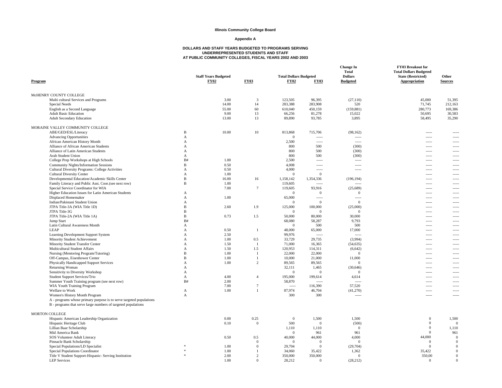#### **Appendix A**

| Program                                                             |              | <b>Staff Years Budgeted</b><br><b>FY02</b> | <b>FY03</b>     | <b>Total Dollars Budgeted</b><br><b>FY02</b> | <b>FY03</b>              | <b>Change In</b><br><b>Total</b><br><b>Dollars</b><br><b>Budgeted</b> | FY03 Breakout for<br><b>Total Dollars Budgeted</b><br><b>State (Restricted)</b><br><b>Appropriation</b> | Other<br><b>Sources</b>  |
|---------------------------------------------------------------------|--------------|--------------------------------------------|-----------------|----------------------------------------------|--------------------------|-----------------------------------------------------------------------|---------------------------------------------------------------------------------------------------------|--------------------------|
| McHENRY COUNTY COLLEGE                                              |              |                                            |                 |                                              |                          |                                                                       |                                                                                                         |                          |
| Multi cultural Services and Programs                                |              | 3.00                                       | $\overline{3}$  | 123,505                                      | 96,395                   | (27, 110)                                                             | 45,000                                                                                                  | 51,395                   |
| Special Needs                                                       |              | 14.00                                      | 14              | 283,388                                      | 283,908                  | 520                                                                   | 71,745                                                                                                  | 212,163                  |
| English as a Second Language                                        |              | 55.00                                      | 60              | 610,040                                      | 450,159                  | (159, 881)                                                            | 280,773                                                                                                 | 169,386                  |
| <b>Adult Basic Education</b>                                        |              | 9.00                                       | 13              | 66,256                                       | 81,278                   | 15,022                                                                | 50,695                                                                                                  | 30,583                   |
| <b>Adult Secondary Education</b>                                    |              | 13.00                                      | 13              | 89,890                                       | 93,785                   | 3,895                                                                 | 58,495                                                                                                  | 35,290                   |
| MORAINE VALLEY COMMUNITY COLLEGE                                    |              |                                            |                 |                                              |                          |                                                                       |                                                                                                         |                          |
| ABE/GED/ESL/Literacy                                                | $\, {\bf B}$ | 10.00                                      | 10              | 813,868                                      | 715,706                  | (98, 162)                                                             | -----                                                                                                   |                          |
| <b>Advancing Opportunities</b>                                      | A            |                                            |                 | $\overline{0}$                               | $\frac{1}{2}$            | $\overline{\phantom{a}}$                                              | -----                                                                                                   | -----                    |
| African American History Month                                      | А            |                                            |                 | 2,500                                        | $\frac{1}{2}$            | $\cdots$                                                              | -----                                                                                                   |                          |
| Alliance of African American Students                               | А            |                                            |                 | 800                                          | 500                      | (300)                                                                 | $---$                                                                                                   |                          |
| Alliance of Latin American Students                                 | A            |                                            |                 | 800                                          | 500                      | (300)                                                                 | -----                                                                                                   | -----                    |
| Arab Student Union                                                  | А            |                                            |                 | 800                                          | 500                      | (300)                                                                 | $\frac{1}{2}$                                                                                           |                          |
| College Prep Workshops at High Schools                              | B#           | 1.00                                       |                 | 2,500                                        | $\sim$                   | 1.111                                                                 | $---$                                                                                                   |                          |
| <b>Community Nights/Information Sessions</b>                        | B            | 0.50                                       |                 | 4.008                                        | $---$                    | $\overline{\phantom{a}}$                                              | -----                                                                                                   | $1 - 1 - 1$              |
| Cultural Diversity Programs: College Activities                     | А            | 0.50                                       |                 | 4,000                                        | $---$                    | $1 - 1 - 1 - 1 = 1$                                                   | $---$                                                                                                   |                          |
| <b>Cultural Diversity Center</b>                                    | А            | 1.00                                       |                 | $\Omega$                                     | $\overline{0}$           |                                                                       | $---$                                                                                                   | -----                    |
| Developmental Education/Academic Skills Center                      | B            | 16.00                                      | 16              | 1,158,142                                    | 1,354,336                | (196, 194)                                                            | -----                                                                                                   |                          |
| Family Literacy and Public Asst. Coor.(see next row)                | B            | 1.00                                       |                 | 119,605                                      | $\overline{\phantom{a}}$ | $1 - 1 - 1 = 1$                                                       | -----                                                                                                   |                          |
| Special Service Coordinator for WIA                                 |              | 7.00                                       | $\tau$          | 119,605                                      | 93,916                   | (25, 689)                                                             | -----                                                                                                   | $\sim$                   |
| Higher Education Issues for Latin American Students                 | A            |                                            |                 | $\mathbf{0}$                                 | $\Omega$                 | $\mathbf{0}$                                                          | -----                                                                                                   | -----                    |
| Displaced Homemaker                                                 | А            | 1.00                                       |                 | 65,000                                       | $\overline{\phantom{a}}$ | $\overline{\phantom{a}}$                                              | -----                                                                                                   |                          |
| Indian/Pakistani Student Union                                      | А            |                                            |                 | $\overline{0}$                               | $\mathbf{0}$             | $\mathbf{0}$                                                          | -----                                                                                                   | $\sim$                   |
| JTPA Title-3A (WIA Title 1D)                                        | B            | 2.60                                       | 1.9             | 125,000                                      | 100,000                  | (25,000)                                                              | -----                                                                                                   | -----                    |
| JTPA Title-3G                                                       | B            |                                            |                 | $\Omega$                                     | $\overline{0}$           | $\mathbf{0}$                                                          | 1.11                                                                                                    |                          |
| JTPA Title-2A (WIA Title 1A)                                        | B            | 0.73                                       | 1.5             | 50,000                                       | 80,000                   | 30,000                                                                | $\frac{1}{2}$                                                                                           | $\cdots$                 |
| Jump Start                                                          | B#           |                                            |                 | 68,080                                       | 58,287                   | 9.793                                                                 | -----                                                                                                   | -----                    |
| Latin Cultural Awareness Month                                      | А            |                                            |                 | $\mathbf{0}$                                 | 500                      | 500                                                                   | -----                                                                                                   |                          |
| LEAP                                                                | А            | 0.50                                       | -1              | 48,000                                       | 65,000                   | 17,000                                                                | $\sim$ $\sim$ $\sim$                                                                                    | $\cdots$                 |
| Learning Development Support System                                 | A            | 2.50                                       |                 | 99,976                                       | $100 - 100$              | $\cdots$                                                              | -----                                                                                                   | -----                    |
| Minority Student Achievement                                        | А            | 1.00                                       | 0.5             | 33,729                                       | 29,735                   | (3,994)                                                               | -----                                                                                                   | -----                    |
| Minority Student Transfer Center                                    | А            | 1.50                                       | <sup>1</sup>    | 71,000                                       | 16,365                   | (54, 635)                                                             | -----                                                                                                   | $\cdots$                 |
| Multicultural Student Affairs                                       | A            | 1.50                                       | 1.5             | 120,953                                      | 114,311                  | (6,642)                                                               | -----                                                                                                   |                          |
| Nursing (Mentoring Program/Tutoring)                                | B            | 1.00                                       | $\overline{1}$  | 22,000                                       | 22,000                   | $\mathbf{0}$                                                          | -----                                                                                                   |                          |
| Off-Campus, Eisenhower Center                                       | B            | 1.00                                       | $\overline{1}$  | 10,000                                       | 21,000                   | 11,000                                                                | -----                                                                                                   | -----                    |
| Physically Handicapped Support Services                             | А            | 1.00                                       | $\overline{c}$  | 89,565                                       | 89,565                   | $\mathbf{0}$                                                          | -----                                                                                                   | $\overline{\phantom{a}}$ |
| Returning Woman                                                     | А            |                                            |                 | 32,111                                       | 1,465                    | (30, 646)                                                             | -----                                                                                                   |                          |
| Sensitivity to Diversity Workshop                                   | A            |                                            |                 | $\Omega$                                     | $\Omega$                 | $\mathbf{0}$                                                          | -----                                                                                                   | -----                    |
| Student Support Services/Trio                                       | А            | 4.00                                       | $\overline{4}$  | 195,000                                      | 199,614                  | 4,614                                                                 | -----                                                                                                   | -----                    |
| Summer Youth Training program (see next row)                        | B#           | 2.00                                       |                 | 58,870                                       | $\sim$                   | $\frac{1}{2}$                                                         | 1.11                                                                                                    |                          |
| WIA Youth Training Program                                          |              | 7.00                                       | $7\phantom{.0}$ | $\sim$                                       | 116,390                  | 57,520                                                                | $\sim$ $\sim$ $\sim$                                                                                    | $\sim$                   |
| Welfare to Work                                                     | A            | 1.00                                       | 1               | 87,974                                       | 46,704                   | (41,270)                                                              | -----                                                                                                   |                          |
| Women's History Month Program                                       | А            |                                            |                 | 300                                          | 300                      | $1 - 1 - 1 = 1$                                                       | 1.11                                                                                                    |                          |
| A - programs whose primary purpose is to serve targeted populations |              |                                            |                 |                                              |                          |                                                                       |                                                                                                         |                          |
| B - programs that serve large numbers of targeted populations       |              |                                            |                 |                                              |                          |                                                                       |                                                                                                         |                          |
| <b>MORTON COLLEGE</b>                                               |              |                                            |                 |                                              |                          |                                                                       |                                                                                                         |                          |
| Hispanic American Leadership Organization                           |              | 0.00                                       | 0.25            | $\overline{0}$                               | 1,500                    | 1,500                                                                 | $\overline{0}$                                                                                          | 1,500                    |
| Hispanic Heritage Club                                              |              | 0.10                                       | $\mathbf{0}$    | 500                                          | $\overline{0}$           | (500)                                                                 | $\overline{0}$                                                                                          | $\Omega$                 |
| Lillian Baar Scholarship                                            |              |                                            |                 | 1,110                                        | 1,110                    | $\mathbf{0}$                                                          | $\overline{0}$                                                                                          | 1,110                    |
| Mid America Bank                                                    |              |                                            |                 | $\Omega$                                     | 961                      | 961                                                                   | $\Omega$                                                                                                | 961                      |
| SOS Volunteer Adult Literacy                                        |              | 0.50                                       | 0.5             | 40,000                                       | 44,000                   | 4,000                                                                 | 44,000                                                                                                  | $\Omega$                 |
| Pinnacle Bank Scholarship                                           |              |                                            | $\mathbf{0}$    | $\overline{0}$                               | $\overline{0}$           | $\overline{0}$                                                        | $\mathbf{0}$                                                                                            | $\mathbf{0}$             |
| Special Populations/LD Specialist                                   |              | 1.00                                       | $\mathbf{0}$    | 29,704                                       | $\overline{0}$           | (29,704)                                                              | $\bf{0}$                                                                                                | $\Omega$                 |
| Special Populations Coordinator                                     | s.           | 1.00                                       | -1              | 34,060                                       | 35,422                   | 1,362                                                                 | 35,422                                                                                                  | $\Omega$                 |
| Title V Student Support-Hispanic- Serving Institution               |              | 2.00                                       | 2               | 350,000                                      | 350,000                  | $\overline{0}$                                                        | 350,00                                                                                                  | $\Omega$                 |
| <b>LEP</b> Services                                                 |              | 1.00                                       | $\Omega$        | 28.212                                       | $\Omega$                 | (28.212)                                                              | $\Omega$                                                                                                | $\Omega$                 |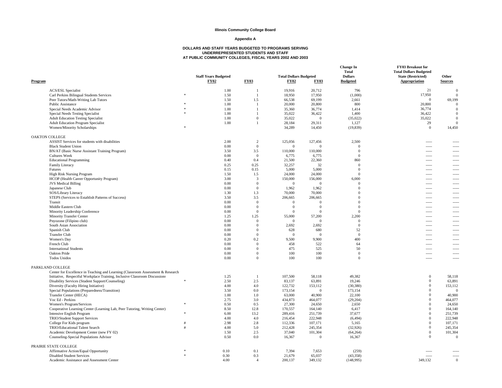#### **Appendix A**

| Program                                                                         |                | <b>Staff Years Budgeted</b><br><b>FY02</b> | <b>FY03</b>             | <b>Total Dollars Budgeted</b><br><b>FY02</b> | <b>FY03</b>    | <b>Change In</b><br><b>Total</b><br><b>Dollars</b><br><b>Budgeted</b> | FY03 Breakout for<br><b>Total Dollars Budgeted</b><br><b>State (Restricted)</b><br>Appropriation | Other<br><b>Sources</b> |
|---------------------------------------------------------------------------------|----------------|--------------------------------------------|-------------------------|----------------------------------------------|----------------|-----------------------------------------------------------------------|--------------------------------------------------------------------------------------------------|-------------------------|
| <b>ACS/ESL Specialist</b>                                                       |                | 1.00                                       | $\overline{1}$          | 19,916                                       | 20,712         | 796                                                                   | 21                                                                                               | $\Omega$                |
| Carl Perkins Bilingual Students Services                                        |                | 1.50                                       | $\mathbf{1}$            | 18,950                                       | 17.950         | (1,000)                                                               | 17,950                                                                                           | $\Omega$                |
| Peer Tutors/Math-Writing Lab Tutors                                             |                | 1.50                                       | 1.5                     | 66,538                                       | 69,199         | 2,661                                                                 | $\overline{0}$                                                                                   | 69,199                  |
| Public Assistance                                                               |                | 1.00                                       | $\overline{1}$          | 20,000                                       | 20,800         | 800                                                                   | 20,800                                                                                           | $\Omega$                |
| Special Needs Academic Advisor                                                  |                | 1.00                                       | $\overline{1}$          | 35,360                                       | 36,774         | 1.414                                                                 | 36,774                                                                                           | $\Omega$                |
| Special Needs Testing Specialist                                                |                | 1.00                                       | $\mathbf{1}$            | 35,022                                       | 36,422         | 1,400                                                                 | 36,422                                                                                           | $\Omega$                |
| <b>Adult Education Testing Specialist</b>                                       |                | 1.00                                       | $\overline{0}$          | 35,022                                       | $\overline{0}$ | (35,022)                                                              | 35,022                                                                                           | $\overline{0}$          |
| <b>Adult Education Program Specialist</b>                                       |                | 1.00                                       | $\mathbf{1}$            | 28,184                                       | 29,311         | 1,127                                                                 | 29                                                                                               | $\overline{0}$          |
| Women/Minority Scholarships                                                     |                |                                            |                         | 34,289                                       | 14,450         | (19, 839)                                                             | $\overline{0}$                                                                                   | 14,450                  |
| <b>OAKTON COLLEGE</b>                                                           |                |                                            |                         |                                              |                |                                                                       |                                                                                                  |                         |
| ASSIST Services for students with disabilities                                  |                | 2.00                                       | 2                       | 125,056                                      | 127,456        | 2,500                                                                 | $1 - 1 - 1 = 1$                                                                                  | -----                   |
| <b>Black Student Union</b>                                                      |                | 0.00                                       | $\overline{0}$          | $\Omega$                                     | $\Omega$       | $\overline{0}$                                                        | $\overline{\phantom{a}}$                                                                         | $- - - - -$             |
| BN/AT (Basic Nurse Assistant Training Program)                                  |                | 3.50                                       | 3.5                     | 110,000                                      | 110,000        | $\mathbf{0}$                                                          | $\overline{\phantom{a}}$                                                                         | -----                   |
| <b>Cultures Week</b>                                                            |                | 0.00                                       | $\overline{0}$          | 6,775                                        | 6,775          | $\mathbf{0}$                                                          | $\sim$                                                                                           | $\sim$                  |
| <b>Educational Programming</b>                                                  |                | 0.40                                       | 0.4                     | 21,500                                       | 22,360         | 860                                                                   | $\sim$                                                                                           | $\cdots$                |
| Family Literacy                                                                 |                | 0.25                                       | 0.25                    | 32,257                                       | 32             | $\overline{0}$                                                        | $\frac{1}{2}$                                                                                    | -----                   |
| Futures                                                                         |                | 0.15                                       | 0.15                    | 5,000                                        | 5,000          | $\mathbf{0}$                                                          | $\sim$                                                                                           | $\overline{a}$          |
| <b>High Risk Nursing Program</b>                                                |                | 1.50                                       | 1.5                     | 24,000                                       | 24,000         | $\mathbf{0}$                                                          | $\sim$                                                                                           | -----                   |
| HCOP (Health Career Opportunity Program)                                        |                | 3.00                                       | $\overline{\mathbf{3}}$ | 150,000                                      | 156,000        | 6,000                                                                 | $\frac{1}{2}$                                                                                    | -----                   |
| <b>JVS</b> Medical Billing                                                      |                | 0.00                                       | $\overline{0}$          | $\mathbf{0}$                                 | $\Omega$       | $\overline{0}$                                                        | $\sim$                                                                                           | $\sim$                  |
| Japanese Club                                                                   |                | 0.00                                       | $\overline{0}$          | 1,962                                        | 1,962          | $\mathbf{0}$                                                          | $\sim$                                                                                           | -----                   |
| SOS/Library Literacy                                                            |                | 1.30                                       | 1.3                     | 70,000                                       | 70,000         | $\mathbf{0}$                                                          | $\frac{1}{2}$                                                                                    | -----                   |
| STEPS (Services to Establish Patterns of Success)                               |                | 3.50                                       | 3.5                     | 206,665                                      | 206,665        | $\mathbf{0}$                                                          | $- - - -$                                                                                        | $---$                   |
| Transit                                                                         |                | 0.00                                       | $\overline{0}$          | $\mathbf{0}$                                 | $\Omega$       | $\mathbf{0}$                                                          | 1.111                                                                                            | $- - - - -$             |
| Middle Eastern Club                                                             |                | 0.00                                       | $\overline{0}$          | $\mathbf{0}$                                 | $\bf{0}$       | $\mathbf{0}$                                                          | $\overline{\phantom{a}}$                                                                         | -----                   |
| Minority Leadership Conference                                                  |                | 0.00                                       | $\Omega$                | $\Omega$                                     | $\theta$       | $\theta$                                                              | $---$                                                                                            | -----                   |
| <b>Minority Transfer Center</b>                                                 |                | 1.25                                       | 1.25                    | 55,000                                       | 57,200         | 2.200                                                                 | $- - - - -$                                                                                      | -----                   |
| Pnyozone (Filipino club)                                                        |                | 0.00                                       | $\mathbf{0}$            | $\overline{0}$                               | $\overline{0}$ | $\overline{0}$                                                        | -----                                                                                            | $\frac{1}{2}$           |
| South Asian Association                                                         |                | 0.00                                       | $\Omega$                | 2,692                                        | 2,692          | $\theta$                                                              | $---$                                                                                            | $- - - -$               |
| Spanish Club                                                                    |                | 0.00                                       | $\overline{0}$          | 628                                          | 680            | 52                                                                    | $- - - - -$                                                                                      | -----                   |
| <b>Transfer Club</b>                                                            |                | 0.00                                       | $\overline{0}$          | $\overline{0}$                               | $\overline{0}$ | $\overline{0}$                                                        |                                                                                                  | .                       |
| Women's Day                                                                     |                | 0.20                                       | 0.2                     | 9,500                                        | 9,900          | 400                                                                   | 1.111                                                                                            | 1.111                   |
| French Club                                                                     |                | 0.00                                       | $\overline{0}$          | 458                                          | 522            | 64                                                                    | $- - - - -$                                                                                      | $- - - - -$             |
| <b>International Students</b>                                                   |                | 0.00                                       | $\mathbf{0}$            | 475                                          | 525            | 50                                                                    | $\sim$                                                                                           | -----                   |
| Oakton Pride                                                                    |                | 0.00                                       | $\overline{0}$          | 100                                          | 100            | $\overline{0}$                                                        | 1.111                                                                                            | 1.111                   |
| <b>Todos Unidos</b>                                                             |                | 0.00                                       | $\mathbf{0}$            | 100                                          | 100            | $\overline{0}$                                                        | 1.1.1.1                                                                                          | -----                   |
| PARKLAND COLLEGE                                                                |                |                                            |                         |                                              |                |                                                                       |                                                                                                  |                         |
| Center for Excellence in Teaching and Learning (Classroom Assessment & Research |                |                                            |                         |                                              |                |                                                                       |                                                                                                  |                         |
| Initiative, Respectful Workplace Training, Inclusive Classroom Discussions      |                | 1.25                                       | $\overline{1}$          | 107,500                                      | 58,118         | 49,382                                                                | $\mathbf{0}$                                                                                     | 58,118                  |
| Disability Services (Student Support/Counseling)                                | $\ast$         | 2.50                                       | 2.5                     | 83,137                                       | 63,891         | 19,246                                                                | $\mathbf{0}$                                                                                     | 63,891                  |
| Diversity (Faculty Hiring Initiative)                                           |                | 4.00                                       | 4.0                     | 122,732                                      | 153,112        | (30, 380)                                                             | $\mathbf{0}$                                                                                     | 153,112                 |
| Special Populations (Preparedness/Transition)                                   |                | 3.50                                       | 0.0                     | 173,154                                      | $\mathbf{0}$   | 173,154                                                               | $\mathbf{0}$                                                                                     | $\mathbf{0}$            |
| Transfer Center (HECA)                                                          |                | 1.00                                       | 1.0                     | 63,000                                       | 40,900         | 22,100                                                                | $\mathbf{0}$                                                                                     | 40,900                  |
| Voc Ed - Perkins                                                                |                | 2.75                                       | 3.0                     | 434,873                                      | 464,077        | (29, 204)                                                             | $\overline{0}$                                                                                   | 464,077                 |
| Women's Program/Services                                                        |                | 0.50                                       | 0.5                     | 27,300                                       | 24,650         | 2,650                                                                 | $\overline{0}$                                                                                   | 24,650                  |
| Cooperative Learning Center (Learning Lab, Peer Tutoring, Writing Center)       |                | 8.50                                       | 12.8                    | 170,557                                      | 164,140        | 6,417                                                                 | $\overline{0}$                                                                                   | 164,140                 |
| Intensive English Program                                                       |                | 6.00                                       | 13.2                    | 289,416                                      | 251,739        | 37,677                                                                | $\mathbf{0}$                                                                                     | 251,739                 |
| TRIO/Student Support Services                                                   |                | 4.00                                       | 4.0                     | 216,454                                      | 222,948        | (6, 494)                                                              | $\mathbf{0}$                                                                                     | 222,948                 |
| College For Kids program                                                        |                | 2.98                                       | 2.8                     | 112,336                                      | 107,171        | 5,165                                                                 | $\overline{0}$                                                                                   | 107,171                 |
| TRIO/Educational Talent Search                                                  | $\overline{H}$ | 4.00                                       | 5.0                     | 212,428                                      | 245,354        | (32, 926)                                                             | $\boldsymbol{0}$                                                                                 | 245,354                 |
| Academic Development Center (new FY 02)                                         |                | 1.50                                       | 2.5                     | 37,040                                       | 101,304        | (64, 264)                                                             | $\boldsymbol{0}$                                                                                 | 101,304                 |
| Counseling-Special Populations Advisor                                          |                | 0.50                                       | 0.0                     | 16,367                                       | $\overline{0}$ | 16,367                                                                | $\overline{0}$                                                                                   | $\theta$                |
|                                                                                 |                |                                            |                         |                                              |                |                                                                       |                                                                                                  |                         |
| PRAIRIE STATE COLLEGE                                                           |                |                                            |                         |                                              |                |                                                                       |                                                                                                  |                         |
| <b>Affirmative Action/Equal Opportunity</b>                                     | $\ast$         | 0.10                                       | 0.1                     | 7,394                                        | 7.653          | (259)                                                                 | 1.1.1.1                                                                                          | $- - - - -$             |
| <b>Disabled Student Services</b>                                                | $\ast$         | 0.30                                       | 0.3                     | 21,679                                       | 65,037         | (43,358)                                                              | 1.111                                                                                            |                         |
| Academic Assistance and Assessment Center                                       |                | 4.00                                       | $\overline{4}$          | 200,137                                      | 349.132        | (148,995)                                                             | 349.132                                                                                          | $\Omega$                |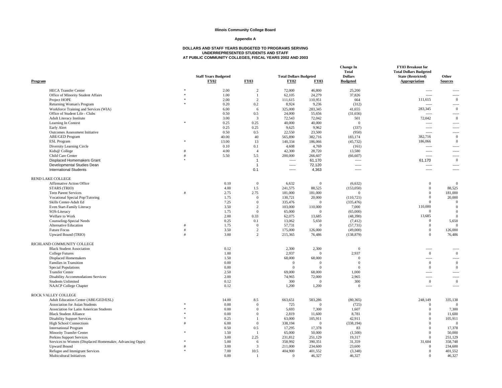#### **Appendix A**

| <b>HECA Transfer Center</b><br>$\frac{1}{2}$<br>2.00<br>2<br>72,000<br>46,800<br>25,200<br>$1 - 1 - 1 = 1$<br>-----<br>Office of Minority Student Affairs<br>$\pm$<br>1.00<br>62,105<br>24,279<br>37,826<br>$\overline{1}$<br>$\overline{\phantom{a}}$<br>$- - - - -$<br>2.00<br>$\overline{2}$<br>111,615<br>110,951<br>Project HOPE<br>664<br>111,615<br>$\Omega$<br>Returning Woman's Program<br>0.20<br>0.2<br>8,924<br>9,236<br>(312)<br>$\sim$<br>$\theta$<br>Workforce Training and Services (WIA)<br>6.00<br>325,000<br>283,345<br>41,655<br>283,345<br>6<br>Office of Student Life - Clubs<br>0.50<br>0.5<br>24,000<br>55,656<br>(31,656)<br>$\overline{\phantom{a}}$<br>Adult Literacy Institute<br>$\overline{3}$<br>72,042<br>$\overline{0}$<br>3.00<br>72,543<br>72,042<br>501<br>Learning In Context<br>$\ast$<br>0.25<br>0.25<br>40,000<br>40,000<br>$\Omega$<br>$\sim$<br>$\cdots$<br>0.25<br>(337)<br>Early Alert<br>0.25<br>9,625<br>9,962<br>$\overline{\phantom{a}}$<br>-----<br>0.5<br>22,550<br><b>Outcomes Assessment Initiative</b><br>0.50<br>23,500<br>(950)<br>$\cdots$<br>$\overline{\phantom{a}}$<br><b>ABE/GED Program</b><br>$\theta$<br>40.00<br>40<br>565,890<br>382,716<br>183,174<br>382,716<br><b>ESL Program</b><br>13.00<br>13<br>140,334<br>186,066<br>$\mathbf{0}$<br>186,066<br>(45, 732)<br>Diversity Learning Circle<br>0.1<br>4,608<br>0.10<br>4,769<br>(161)<br>$\overline{\phantom{a}}$<br>-----<br>42,300<br>Kids@ College<br>4.00<br>28,720<br>13,580<br>Ħ<br>$\overline{4}$<br>$\cdots$<br>5.5<br>200,000<br>Child Care Center<br>#<br>5.50<br>266,607<br>(66, 607)<br>$\sim$<br>$- - - - -$<br>$\mathbf{0}$<br>Displaced Homemakers Grant<br>61,170<br>61,170<br>$\mathbf{1}$<br>$\overline{\phantom{a}}$<br>$\cdots$<br>Developmental Studies Dean<br>72,120<br>$\overline{1}$<br>$1 - 1 - 1$<br>$\overline{\phantom{a}}$<br>$\overline{\phantom{a}}$<br>$- - - - -$<br><b>International Students</b><br>0.1<br>4,363<br>-----<br>$1 - 1 - 1 = 1$<br>-----<br><b>REND LAKE COLLEGE</b><br>0.10<br>6,632<br>(6,632)<br><b>Affirmative Action Office</b><br>$\overline{0}$<br>$\mathbf{0}$<br>$\Omega$<br>$\Omega$<br>4.00<br>1.5<br>241,575<br>88,525<br>(153,050)<br>$\mathbf{0}$<br>88,525<br>STARS (TRIO)<br><b>Teen Parent Services</b><br>2.75<br>2.75<br>181,000<br>181,000<br>$\mathbf{0}$<br>181,000<br>#<br>$\Omega$<br>$\mathbf{0}$<br>20,000<br>Vocational Special Pop/Tutoring<br>1.75<br>$\Omega$<br>130,721<br>20,000<br>(110, 721)<br>$\theta$<br>$\Omega$<br>$\theta$<br>Skills Center-Adult Ed<br>7.25<br>335,476<br>(335, 476)<br>$\overline{0}$<br>Even Start-Family Literacy<br>3.50<br>$\overline{c}$<br>103,000<br>110,000<br>7,000<br>110,000<br>$\mathbf{0}$<br>1.75<br>$\theta$<br>65,000<br>$\Omega$<br>SOS-Literacy<br>$\Omega$<br>(65,000)<br>$\Omega$<br>0.33<br>Welfare to Work<br>2.00<br>62,075<br>13,685<br>(48,390)<br>13,685<br>$\Omega$<br>0.1<br>13,062<br>$\Omega$<br>Counseling-Special Needs<br>0.25<br>5,650<br>5,650<br>(7, 412)<br><b>Alternative Education</b><br>1.75<br>$\overline{0}$<br>57,731<br>$\mathbf{0}$<br>(57, 731)<br>$\mathbf{0}$<br>$\Omega$<br>#<br>$\overline{2}$<br>$\mathbf{0}$<br><b>Future Focus</b><br>#<br>3.50<br>175,000<br>126,000<br>(49,000)<br>126,000<br>$\mathbf{0}$<br>$\overline{2}$<br>Upward Bound (TRIO)<br>#<br>3.00<br>215,365<br>(138, 879)<br>76,486<br>76,486<br>RICHLAND COMMUNITY COLLEGE<br>0.12<br>2,300<br>2,300<br>$\mathbf{0}$<br><b>Black Student Association</b><br>$1 - 1 - 1$<br>1.00<br>2,937<br>2,937<br>$\overline{0}$<br>$\theta$<br><b>College Futures</b><br>$\overline{0}$<br>68,000<br>68,000<br><b>Displaced Homemakers</b><br>1.50<br>$\Omega$<br>$1 - 1 - 1 = 1$<br>Families in Transition<br>0.00<br>$\mathbf{0}$<br>$\mathbf{0}$<br>$\overline{0}$<br>$\overline{0}$<br>$\Omega$<br>$\Omega$<br><b>Special Populations</b><br>0.00<br>$\Omega$<br>$\Omega$<br>$\Omega$<br>$\mathbf{0}$<br>2.50<br>69,000<br>68,000<br>1,000<br><b>Transfer Center</b><br>-----<br>Disability Accommodations Services<br>2.00<br>74,965<br>72,000<br>2,965<br>$\sim$<br>$\sim$<br><b>Students Unlimited</b><br>0.12<br>300<br>300<br>$\mathbf{0}$<br>$\overline{0}$<br>$\Omega$<br><b>NAACP</b> College Chapter<br>0.12<br>1,200<br>1,200<br>$\Omega$<br>$1 - 1 - 1 = 1$<br>-----<br>ROCK VALLEY COLLEGE<br>Adult Education Center (ABE/GED/ESL)<br>14.00<br>8.5<br>663,651<br>583,286<br>(80, 365)<br>248,149<br>335,138<br><b>Association for Asian Students</b><br>0.00<br>$\Omega$<br>725<br>(725)<br>$\overline{0}$<br>$\Omega$<br>$\Omega$<br>Association for Latin American Students<br>$0.00\,$<br>$\Omega$<br>5,693<br>7,300<br>1,607<br>$\mathbf{0}$<br>7,300<br>2,819<br>11,600<br>8,781<br>11,600<br><b>Black Student Alliance</b><br>0.00<br>$\overline{0}$<br>$\Omega$<br><b>Disability Support Services</b><br>0.25<br>63,000<br>105,911<br>42,911<br>$\mathbf{0}$<br>105,911<br>$\overline{1}$<br><b>High School Connections</b><br>6.00<br>$\mathbf{0}$<br>338,194<br>(338, 194)<br>$\mathbf{0}$<br>$\Omega$<br>$\mathbf{0}$<br><b>International Program</b><br>0.50<br>0.5<br>17,295<br>17,378<br>83<br>17,378<br>$\Omega$<br>Minority Transfer Center<br>1.50<br>65,000<br>50,000<br>(1,500)<br>$\Omega$<br>50,000<br>-1<br>2.25<br>231,812<br>251,129<br>251,129<br>Perkins Support Services<br>3.00<br>19,317<br>$\Omega$<br>Services to Women (Displaced Homemaker, Advancing Opps)<br>5.00<br>6<br>358,992<br>390,351<br>31,359<br>358,748<br>31,604<br>211,000<br><b>Upward Bound</b><br>#<br>3.00<br>3<br>234,600<br>23,600<br>$\Omega$<br>234,600<br>Refugee and Immigrant Services<br>7.00<br>10.5<br>404,900<br>401,552<br>(3,348)<br>$\Omega$<br>401,552<br>Multicultural Initiatives<br>0.00<br>46,327<br>$\theta$<br>46,327<br>46,327<br>-1<br>$\Omega$ | Program | <b>Staff Years Budgeted</b><br><b>FY02</b> | <b>FY03</b> | <b>Total Dollars Budgeted</b><br><b>FY02</b> | <b>FY03</b> | <b>Change In</b><br><b>Total</b><br><b>Dollars</b><br><b>Budgeted</b> | FY03 Breakout for<br><b>Total Dollars Budgeted</b><br><b>State (Restricted)</b><br>Appropriation | Other<br><b>Sources</b> |
|--------------------------------------------------------------------------------------------------------------------------------------------------------------------------------------------------------------------------------------------------------------------------------------------------------------------------------------------------------------------------------------------------------------------------------------------------------------------------------------------------------------------------------------------------------------------------------------------------------------------------------------------------------------------------------------------------------------------------------------------------------------------------------------------------------------------------------------------------------------------------------------------------------------------------------------------------------------------------------------------------------------------------------------------------------------------------------------------------------------------------------------------------------------------------------------------------------------------------------------------------------------------------------------------------------------------------------------------------------------------------------------------------------------------------------------------------------------------------------------------------------------------------------------------------------------------------------------------------------------------------------------------------------------------------------------------------------------------------------------------------------------------------------------------------------------------------------------------------------------------------------------------------------------------------------------------------------------------------------------------------------------------------------------------------------------------------------------------------------------------------------------------------------------------------------------------------------------------------------------------------------------------------------------------------------------------------------------------------------------------------------------------------------------------------------------------------------------------------------------------------------------------------------------------------------------------------------------------------------------------------------------------------------------------------------------------------------------------------------------------------------------------------------------------------------------------------------------------------------------------------------------------------------------------------------------------------------------------------------------------------------------------------------------------------------------------------------------------------------------------------------------------------------------------------------------------------------------------------------------------------------------------------------------------------------------------------------------------------------------------------------------------------------------------------------------------------------------------------------------------------------------------------------------------------------------------------------------------------------------------------------------------------------------------------------------------------------------------------------------------------------------------------------------------------------------------------------------------------------------------------------------------------------------------------------------------------------------------------------------------------------------------------------------------------------------------------------------------------------------------------------------------------------------------------------------------------------------------------------------------------------------------------------------------------------------------------------------------------------------------------------------------------------------------------------------------------------------------------------------------------------------------------------------------------------------------------------------------------------------------------------------------------------------------------------------------------------------------------------------------------------------------------------------------------------------------------------------------------------------------------------------------------------------------------------------------------------------------------------------------------------------------------------------------------------------------------------------------------------------------------------------------------------------------------------------------------------------------------------------------------------------------------------------------------------------------------------------------------------------------------------------------------------------------------------------------------------------------------------------------------------------------------------------------------------------------------------------------------------------------------------------------------------------------------------------------------------------------------------------------------------------------------------------------------------------------------------------|---------|--------------------------------------------|-------------|----------------------------------------------|-------------|-----------------------------------------------------------------------|--------------------------------------------------------------------------------------------------|-------------------------|
|                                                                                                                                                                                                                                                                                                                                                                                                                                                                                                                                                                                                                                                                                                                                                                                                                                                                                                                                                                                                                                                                                                                                                                                                                                                                                                                                                                                                                                                                                                                                                                                                                                                                                                                                                                                                                                                                                                                                                                                                                                                                                                                                                                                                                                                                                                                                                                                                                                                                                                                                                                                                                                                                                                                                                                                                                                                                                                                                                                                                                                                                                                                                                                                                                                                                                                                                                                                                                                                                                                                                                                                                                                                                                                                                                                                                                                                                                                                                                                                                                                                                                                                                                                                                                                                                                                                                                                                                                                                                                                                                                                                                                                                                                                                                                                                                                                                                                                                                                                                                                                                                                                                                                                                                                                                                                                                                                                                                                                                                                                                                                                                                                                                                                                                                                                                                                                      |         |                                            |             |                                              |             |                                                                       |                                                                                                  |                         |
|                                                                                                                                                                                                                                                                                                                                                                                                                                                                                                                                                                                                                                                                                                                                                                                                                                                                                                                                                                                                                                                                                                                                                                                                                                                                                                                                                                                                                                                                                                                                                                                                                                                                                                                                                                                                                                                                                                                                                                                                                                                                                                                                                                                                                                                                                                                                                                                                                                                                                                                                                                                                                                                                                                                                                                                                                                                                                                                                                                                                                                                                                                                                                                                                                                                                                                                                                                                                                                                                                                                                                                                                                                                                                                                                                                                                                                                                                                                                                                                                                                                                                                                                                                                                                                                                                                                                                                                                                                                                                                                                                                                                                                                                                                                                                                                                                                                                                                                                                                                                                                                                                                                                                                                                                                                                                                                                                                                                                                                                                                                                                                                                                                                                                                                                                                                                                                      |         |                                            |             |                                              |             |                                                                       |                                                                                                  |                         |
|                                                                                                                                                                                                                                                                                                                                                                                                                                                                                                                                                                                                                                                                                                                                                                                                                                                                                                                                                                                                                                                                                                                                                                                                                                                                                                                                                                                                                                                                                                                                                                                                                                                                                                                                                                                                                                                                                                                                                                                                                                                                                                                                                                                                                                                                                                                                                                                                                                                                                                                                                                                                                                                                                                                                                                                                                                                                                                                                                                                                                                                                                                                                                                                                                                                                                                                                                                                                                                                                                                                                                                                                                                                                                                                                                                                                                                                                                                                                                                                                                                                                                                                                                                                                                                                                                                                                                                                                                                                                                                                                                                                                                                                                                                                                                                                                                                                                                                                                                                                                                                                                                                                                                                                                                                                                                                                                                                                                                                                                                                                                                                                                                                                                                                                                                                                                                                      |         |                                            |             |                                              |             |                                                                       |                                                                                                  |                         |
|                                                                                                                                                                                                                                                                                                                                                                                                                                                                                                                                                                                                                                                                                                                                                                                                                                                                                                                                                                                                                                                                                                                                                                                                                                                                                                                                                                                                                                                                                                                                                                                                                                                                                                                                                                                                                                                                                                                                                                                                                                                                                                                                                                                                                                                                                                                                                                                                                                                                                                                                                                                                                                                                                                                                                                                                                                                                                                                                                                                                                                                                                                                                                                                                                                                                                                                                                                                                                                                                                                                                                                                                                                                                                                                                                                                                                                                                                                                                                                                                                                                                                                                                                                                                                                                                                                                                                                                                                                                                                                                                                                                                                                                                                                                                                                                                                                                                                                                                                                                                                                                                                                                                                                                                                                                                                                                                                                                                                                                                                                                                                                                                                                                                                                                                                                                                                                      |         |                                            |             |                                              |             |                                                                       |                                                                                                  |                         |
|                                                                                                                                                                                                                                                                                                                                                                                                                                                                                                                                                                                                                                                                                                                                                                                                                                                                                                                                                                                                                                                                                                                                                                                                                                                                                                                                                                                                                                                                                                                                                                                                                                                                                                                                                                                                                                                                                                                                                                                                                                                                                                                                                                                                                                                                                                                                                                                                                                                                                                                                                                                                                                                                                                                                                                                                                                                                                                                                                                                                                                                                                                                                                                                                                                                                                                                                                                                                                                                                                                                                                                                                                                                                                                                                                                                                                                                                                                                                                                                                                                                                                                                                                                                                                                                                                                                                                                                                                                                                                                                                                                                                                                                                                                                                                                                                                                                                                                                                                                                                                                                                                                                                                                                                                                                                                                                                                                                                                                                                                                                                                                                                                                                                                                                                                                                                                                      |         |                                            |             |                                              |             |                                                                       |                                                                                                  |                         |
|                                                                                                                                                                                                                                                                                                                                                                                                                                                                                                                                                                                                                                                                                                                                                                                                                                                                                                                                                                                                                                                                                                                                                                                                                                                                                                                                                                                                                                                                                                                                                                                                                                                                                                                                                                                                                                                                                                                                                                                                                                                                                                                                                                                                                                                                                                                                                                                                                                                                                                                                                                                                                                                                                                                                                                                                                                                                                                                                                                                                                                                                                                                                                                                                                                                                                                                                                                                                                                                                                                                                                                                                                                                                                                                                                                                                                                                                                                                                                                                                                                                                                                                                                                                                                                                                                                                                                                                                                                                                                                                                                                                                                                                                                                                                                                                                                                                                                                                                                                                                                                                                                                                                                                                                                                                                                                                                                                                                                                                                                                                                                                                                                                                                                                                                                                                                                                      |         |                                            |             |                                              |             |                                                                       |                                                                                                  |                         |
|                                                                                                                                                                                                                                                                                                                                                                                                                                                                                                                                                                                                                                                                                                                                                                                                                                                                                                                                                                                                                                                                                                                                                                                                                                                                                                                                                                                                                                                                                                                                                                                                                                                                                                                                                                                                                                                                                                                                                                                                                                                                                                                                                                                                                                                                                                                                                                                                                                                                                                                                                                                                                                                                                                                                                                                                                                                                                                                                                                                                                                                                                                                                                                                                                                                                                                                                                                                                                                                                                                                                                                                                                                                                                                                                                                                                                                                                                                                                                                                                                                                                                                                                                                                                                                                                                                                                                                                                                                                                                                                                                                                                                                                                                                                                                                                                                                                                                                                                                                                                                                                                                                                                                                                                                                                                                                                                                                                                                                                                                                                                                                                                                                                                                                                                                                                                                                      |         |                                            |             |                                              |             |                                                                       |                                                                                                  |                         |
|                                                                                                                                                                                                                                                                                                                                                                                                                                                                                                                                                                                                                                                                                                                                                                                                                                                                                                                                                                                                                                                                                                                                                                                                                                                                                                                                                                                                                                                                                                                                                                                                                                                                                                                                                                                                                                                                                                                                                                                                                                                                                                                                                                                                                                                                                                                                                                                                                                                                                                                                                                                                                                                                                                                                                                                                                                                                                                                                                                                                                                                                                                                                                                                                                                                                                                                                                                                                                                                                                                                                                                                                                                                                                                                                                                                                                                                                                                                                                                                                                                                                                                                                                                                                                                                                                                                                                                                                                                                                                                                                                                                                                                                                                                                                                                                                                                                                                                                                                                                                                                                                                                                                                                                                                                                                                                                                                                                                                                                                                                                                                                                                                                                                                                                                                                                                                                      |         |                                            |             |                                              |             |                                                                       |                                                                                                  |                         |
|                                                                                                                                                                                                                                                                                                                                                                                                                                                                                                                                                                                                                                                                                                                                                                                                                                                                                                                                                                                                                                                                                                                                                                                                                                                                                                                                                                                                                                                                                                                                                                                                                                                                                                                                                                                                                                                                                                                                                                                                                                                                                                                                                                                                                                                                                                                                                                                                                                                                                                                                                                                                                                                                                                                                                                                                                                                                                                                                                                                                                                                                                                                                                                                                                                                                                                                                                                                                                                                                                                                                                                                                                                                                                                                                                                                                                                                                                                                                                                                                                                                                                                                                                                                                                                                                                                                                                                                                                                                                                                                                                                                                                                                                                                                                                                                                                                                                                                                                                                                                                                                                                                                                                                                                                                                                                                                                                                                                                                                                                                                                                                                                                                                                                                                                                                                                                                      |         |                                            |             |                                              |             |                                                                       |                                                                                                  |                         |
|                                                                                                                                                                                                                                                                                                                                                                                                                                                                                                                                                                                                                                                                                                                                                                                                                                                                                                                                                                                                                                                                                                                                                                                                                                                                                                                                                                                                                                                                                                                                                                                                                                                                                                                                                                                                                                                                                                                                                                                                                                                                                                                                                                                                                                                                                                                                                                                                                                                                                                                                                                                                                                                                                                                                                                                                                                                                                                                                                                                                                                                                                                                                                                                                                                                                                                                                                                                                                                                                                                                                                                                                                                                                                                                                                                                                                                                                                                                                                                                                                                                                                                                                                                                                                                                                                                                                                                                                                                                                                                                                                                                                                                                                                                                                                                                                                                                                                                                                                                                                                                                                                                                                                                                                                                                                                                                                                                                                                                                                                                                                                                                                                                                                                                                                                                                                                                      |         |                                            |             |                                              |             |                                                                       |                                                                                                  |                         |
|                                                                                                                                                                                                                                                                                                                                                                                                                                                                                                                                                                                                                                                                                                                                                                                                                                                                                                                                                                                                                                                                                                                                                                                                                                                                                                                                                                                                                                                                                                                                                                                                                                                                                                                                                                                                                                                                                                                                                                                                                                                                                                                                                                                                                                                                                                                                                                                                                                                                                                                                                                                                                                                                                                                                                                                                                                                                                                                                                                                                                                                                                                                                                                                                                                                                                                                                                                                                                                                                                                                                                                                                                                                                                                                                                                                                                                                                                                                                                                                                                                                                                                                                                                                                                                                                                                                                                                                                                                                                                                                                                                                                                                                                                                                                                                                                                                                                                                                                                                                                                                                                                                                                                                                                                                                                                                                                                                                                                                                                                                                                                                                                                                                                                                                                                                                                                                      |         |                                            |             |                                              |             |                                                                       |                                                                                                  |                         |
|                                                                                                                                                                                                                                                                                                                                                                                                                                                                                                                                                                                                                                                                                                                                                                                                                                                                                                                                                                                                                                                                                                                                                                                                                                                                                                                                                                                                                                                                                                                                                                                                                                                                                                                                                                                                                                                                                                                                                                                                                                                                                                                                                                                                                                                                                                                                                                                                                                                                                                                                                                                                                                                                                                                                                                                                                                                                                                                                                                                                                                                                                                                                                                                                                                                                                                                                                                                                                                                                                                                                                                                                                                                                                                                                                                                                                                                                                                                                                                                                                                                                                                                                                                                                                                                                                                                                                                                                                                                                                                                                                                                                                                                                                                                                                                                                                                                                                                                                                                                                                                                                                                                                                                                                                                                                                                                                                                                                                                                                                                                                                                                                                                                                                                                                                                                                                                      |         |                                            |             |                                              |             |                                                                       |                                                                                                  |                         |
|                                                                                                                                                                                                                                                                                                                                                                                                                                                                                                                                                                                                                                                                                                                                                                                                                                                                                                                                                                                                                                                                                                                                                                                                                                                                                                                                                                                                                                                                                                                                                                                                                                                                                                                                                                                                                                                                                                                                                                                                                                                                                                                                                                                                                                                                                                                                                                                                                                                                                                                                                                                                                                                                                                                                                                                                                                                                                                                                                                                                                                                                                                                                                                                                                                                                                                                                                                                                                                                                                                                                                                                                                                                                                                                                                                                                                                                                                                                                                                                                                                                                                                                                                                                                                                                                                                                                                                                                                                                                                                                                                                                                                                                                                                                                                                                                                                                                                                                                                                                                                                                                                                                                                                                                                                                                                                                                                                                                                                                                                                                                                                                                                                                                                                                                                                                                                                      |         |                                            |             |                                              |             |                                                                       |                                                                                                  |                         |
|                                                                                                                                                                                                                                                                                                                                                                                                                                                                                                                                                                                                                                                                                                                                                                                                                                                                                                                                                                                                                                                                                                                                                                                                                                                                                                                                                                                                                                                                                                                                                                                                                                                                                                                                                                                                                                                                                                                                                                                                                                                                                                                                                                                                                                                                                                                                                                                                                                                                                                                                                                                                                                                                                                                                                                                                                                                                                                                                                                                                                                                                                                                                                                                                                                                                                                                                                                                                                                                                                                                                                                                                                                                                                                                                                                                                                                                                                                                                                                                                                                                                                                                                                                                                                                                                                                                                                                                                                                                                                                                                                                                                                                                                                                                                                                                                                                                                                                                                                                                                                                                                                                                                                                                                                                                                                                                                                                                                                                                                                                                                                                                                                                                                                                                                                                                                                                      |         |                                            |             |                                              |             |                                                                       |                                                                                                  |                         |
|                                                                                                                                                                                                                                                                                                                                                                                                                                                                                                                                                                                                                                                                                                                                                                                                                                                                                                                                                                                                                                                                                                                                                                                                                                                                                                                                                                                                                                                                                                                                                                                                                                                                                                                                                                                                                                                                                                                                                                                                                                                                                                                                                                                                                                                                                                                                                                                                                                                                                                                                                                                                                                                                                                                                                                                                                                                                                                                                                                                                                                                                                                                                                                                                                                                                                                                                                                                                                                                                                                                                                                                                                                                                                                                                                                                                                                                                                                                                                                                                                                                                                                                                                                                                                                                                                                                                                                                                                                                                                                                                                                                                                                                                                                                                                                                                                                                                                                                                                                                                                                                                                                                                                                                                                                                                                                                                                                                                                                                                                                                                                                                                                                                                                                                                                                                                                                      |         |                                            |             |                                              |             |                                                                       |                                                                                                  |                         |
|                                                                                                                                                                                                                                                                                                                                                                                                                                                                                                                                                                                                                                                                                                                                                                                                                                                                                                                                                                                                                                                                                                                                                                                                                                                                                                                                                                                                                                                                                                                                                                                                                                                                                                                                                                                                                                                                                                                                                                                                                                                                                                                                                                                                                                                                                                                                                                                                                                                                                                                                                                                                                                                                                                                                                                                                                                                                                                                                                                                                                                                                                                                                                                                                                                                                                                                                                                                                                                                                                                                                                                                                                                                                                                                                                                                                                                                                                                                                                                                                                                                                                                                                                                                                                                                                                                                                                                                                                                                                                                                                                                                                                                                                                                                                                                                                                                                                                                                                                                                                                                                                                                                                                                                                                                                                                                                                                                                                                                                                                                                                                                                                                                                                                                                                                                                                                                      |         |                                            |             |                                              |             |                                                                       |                                                                                                  |                         |
|                                                                                                                                                                                                                                                                                                                                                                                                                                                                                                                                                                                                                                                                                                                                                                                                                                                                                                                                                                                                                                                                                                                                                                                                                                                                                                                                                                                                                                                                                                                                                                                                                                                                                                                                                                                                                                                                                                                                                                                                                                                                                                                                                                                                                                                                                                                                                                                                                                                                                                                                                                                                                                                                                                                                                                                                                                                                                                                                                                                                                                                                                                                                                                                                                                                                                                                                                                                                                                                                                                                                                                                                                                                                                                                                                                                                                                                                                                                                                                                                                                                                                                                                                                                                                                                                                                                                                                                                                                                                                                                                                                                                                                                                                                                                                                                                                                                                                                                                                                                                                                                                                                                                                                                                                                                                                                                                                                                                                                                                                                                                                                                                                                                                                                                                                                                                                                      |         |                                            |             |                                              |             |                                                                       |                                                                                                  |                         |
|                                                                                                                                                                                                                                                                                                                                                                                                                                                                                                                                                                                                                                                                                                                                                                                                                                                                                                                                                                                                                                                                                                                                                                                                                                                                                                                                                                                                                                                                                                                                                                                                                                                                                                                                                                                                                                                                                                                                                                                                                                                                                                                                                                                                                                                                                                                                                                                                                                                                                                                                                                                                                                                                                                                                                                                                                                                                                                                                                                                                                                                                                                                                                                                                                                                                                                                                                                                                                                                                                                                                                                                                                                                                                                                                                                                                                                                                                                                                                                                                                                                                                                                                                                                                                                                                                                                                                                                                                                                                                                                                                                                                                                                                                                                                                                                                                                                                                                                                                                                                                                                                                                                                                                                                                                                                                                                                                                                                                                                                                                                                                                                                                                                                                                                                                                                                                                      |         |                                            |             |                                              |             |                                                                       |                                                                                                  |                         |
|                                                                                                                                                                                                                                                                                                                                                                                                                                                                                                                                                                                                                                                                                                                                                                                                                                                                                                                                                                                                                                                                                                                                                                                                                                                                                                                                                                                                                                                                                                                                                                                                                                                                                                                                                                                                                                                                                                                                                                                                                                                                                                                                                                                                                                                                                                                                                                                                                                                                                                                                                                                                                                                                                                                                                                                                                                                                                                                                                                                                                                                                                                                                                                                                                                                                                                                                                                                                                                                                                                                                                                                                                                                                                                                                                                                                                                                                                                                                                                                                                                                                                                                                                                                                                                                                                                                                                                                                                                                                                                                                                                                                                                                                                                                                                                                                                                                                                                                                                                                                                                                                                                                                                                                                                                                                                                                                                                                                                                                                                                                                                                                                                                                                                                                                                                                                                                      |         |                                            |             |                                              |             |                                                                       |                                                                                                  |                         |
|                                                                                                                                                                                                                                                                                                                                                                                                                                                                                                                                                                                                                                                                                                                                                                                                                                                                                                                                                                                                                                                                                                                                                                                                                                                                                                                                                                                                                                                                                                                                                                                                                                                                                                                                                                                                                                                                                                                                                                                                                                                                                                                                                                                                                                                                                                                                                                                                                                                                                                                                                                                                                                                                                                                                                                                                                                                                                                                                                                                                                                                                                                                                                                                                                                                                                                                                                                                                                                                                                                                                                                                                                                                                                                                                                                                                                                                                                                                                                                                                                                                                                                                                                                                                                                                                                                                                                                                                                                                                                                                                                                                                                                                                                                                                                                                                                                                                                                                                                                                                                                                                                                                                                                                                                                                                                                                                                                                                                                                                                                                                                                                                                                                                                                                                                                                                                                      |         |                                            |             |                                              |             |                                                                       |                                                                                                  |                         |
|                                                                                                                                                                                                                                                                                                                                                                                                                                                                                                                                                                                                                                                                                                                                                                                                                                                                                                                                                                                                                                                                                                                                                                                                                                                                                                                                                                                                                                                                                                                                                                                                                                                                                                                                                                                                                                                                                                                                                                                                                                                                                                                                                                                                                                                                                                                                                                                                                                                                                                                                                                                                                                                                                                                                                                                                                                                                                                                                                                                                                                                                                                                                                                                                                                                                                                                                                                                                                                                                                                                                                                                                                                                                                                                                                                                                                                                                                                                                                                                                                                                                                                                                                                                                                                                                                                                                                                                                                                                                                                                                                                                                                                                                                                                                                                                                                                                                                                                                                                                                                                                                                                                                                                                                                                                                                                                                                                                                                                                                                                                                                                                                                                                                                                                                                                                                                                      |         |                                            |             |                                              |             |                                                                       |                                                                                                  |                         |
|                                                                                                                                                                                                                                                                                                                                                                                                                                                                                                                                                                                                                                                                                                                                                                                                                                                                                                                                                                                                                                                                                                                                                                                                                                                                                                                                                                                                                                                                                                                                                                                                                                                                                                                                                                                                                                                                                                                                                                                                                                                                                                                                                                                                                                                                                                                                                                                                                                                                                                                                                                                                                                                                                                                                                                                                                                                                                                                                                                                                                                                                                                                                                                                                                                                                                                                                                                                                                                                                                                                                                                                                                                                                                                                                                                                                                                                                                                                                                                                                                                                                                                                                                                                                                                                                                                                                                                                                                                                                                                                                                                                                                                                                                                                                                                                                                                                                                                                                                                                                                                                                                                                                                                                                                                                                                                                                                                                                                                                                                                                                                                                                                                                                                                                                                                                                                                      |         |                                            |             |                                              |             |                                                                       |                                                                                                  |                         |
|                                                                                                                                                                                                                                                                                                                                                                                                                                                                                                                                                                                                                                                                                                                                                                                                                                                                                                                                                                                                                                                                                                                                                                                                                                                                                                                                                                                                                                                                                                                                                                                                                                                                                                                                                                                                                                                                                                                                                                                                                                                                                                                                                                                                                                                                                                                                                                                                                                                                                                                                                                                                                                                                                                                                                                                                                                                                                                                                                                                                                                                                                                                                                                                                                                                                                                                                                                                                                                                                                                                                                                                                                                                                                                                                                                                                                                                                                                                                                                                                                                                                                                                                                                                                                                                                                                                                                                                                                                                                                                                                                                                                                                                                                                                                                                                                                                                                                                                                                                                                                                                                                                                                                                                                                                                                                                                                                                                                                                                                                                                                                                                                                                                                                                                                                                                                                                      |         |                                            |             |                                              |             |                                                                       |                                                                                                  |                         |
|                                                                                                                                                                                                                                                                                                                                                                                                                                                                                                                                                                                                                                                                                                                                                                                                                                                                                                                                                                                                                                                                                                                                                                                                                                                                                                                                                                                                                                                                                                                                                                                                                                                                                                                                                                                                                                                                                                                                                                                                                                                                                                                                                                                                                                                                                                                                                                                                                                                                                                                                                                                                                                                                                                                                                                                                                                                                                                                                                                                                                                                                                                                                                                                                                                                                                                                                                                                                                                                                                                                                                                                                                                                                                                                                                                                                                                                                                                                                                                                                                                                                                                                                                                                                                                                                                                                                                                                                                                                                                                                                                                                                                                                                                                                                                                                                                                                                                                                                                                                                                                                                                                                                                                                                                                                                                                                                                                                                                                                                                                                                                                                                                                                                                                                                                                                                                                      |         |                                            |             |                                              |             |                                                                       |                                                                                                  |                         |
|                                                                                                                                                                                                                                                                                                                                                                                                                                                                                                                                                                                                                                                                                                                                                                                                                                                                                                                                                                                                                                                                                                                                                                                                                                                                                                                                                                                                                                                                                                                                                                                                                                                                                                                                                                                                                                                                                                                                                                                                                                                                                                                                                                                                                                                                                                                                                                                                                                                                                                                                                                                                                                                                                                                                                                                                                                                                                                                                                                                                                                                                                                                                                                                                                                                                                                                                                                                                                                                                                                                                                                                                                                                                                                                                                                                                                                                                                                                                                                                                                                                                                                                                                                                                                                                                                                                                                                                                                                                                                                                                                                                                                                                                                                                                                                                                                                                                                                                                                                                                                                                                                                                                                                                                                                                                                                                                                                                                                                                                                                                                                                                                                                                                                                                                                                                                                                      |         |                                            |             |                                              |             |                                                                       |                                                                                                  |                         |
|                                                                                                                                                                                                                                                                                                                                                                                                                                                                                                                                                                                                                                                                                                                                                                                                                                                                                                                                                                                                                                                                                                                                                                                                                                                                                                                                                                                                                                                                                                                                                                                                                                                                                                                                                                                                                                                                                                                                                                                                                                                                                                                                                                                                                                                                                                                                                                                                                                                                                                                                                                                                                                                                                                                                                                                                                                                                                                                                                                                                                                                                                                                                                                                                                                                                                                                                                                                                                                                                                                                                                                                                                                                                                                                                                                                                                                                                                                                                                                                                                                                                                                                                                                                                                                                                                                                                                                                                                                                                                                                                                                                                                                                                                                                                                                                                                                                                                                                                                                                                                                                                                                                                                                                                                                                                                                                                                                                                                                                                                                                                                                                                                                                                                                                                                                                                                                      |         |                                            |             |                                              |             |                                                                       |                                                                                                  |                         |
|                                                                                                                                                                                                                                                                                                                                                                                                                                                                                                                                                                                                                                                                                                                                                                                                                                                                                                                                                                                                                                                                                                                                                                                                                                                                                                                                                                                                                                                                                                                                                                                                                                                                                                                                                                                                                                                                                                                                                                                                                                                                                                                                                                                                                                                                                                                                                                                                                                                                                                                                                                                                                                                                                                                                                                                                                                                                                                                                                                                                                                                                                                                                                                                                                                                                                                                                                                                                                                                                                                                                                                                                                                                                                                                                                                                                                                                                                                                                                                                                                                                                                                                                                                                                                                                                                                                                                                                                                                                                                                                                                                                                                                                                                                                                                                                                                                                                                                                                                                                                                                                                                                                                                                                                                                                                                                                                                                                                                                                                                                                                                                                                                                                                                                                                                                                                                                      |         |                                            |             |                                              |             |                                                                       |                                                                                                  |                         |
|                                                                                                                                                                                                                                                                                                                                                                                                                                                                                                                                                                                                                                                                                                                                                                                                                                                                                                                                                                                                                                                                                                                                                                                                                                                                                                                                                                                                                                                                                                                                                                                                                                                                                                                                                                                                                                                                                                                                                                                                                                                                                                                                                                                                                                                                                                                                                                                                                                                                                                                                                                                                                                                                                                                                                                                                                                                                                                                                                                                                                                                                                                                                                                                                                                                                                                                                                                                                                                                                                                                                                                                                                                                                                                                                                                                                                                                                                                                                                                                                                                                                                                                                                                                                                                                                                                                                                                                                                                                                                                                                                                                                                                                                                                                                                                                                                                                                                                                                                                                                                                                                                                                                                                                                                                                                                                                                                                                                                                                                                                                                                                                                                                                                                                                                                                                                                                      |         |                                            |             |                                              |             |                                                                       |                                                                                                  |                         |
|                                                                                                                                                                                                                                                                                                                                                                                                                                                                                                                                                                                                                                                                                                                                                                                                                                                                                                                                                                                                                                                                                                                                                                                                                                                                                                                                                                                                                                                                                                                                                                                                                                                                                                                                                                                                                                                                                                                                                                                                                                                                                                                                                                                                                                                                                                                                                                                                                                                                                                                                                                                                                                                                                                                                                                                                                                                                                                                                                                                                                                                                                                                                                                                                                                                                                                                                                                                                                                                                                                                                                                                                                                                                                                                                                                                                                                                                                                                                                                                                                                                                                                                                                                                                                                                                                                                                                                                                                                                                                                                                                                                                                                                                                                                                                                                                                                                                                                                                                                                                                                                                                                                                                                                                                                                                                                                                                                                                                                                                                                                                                                                                                                                                                                                                                                                                                                      |         |                                            |             |                                              |             |                                                                       |                                                                                                  |                         |
|                                                                                                                                                                                                                                                                                                                                                                                                                                                                                                                                                                                                                                                                                                                                                                                                                                                                                                                                                                                                                                                                                                                                                                                                                                                                                                                                                                                                                                                                                                                                                                                                                                                                                                                                                                                                                                                                                                                                                                                                                                                                                                                                                                                                                                                                                                                                                                                                                                                                                                                                                                                                                                                                                                                                                                                                                                                                                                                                                                                                                                                                                                                                                                                                                                                                                                                                                                                                                                                                                                                                                                                                                                                                                                                                                                                                                                                                                                                                                                                                                                                                                                                                                                                                                                                                                                                                                                                                                                                                                                                                                                                                                                                                                                                                                                                                                                                                                                                                                                                                                                                                                                                                                                                                                                                                                                                                                                                                                                                                                                                                                                                                                                                                                                                                                                                                                                      |         |                                            |             |                                              |             |                                                                       |                                                                                                  |                         |
|                                                                                                                                                                                                                                                                                                                                                                                                                                                                                                                                                                                                                                                                                                                                                                                                                                                                                                                                                                                                                                                                                                                                                                                                                                                                                                                                                                                                                                                                                                                                                                                                                                                                                                                                                                                                                                                                                                                                                                                                                                                                                                                                                                                                                                                                                                                                                                                                                                                                                                                                                                                                                                                                                                                                                                                                                                                                                                                                                                                                                                                                                                                                                                                                                                                                                                                                                                                                                                                                                                                                                                                                                                                                                                                                                                                                                                                                                                                                                                                                                                                                                                                                                                                                                                                                                                                                                                                                                                                                                                                                                                                                                                                                                                                                                                                                                                                                                                                                                                                                                                                                                                                                                                                                                                                                                                                                                                                                                                                                                                                                                                                                                                                                                                                                                                                                                                      |         |                                            |             |                                              |             |                                                                       |                                                                                                  |                         |
|                                                                                                                                                                                                                                                                                                                                                                                                                                                                                                                                                                                                                                                                                                                                                                                                                                                                                                                                                                                                                                                                                                                                                                                                                                                                                                                                                                                                                                                                                                                                                                                                                                                                                                                                                                                                                                                                                                                                                                                                                                                                                                                                                                                                                                                                                                                                                                                                                                                                                                                                                                                                                                                                                                                                                                                                                                                                                                                                                                                                                                                                                                                                                                                                                                                                                                                                                                                                                                                                                                                                                                                                                                                                                                                                                                                                                                                                                                                                                                                                                                                                                                                                                                                                                                                                                                                                                                                                                                                                                                                                                                                                                                                                                                                                                                                                                                                                                                                                                                                                                                                                                                                                                                                                                                                                                                                                                                                                                                                                                                                                                                                                                                                                                                                                                                                                                                      |         |                                            |             |                                              |             |                                                                       |                                                                                                  |                         |
|                                                                                                                                                                                                                                                                                                                                                                                                                                                                                                                                                                                                                                                                                                                                                                                                                                                                                                                                                                                                                                                                                                                                                                                                                                                                                                                                                                                                                                                                                                                                                                                                                                                                                                                                                                                                                                                                                                                                                                                                                                                                                                                                                                                                                                                                                                                                                                                                                                                                                                                                                                                                                                                                                                                                                                                                                                                                                                                                                                                                                                                                                                                                                                                                                                                                                                                                                                                                                                                                                                                                                                                                                                                                                                                                                                                                                                                                                                                                                                                                                                                                                                                                                                                                                                                                                                                                                                                                                                                                                                                                                                                                                                                                                                                                                                                                                                                                                                                                                                                                                                                                                                                                                                                                                                                                                                                                                                                                                                                                                                                                                                                                                                                                                                                                                                                                                                      |         |                                            |             |                                              |             |                                                                       |                                                                                                  |                         |
|                                                                                                                                                                                                                                                                                                                                                                                                                                                                                                                                                                                                                                                                                                                                                                                                                                                                                                                                                                                                                                                                                                                                                                                                                                                                                                                                                                                                                                                                                                                                                                                                                                                                                                                                                                                                                                                                                                                                                                                                                                                                                                                                                                                                                                                                                                                                                                                                                                                                                                                                                                                                                                                                                                                                                                                                                                                                                                                                                                                                                                                                                                                                                                                                                                                                                                                                                                                                                                                                                                                                                                                                                                                                                                                                                                                                                                                                                                                                                                                                                                                                                                                                                                                                                                                                                                                                                                                                                                                                                                                                                                                                                                                                                                                                                                                                                                                                                                                                                                                                                                                                                                                                                                                                                                                                                                                                                                                                                                                                                                                                                                                                                                                                                                                                                                                                                                      |         |                                            |             |                                              |             |                                                                       |                                                                                                  |                         |
|                                                                                                                                                                                                                                                                                                                                                                                                                                                                                                                                                                                                                                                                                                                                                                                                                                                                                                                                                                                                                                                                                                                                                                                                                                                                                                                                                                                                                                                                                                                                                                                                                                                                                                                                                                                                                                                                                                                                                                                                                                                                                                                                                                                                                                                                                                                                                                                                                                                                                                                                                                                                                                                                                                                                                                                                                                                                                                                                                                                                                                                                                                                                                                                                                                                                                                                                                                                                                                                                                                                                                                                                                                                                                                                                                                                                                                                                                                                                                                                                                                                                                                                                                                                                                                                                                                                                                                                                                                                                                                                                                                                                                                                                                                                                                                                                                                                                                                                                                                                                                                                                                                                                                                                                                                                                                                                                                                                                                                                                                                                                                                                                                                                                                                                                                                                                                                      |         |                                            |             |                                              |             |                                                                       |                                                                                                  |                         |
|                                                                                                                                                                                                                                                                                                                                                                                                                                                                                                                                                                                                                                                                                                                                                                                                                                                                                                                                                                                                                                                                                                                                                                                                                                                                                                                                                                                                                                                                                                                                                                                                                                                                                                                                                                                                                                                                                                                                                                                                                                                                                                                                                                                                                                                                                                                                                                                                                                                                                                                                                                                                                                                                                                                                                                                                                                                                                                                                                                                                                                                                                                                                                                                                                                                                                                                                                                                                                                                                                                                                                                                                                                                                                                                                                                                                                                                                                                                                                                                                                                                                                                                                                                                                                                                                                                                                                                                                                                                                                                                                                                                                                                                                                                                                                                                                                                                                                                                                                                                                                                                                                                                                                                                                                                                                                                                                                                                                                                                                                                                                                                                                                                                                                                                                                                                                                                      |         |                                            |             |                                              |             |                                                                       |                                                                                                  |                         |
|                                                                                                                                                                                                                                                                                                                                                                                                                                                                                                                                                                                                                                                                                                                                                                                                                                                                                                                                                                                                                                                                                                                                                                                                                                                                                                                                                                                                                                                                                                                                                                                                                                                                                                                                                                                                                                                                                                                                                                                                                                                                                                                                                                                                                                                                                                                                                                                                                                                                                                                                                                                                                                                                                                                                                                                                                                                                                                                                                                                                                                                                                                                                                                                                                                                                                                                                                                                                                                                                                                                                                                                                                                                                                                                                                                                                                                                                                                                                                                                                                                                                                                                                                                                                                                                                                                                                                                                                                                                                                                                                                                                                                                                                                                                                                                                                                                                                                                                                                                                                                                                                                                                                                                                                                                                                                                                                                                                                                                                                                                                                                                                                                                                                                                                                                                                                                                      |         |                                            |             |                                              |             |                                                                       |                                                                                                  |                         |
|                                                                                                                                                                                                                                                                                                                                                                                                                                                                                                                                                                                                                                                                                                                                                                                                                                                                                                                                                                                                                                                                                                                                                                                                                                                                                                                                                                                                                                                                                                                                                                                                                                                                                                                                                                                                                                                                                                                                                                                                                                                                                                                                                                                                                                                                                                                                                                                                                                                                                                                                                                                                                                                                                                                                                                                                                                                                                                                                                                                                                                                                                                                                                                                                                                                                                                                                                                                                                                                                                                                                                                                                                                                                                                                                                                                                                                                                                                                                                                                                                                                                                                                                                                                                                                                                                                                                                                                                                                                                                                                                                                                                                                                                                                                                                                                                                                                                                                                                                                                                                                                                                                                                                                                                                                                                                                                                                                                                                                                                                                                                                                                                                                                                                                                                                                                                                                      |         |                                            |             |                                              |             |                                                                       |                                                                                                  |                         |
|                                                                                                                                                                                                                                                                                                                                                                                                                                                                                                                                                                                                                                                                                                                                                                                                                                                                                                                                                                                                                                                                                                                                                                                                                                                                                                                                                                                                                                                                                                                                                                                                                                                                                                                                                                                                                                                                                                                                                                                                                                                                                                                                                                                                                                                                                                                                                                                                                                                                                                                                                                                                                                                                                                                                                                                                                                                                                                                                                                                                                                                                                                                                                                                                                                                                                                                                                                                                                                                                                                                                                                                                                                                                                                                                                                                                                                                                                                                                                                                                                                                                                                                                                                                                                                                                                                                                                                                                                                                                                                                                                                                                                                                                                                                                                                                                                                                                                                                                                                                                                                                                                                                                                                                                                                                                                                                                                                                                                                                                                                                                                                                                                                                                                                                                                                                                                                      |         |                                            |             |                                              |             |                                                                       |                                                                                                  |                         |
|                                                                                                                                                                                                                                                                                                                                                                                                                                                                                                                                                                                                                                                                                                                                                                                                                                                                                                                                                                                                                                                                                                                                                                                                                                                                                                                                                                                                                                                                                                                                                                                                                                                                                                                                                                                                                                                                                                                                                                                                                                                                                                                                                                                                                                                                                                                                                                                                                                                                                                                                                                                                                                                                                                                                                                                                                                                                                                                                                                                                                                                                                                                                                                                                                                                                                                                                                                                                                                                                                                                                                                                                                                                                                                                                                                                                                                                                                                                                                                                                                                                                                                                                                                                                                                                                                                                                                                                                                                                                                                                                                                                                                                                                                                                                                                                                                                                                                                                                                                                                                                                                                                                                                                                                                                                                                                                                                                                                                                                                                                                                                                                                                                                                                                                                                                                                                                      |         |                                            |             |                                              |             |                                                                       |                                                                                                  |                         |
|                                                                                                                                                                                                                                                                                                                                                                                                                                                                                                                                                                                                                                                                                                                                                                                                                                                                                                                                                                                                                                                                                                                                                                                                                                                                                                                                                                                                                                                                                                                                                                                                                                                                                                                                                                                                                                                                                                                                                                                                                                                                                                                                                                                                                                                                                                                                                                                                                                                                                                                                                                                                                                                                                                                                                                                                                                                                                                                                                                                                                                                                                                                                                                                                                                                                                                                                                                                                                                                                                                                                                                                                                                                                                                                                                                                                                                                                                                                                                                                                                                                                                                                                                                                                                                                                                                                                                                                                                                                                                                                                                                                                                                                                                                                                                                                                                                                                                                                                                                                                                                                                                                                                                                                                                                                                                                                                                                                                                                                                                                                                                                                                                                                                                                                                                                                                                                      |         |                                            |             |                                              |             |                                                                       |                                                                                                  |                         |
|                                                                                                                                                                                                                                                                                                                                                                                                                                                                                                                                                                                                                                                                                                                                                                                                                                                                                                                                                                                                                                                                                                                                                                                                                                                                                                                                                                                                                                                                                                                                                                                                                                                                                                                                                                                                                                                                                                                                                                                                                                                                                                                                                                                                                                                                                                                                                                                                                                                                                                                                                                                                                                                                                                                                                                                                                                                                                                                                                                                                                                                                                                                                                                                                                                                                                                                                                                                                                                                                                                                                                                                                                                                                                                                                                                                                                                                                                                                                                                                                                                                                                                                                                                                                                                                                                                                                                                                                                                                                                                                                                                                                                                                                                                                                                                                                                                                                                                                                                                                                                                                                                                                                                                                                                                                                                                                                                                                                                                                                                                                                                                                                                                                                                                                                                                                                                                      |         |                                            |             |                                              |             |                                                                       |                                                                                                  |                         |
|                                                                                                                                                                                                                                                                                                                                                                                                                                                                                                                                                                                                                                                                                                                                                                                                                                                                                                                                                                                                                                                                                                                                                                                                                                                                                                                                                                                                                                                                                                                                                                                                                                                                                                                                                                                                                                                                                                                                                                                                                                                                                                                                                                                                                                                                                                                                                                                                                                                                                                                                                                                                                                                                                                                                                                                                                                                                                                                                                                                                                                                                                                                                                                                                                                                                                                                                                                                                                                                                                                                                                                                                                                                                                                                                                                                                                                                                                                                                                                                                                                                                                                                                                                                                                                                                                                                                                                                                                                                                                                                                                                                                                                                                                                                                                                                                                                                                                                                                                                                                                                                                                                                                                                                                                                                                                                                                                                                                                                                                                                                                                                                                                                                                                                                                                                                                                                      |         |                                            |             |                                              |             |                                                                       |                                                                                                  |                         |
|                                                                                                                                                                                                                                                                                                                                                                                                                                                                                                                                                                                                                                                                                                                                                                                                                                                                                                                                                                                                                                                                                                                                                                                                                                                                                                                                                                                                                                                                                                                                                                                                                                                                                                                                                                                                                                                                                                                                                                                                                                                                                                                                                                                                                                                                                                                                                                                                                                                                                                                                                                                                                                                                                                                                                                                                                                                                                                                                                                                                                                                                                                                                                                                                                                                                                                                                                                                                                                                                                                                                                                                                                                                                                                                                                                                                                                                                                                                                                                                                                                                                                                                                                                                                                                                                                                                                                                                                                                                                                                                                                                                                                                                                                                                                                                                                                                                                                                                                                                                                                                                                                                                                                                                                                                                                                                                                                                                                                                                                                                                                                                                                                                                                                                                                                                                                                                      |         |                                            |             |                                              |             |                                                                       |                                                                                                  |                         |
|                                                                                                                                                                                                                                                                                                                                                                                                                                                                                                                                                                                                                                                                                                                                                                                                                                                                                                                                                                                                                                                                                                                                                                                                                                                                                                                                                                                                                                                                                                                                                                                                                                                                                                                                                                                                                                                                                                                                                                                                                                                                                                                                                                                                                                                                                                                                                                                                                                                                                                                                                                                                                                                                                                                                                                                                                                                                                                                                                                                                                                                                                                                                                                                                                                                                                                                                                                                                                                                                                                                                                                                                                                                                                                                                                                                                                                                                                                                                                                                                                                                                                                                                                                                                                                                                                                                                                                                                                                                                                                                                                                                                                                                                                                                                                                                                                                                                                                                                                                                                                                                                                                                                                                                                                                                                                                                                                                                                                                                                                                                                                                                                                                                                                                                                                                                                                                      |         |                                            |             |                                              |             |                                                                       |                                                                                                  |                         |
|                                                                                                                                                                                                                                                                                                                                                                                                                                                                                                                                                                                                                                                                                                                                                                                                                                                                                                                                                                                                                                                                                                                                                                                                                                                                                                                                                                                                                                                                                                                                                                                                                                                                                                                                                                                                                                                                                                                                                                                                                                                                                                                                                                                                                                                                                                                                                                                                                                                                                                                                                                                                                                                                                                                                                                                                                                                                                                                                                                                                                                                                                                                                                                                                                                                                                                                                                                                                                                                                                                                                                                                                                                                                                                                                                                                                                                                                                                                                                                                                                                                                                                                                                                                                                                                                                                                                                                                                                                                                                                                                                                                                                                                                                                                                                                                                                                                                                                                                                                                                                                                                                                                                                                                                                                                                                                                                                                                                                                                                                                                                                                                                                                                                                                                                                                                                                                      |         |                                            |             |                                              |             |                                                                       |                                                                                                  |                         |
|                                                                                                                                                                                                                                                                                                                                                                                                                                                                                                                                                                                                                                                                                                                                                                                                                                                                                                                                                                                                                                                                                                                                                                                                                                                                                                                                                                                                                                                                                                                                                                                                                                                                                                                                                                                                                                                                                                                                                                                                                                                                                                                                                                                                                                                                                                                                                                                                                                                                                                                                                                                                                                                                                                                                                                                                                                                                                                                                                                                                                                                                                                                                                                                                                                                                                                                                                                                                                                                                                                                                                                                                                                                                                                                                                                                                                                                                                                                                                                                                                                                                                                                                                                                                                                                                                                                                                                                                                                                                                                                                                                                                                                                                                                                                                                                                                                                                                                                                                                                                                                                                                                                                                                                                                                                                                                                                                                                                                                                                                                                                                                                                                                                                                                                                                                                                                                      |         |                                            |             |                                              |             |                                                                       |                                                                                                  |                         |
|                                                                                                                                                                                                                                                                                                                                                                                                                                                                                                                                                                                                                                                                                                                                                                                                                                                                                                                                                                                                                                                                                                                                                                                                                                                                                                                                                                                                                                                                                                                                                                                                                                                                                                                                                                                                                                                                                                                                                                                                                                                                                                                                                                                                                                                                                                                                                                                                                                                                                                                                                                                                                                                                                                                                                                                                                                                                                                                                                                                                                                                                                                                                                                                                                                                                                                                                                                                                                                                                                                                                                                                                                                                                                                                                                                                                                                                                                                                                                                                                                                                                                                                                                                                                                                                                                                                                                                                                                                                                                                                                                                                                                                                                                                                                                                                                                                                                                                                                                                                                                                                                                                                                                                                                                                                                                                                                                                                                                                                                                                                                                                                                                                                                                                                                                                                                                                      |         |                                            |             |                                              |             |                                                                       |                                                                                                  |                         |
|                                                                                                                                                                                                                                                                                                                                                                                                                                                                                                                                                                                                                                                                                                                                                                                                                                                                                                                                                                                                                                                                                                                                                                                                                                                                                                                                                                                                                                                                                                                                                                                                                                                                                                                                                                                                                                                                                                                                                                                                                                                                                                                                                                                                                                                                                                                                                                                                                                                                                                                                                                                                                                                                                                                                                                                                                                                                                                                                                                                                                                                                                                                                                                                                                                                                                                                                                                                                                                                                                                                                                                                                                                                                                                                                                                                                                                                                                                                                                                                                                                                                                                                                                                                                                                                                                                                                                                                                                                                                                                                                                                                                                                                                                                                                                                                                                                                                                                                                                                                                                                                                                                                                                                                                                                                                                                                                                                                                                                                                                                                                                                                                                                                                                                                                                                                                                                      |         |                                            |             |                                              |             |                                                                       |                                                                                                  |                         |
|                                                                                                                                                                                                                                                                                                                                                                                                                                                                                                                                                                                                                                                                                                                                                                                                                                                                                                                                                                                                                                                                                                                                                                                                                                                                                                                                                                                                                                                                                                                                                                                                                                                                                                                                                                                                                                                                                                                                                                                                                                                                                                                                                                                                                                                                                                                                                                                                                                                                                                                                                                                                                                                                                                                                                                                                                                                                                                                                                                                                                                                                                                                                                                                                                                                                                                                                                                                                                                                                                                                                                                                                                                                                                                                                                                                                                                                                                                                                                                                                                                                                                                                                                                                                                                                                                                                                                                                                                                                                                                                                                                                                                                                                                                                                                                                                                                                                                                                                                                                                                                                                                                                                                                                                                                                                                                                                                                                                                                                                                                                                                                                                                                                                                                                                                                                                                                      |         |                                            |             |                                              |             |                                                                       |                                                                                                  |                         |
|                                                                                                                                                                                                                                                                                                                                                                                                                                                                                                                                                                                                                                                                                                                                                                                                                                                                                                                                                                                                                                                                                                                                                                                                                                                                                                                                                                                                                                                                                                                                                                                                                                                                                                                                                                                                                                                                                                                                                                                                                                                                                                                                                                                                                                                                                                                                                                                                                                                                                                                                                                                                                                                                                                                                                                                                                                                                                                                                                                                                                                                                                                                                                                                                                                                                                                                                                                                                                                                                                                                                                                                                                                                                                                                                                                                                                                                                                                                                                                                                                                                                                                                                                                                                                                                                                                                                                                                                                                                                                                                                                                                                                                                                                                                                                                                                                                                                                                                                                                                                                                                                                                                                                                                                                                                                                                                                                                                                                                                                                                                                                                                                                                                                                                                                                                                                                                      |         |                                            |             |                                              |             |                                                                       |                                                                                                  |                         |
|                                                                                                                                                                                                                                                                                                                                                                                                                                                                                                                                                                                                                                                                                                                                                                                                                                                                                                                                                                                                                                                                                                                                                                                                                                                                                                                                                                                                                                                                                                                                                                                                                                                                                                                                                                                                                                                                                                                                                                                                                                                                                                                                                                                                                                                                                                                                                                                                                                                                                                                                                                                                                                                                                                                                                                                                                                                                                                                                                                                                                                                                                                                                                                                                                                                                                                                                                                                                                                                                                                                                                                                                                                                                                                                                                                                                                                                                                                                                                                                                                                                                                                                                                                                                                                                                                                                                                                                                                                                                                                                                                                                                                                                                                                                                                                                                                                                                                                                                                                                                                                                                                                                                                                                                                                                                                                                                                                                                                                                                                                                                                                                                                                                                                                                                                                                                                                      |         |                                            |             |                                              |             |                                                                       |                                                                                                  |                         |
|                                                                                                                                                                                                                                                                                                                                                                                                                                                                                                                                                                                                                                                                                                                                                                                                                                                                                                                                                                                                                                                                                                                                                                                                                                                                                                                                                                                                                                                                                                                                                                                                                                                                                                                                                                                                                                                                                                                                                                                                                                                                                                                                                                                                                                                                                                                                                                                                                                                                                                                                                                                                                                                                                                                                                                                                                                                                                                                                                                                                                                                                                                                                                                                                                                                                                                                                                                                                                                                                                                                                                                                                                                                                                                                                                                                                                                                                                                                                                                                                                                                                                                                                                                                                                                                                                                                                                                                                                                                                                                                                                                                                                                                                                                                                                                                                                                                                                                                                                                                                                                                                                                                                                                                                                                                                                                                                                                                                                                                                                                                                                                                                                                                                                                                                                                                                                                      |         |                                            |             |                                              |             |                                                                       |                                                                                                  |                         |
|                                                                                                                                                                                                                                                                                                                                                                                                                                                                                                                                                                                                                                                                                                                                                                                                                                                                                                                                                                                                                                                                                                                                                                                                                                                                                                                                                                                                                                                                                                                                                                                                                                                                                                                                                                                                                                                                                                                                                                                                                                                                                                                                                                                                                                                                                                                                                                                                                                                                                                                                                                                                                                                                                                                                                                                                                                                                                                                                                                                                                                                                                                                                                                                                                                                                                                                                                                                                                                                                                                                                                                                                                                                                                                                                                                                                                                                                                                                                                                                                                                                                                                                                                                                                                                                                                                                                                                                                                                                                                                                                                                                                                                                                                                                                                                                                                                                                                                                                                                                                                                                                                                                                                                                                                                                                                                                                                                                                                                                                                                                                                                                                                                                                                                                                                                                                                                      |         |                                            |             |                                              |             |                                                                       |                                                                                                  |                         |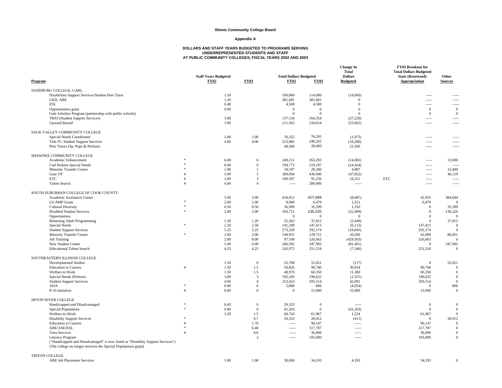#### **Appendix A**

| Program                                                                                                                                            | <b>Staff Years Budgeted</b><br>FY02 | <b>FY03</b>  |                                | <b>Total Dollars Budgeted</b><br><b>FY02</b> | <b>FY03</b>        | <b>Change In</b><br><b>Total</b><br><b>Dollars</b><br><b>Budgeted</b> |            | FY03 Breakout for<br><b>Total Dollars Budgeted</b><br><b>State (Restricted)</b><br>Appropriation | Other<br><b>Sources</b>    |
|----------------------------------------------------------------------------------------------------------------------------------------------------|-------------------------------------|--------------|--------------------------------|----------------------------------------------|--------------------|-----------------------------------------------------------------------|------------|--------------------------------------------------------------------------------------------------|----------------------------|
| SANDBURG COLLEGE, CARL                                                                                                                             |                                     |              |                                |                                              |                    |                                                                       |            |                                                                                                  |                            |
| Disabilities Support Services/Student Peer Tutor                                                                                                   |                                     | 1.50         |                                | 100,000                                      | 114,000            | (14,000)                                                              |            | $\frac{1}{2}$                                                                                    |                            |
| GED, ABE                                                                                                                                           |                                     | 1.20         |                                | 381,681                                      | 381,681            | $\Omega$                                                              |            | $\sim$                                                                                           | $- - - -$                  |
| <b>ESL</b>                                                                                                                                         |                                     | 0.40         |                                | 4,500                                        | 4,500              | $\Omega$                                                              |            | $1 - 1 - 1 = 1$                                                                                  | -----                      |
| Opportunities grant                                                                                                                                |                                     | 0.00         |                                | $\Omega$                                     | $\mathbf{0}$       | $\Omega$                                                              |            | $\mathbf{0}$                                                                                     | $\mathbf{0}$               |
| Gale Scholars Program (partnership with public schools)                                                                                            |                                     |              |                                | $\Omega$                                     | $\Omega$           | $\Omega$                                                              |            | $\mathbf{0}$                                                                                     | $\mathbf{0}$               |
| TRIO (Student Support Services)                                                                                                                    |                                     | 3.00         |                                | 137,134                                      | 164,354            | (27, 220)                                                             |            | $\sim$                                                                                           | $\cdots$                   |
| <b>Upward Bound</b>                                                                                                                                |                                     | 3.00         |                                | 211,562                                      | 234,624            | (23,062)                                                              |            | $\overline{\phantom{a}}$                                                                         |                            |
| SAUK VALLEY COMMUNITY COLLEGE                                                                                                                      |                                     |              |                                |                                              |                    |                                                                       |            |                                                                                                  |                            |
| Special Needs Coordinator                                                                                                                          |                                     | 1.00         | 1.00                           | 76,322                                       | 78,295             | (1,973)                                                               |            | -----                                                                                            | -----                      |
| Title IV, Student Support Services                                                                                                                 |                                     | 4.00         | 4.00                           | 223,982                                      | 240,262            | (16, 280)                                                             |            | $---$                                                                                            | $- - - -$                  |
| Peer Tutors (Sp. Pops & Perkins)                                                                                                                   |                                     |              |                                | 49,500                                       | 28,000             | 21,500                                                                |            | $1 - 1 - 1 = 1$                                                                                  | -----                      |
| SHAWNEE COMMUNITY COLLEGE                                                                                                                          |                                     |              |                                |                                              |                    |                                                                       |            |                                                                                                  |                            |
| Academic Enhancement                                                                                                                               |                                     | 6.00         | 6                              | 249,211                                      | 263,293            | (14,082)                                                              |            | $\sim$                                                                                           | 13,000                     |
| Carl Perkins Special Needs                                                                                                                         |                                     | 6.00         | 6                              | 194,773                                      | 219,197            | (24, 424)                                                             |            | -----                                                                                            | $\sim$                     |
| Minority Transfer Center                                                                                                                           |                                     | 1.00         | $\mathbf{1}$                   | 34,187                                       | 29,200             | 4,987                                                                 |            | $\sim$ $\sim$ $\sim$ $\sim$                                                                      | 12,400                     |
| Gear UP                                                                                                                                            |                                     | 5.00         | 5                              | 389,094                                      | 436,946            | (47, 852)                                                             |            | $---$                                                                                            | 46,119                     |
| <b>ETC</b>                                                                                                                                         |                                     | 3.00         | $\mathbf{3}$<br>$\overline{4}$ | 109,507                                      | 91,256             | 18,251                                                                | <b>ETC</b> | $\sim$                                                                                           | $\overline{\phantom{a}}$   |
| <b>Talent Search</b>                                                                                                                               |                                     | 4.00         |                                | $\sim$                                       | 200,000            | $\sim$                                                                |            | $\sim$ $\sim$ $\sim$ $\sim$                                                                      | 1.11                       |
| SOUTH SUBURBAN COLLEGE OF COOK COUNTY                                                                                                              |                                     |              |                                |                                              |                    |                                                                       |            |                                                                                                  |                            |
| Academic Assistance Center                                                                                                                         |                                     | 5.00         | 5.00                           | 418,912                                      | 427,599            | (8,687)                                                               |            | 42,935                                                                                           | 384,644                    |
| <b>LS-AMP</b> Grant                                                                                                                                |                                     | 2.00         | 2.00                           | 8,000                                        | 6,479              | 1,521                                                                 |            | 6,479                                                                                            | $\sqrt{ }$                 |
| <b>Cultural Diversity</b>                                                                                                                          |                                     | 0.50         | 0.50                           | 36,909                                       | 35,599             | 1,310                                                                 |            | $\Omega$                                                                                         | 35,599                     |
| <b>Disabled Student Services</b>                                                                                                                   |                                     | 2.00         | 2.00                           | 103,721                                      | 136,220            | (32, 499)                                                             |            | $\mathbf{0}$                                                                                     | 136,220                    |
| Opportunities                                                                                                                                      |                                     |              |                                | $^{\circ}$                                   | $\theta$           | $\overline{0}$                                                        |            | $\Omega$                                                                                         | $\Omega$                   |
| Returning Adult Programming                                                                                                                        |                                     | 1.20         | 1.20                           | 35,363                                       | 37,812             | (2, 449)                                                              |            | $\Omega$                                                                                         | 37,812                     |
| Special Needs                                                                                                                                      |                                     | 2.50         | 2.50                           | 141,298                                      | 147,411            | (6,113)                                                               |            | 147,411                                                                                          | $\Omega$                   |
| <b>Student Support Services</b>                                                                                                                    | ż.                                  | 5.25         | 5.25                           | 273,329                                      | 292,174            | (18, 845)                                                             |            | 292,174                                                                                          | $\Omega$                   |
| Minority Transfer Center                                                                                                                           |                                     | 2.00         | 2.00<br>8.00                   | 149,951                                      | 129,751            | 20,200                                                                |            | 42,900                                                                                           | 86,851<br>$\Omega$         |
| <b>Job Training</b>                                                                                                                                |                                     | 2.00         |                                | 97,100                                       | 526,663            | (429, 563)                                                            |            | 526,663<br>$\Omega$                                                                              |                            |
| New Student Center<br><b>Educational Talent Search</b>                                                                                             |                                     | 5.00<br>4.25 | 6.00<br>4.25                   | 266,591<br>243,972                           | 347,992<br>251,518 | (81, 401)                                                             |            |                                                                                                  | 347,992<br>$\Omega$        |
|                                                                                                                                                    |                                     |              |                                |                                              |                    | (7, 546)                                                              |            | 251,518                                                                                          |                            |
| SOUTHEASTERN ILLINOIS COLLEGE                                                                                                                      |                                     |              |                                |                                              |                    |                                                                       |            |                                                                                                  |                            |
| <b>Developmental Studies</b>                                                                                                                       |                                     | 1.50         | $\mathbf{0}$                   | 52,768                                       | 52,651             | (117)                                                                 |            | $\overline{0}$                                                                                   | 52,651                     |
| <b>Education</b> to Careers                                                                                                                        |                                     | 1.50         | 1.5                            | 59,826                                       | 90,740             | 30,914                                                                |            | 90.740                                                                                           | $\Omega$<br>$\Omega$       |
| Welfare to Work                                                                                                                                    |                                     | 1.50         | 1.5                            | 48,970<br>192,183                            | 60,350             | 11,380                                                                |            | 60,350                                                                                           | $\Omega$                   |
| Special Needs (Perkins)                                                                                                                            |                                     | 3.00<br>4.00 | 3<br>$\overline{4}$            | 253,423                                      | 190,632<br>295,514 | (1, 551)                                                              |            | 190,632                                                                                          | $\Omega$                   |
| <b>Student Support Services</b><br>ADA                                                                                                             |                                     | 0.00         | $\mathbf{0}$                   | 5,800                                        | 866                | 42,091<br>(4,934)                                                     |            | 295,514<br>$\Omega$                                                                              | 866                        |
| P-16 Initiative                                                                                                                                    |                                     | 0.00         | $\Omega$                       | $\Omega$                                     | 15,000             | 15,000                                                                |            | 15,000                                                                                           | $\overline{0}$             |
|                                                                                                                                                    |                                     |              |                                |                                              |                    |                                                                       |            |                                                                                                  |                            |
| SPOON RIVER COLLEGE                                                                                                                                |                                     |              |                                |                                              |                    |                                                                       |            |                                                                                                  |                            |
| Handicapped and Disadvantaged                                                                                                                      |                                     | 0.45         | $\mathbf{0}$                   | 29,323                                       | $\bf{0}$           | $---$                                                                 |            | $\Omega$                                                                                         | $\Omega$                   |
| Special Populations                                                                                                                                |                                     | 0.60         | $\mathbf{0}$                   | 41,263                                       | $\mathbf{0}$       | (41, 263)                                                             |            | $\Omega$                                                                                         | $\overline{0}$             |
| Welfare-to-Work                                                                                                                                    |                                     | 1.20         | 1.5                            | 60,743                                       | 61,967             | 1,224                                                                 |            | 61,967                                                                                           | $\Omega$                   |
| <b>Disability Support Services</b>                                                                                                                 |                                     |              | 0.7                            | 29,323                                       | 28,912             | (411)                                                                 |            | $\Omega$                                                                                         | 28,912                     |
| <b>Education</b> to Careers                                                                                                                        |                                     |              | 1.70                           | $\frac{1}{2}$                                | 90,147             | -----                                                                 |            | 90,147                                                                                           | $\overline{0}$<br>$\Omega$ |
| ABE/ASE/ESL                                                                                                                                        |                                     |              | 6.40                           | $\frac{1}{2}$                                | 317,707            | -----                                                                 |            | 317,707                                                                                          | $\Omega$                   |
| <b>Teen Services</b>                                                                                                                               |                                     |              | 0.6                            | $1 - 1 - 1 = 1$                              | 36,000             | -----                                                                 |            | 36,000                                                                                           | $\Omega$                   |
| <b>Literacy Program</b>                                                                                                                            |                                     |              | 2                              | $\frac{1}{2}$                                | 105,000            | -----                                                                 |            | 105,000                                                                                          |                            |
| ("Handicapped and Disadvantaged" is now listed as "Disability Support Services")<br>(The college no longer receives the Special Populations grant) |                                     |              |                                |                                              |                    |                                                                       |            |                                                                                                  |                            |
| <b>TRITON COLLEGE</b>                                                                                                                              |                                     |              |                                |                                              |                    |                                                                       |            |                                                                                                  |                            |
| <b>ABE Job Placement Services</b>                                                                                                                  |                                     | 1.00         | 1.00                           | 30,000                                       | 34.193             | 4.193                                                                 |            | 34.193                                                                                           | $\Omega$                   |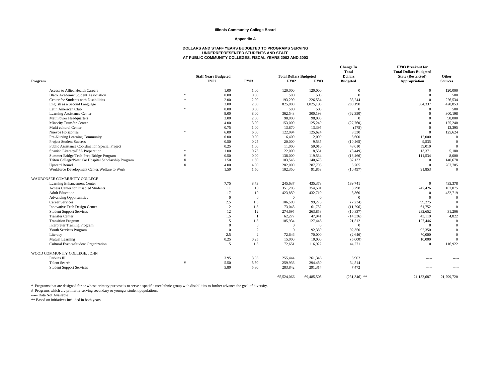#### **Appendix A**

## **DOLLARS AND STAFF YEARS BUDGETED TO PROGRAMS SERVING UNDERREPRESENTED STUDENTS AND STAFF AT PUBLIC COMMUNITY COLLEGES, FISCAL YEARS 2002 AND 2003**

|         |                                                       |               |                                     |                |                                              |              | <b>Change In</b><br><b>Total</b>  | <b>FY03 Breakout for</b><br><b>Total Dollars Budgeted</b> |                         |
|---------|-------------------------------------------------------|---------------|-------------------------------------|----------------|----------------------------------------------|--------------|-----------------------------------|-----------------------------------------------------------|-------------------------|
| Program |                                                       |               | <b>Staff Years Budgeted</b><br>FY02 | <b>FY03</b>    | <b>Total Dollars Budgeted</b><br><b>FY02</b> | <b>FY03</b>  | <b>Dollars</b><br><b>Budgeted</b> | <b>State (Restricted)</b><br>Appropriation                | Other<br><b>Sources</b> |
|         | <b>Access to Allied Health Careers</b>                |               | 1.00                                | 1.00           | 120,000                                      | 120,000      | $\overline{0}$                    | $\mathbf{0}$                                              | 120,000                 |
|         | <b>Black Academic Student Association</b>             | $\frac{1}{2}$ | 0.00                                | 0.00           | 500                                          | 500          | $\Omega$                          | $\overline{0}$                                            | 500                     |
|         | Center for Students with Disabilities                 | ż.            | 2.00                                | 2.00           | 193,290                                      | 226,534      | 33,244                            | $\Omega$                                                  | 226,534                 |
|         | English as a Second Language                          |               | 3.00                                | 2.00           | 825,000                                      | 1,025,190    | 200,190                           | 604,337                                                   | 420,853                 |
|         | Latin American Club                                   | sk.           | 0.00                                | 0.00           | 500                                          | 500          | $\mathbf{0}$                      | $\Omega$                                                  | 500                     |
|         | Learning Assistance Center                            |               | 9.00                                | 8.00           | 362,548                                      | 300,198      | (62, 350)                         | $\Omega$                                                  | 300,198                 |
|         | MathPower Headquarters                                |               | 3.00                                | 2.00           | 98,000                                       | 98,000       | $\mathbf{0}$                      | $\Omega$                                                  | 98,000                  |
|         | <b>Minority Transfer Center</b>                       |               | 4.00                                | 3.00           | 153,000                                      | 125,240      | (27,760)                          | $\Omega$                                                  | 125,240                 |
|         | Multi cultural Center                                 |               | 0.75                                | 1.00           | 13,870                                       | 13,395       | (475)                             | $\Omega$                                                  | 13,395                  |
|         | <b>Nuevos Horizontes</b>                              | ż.            | 6.00                                | 6.00           | 122,094                                      | 125,624      | 3,530                             | $\Omega$                                                  | 125,624                 |
|         | Pre-Nursing Learning Community                        |               | 0.00                                | 0.00           | 6,400                                        | 12,000       | 5,600                             | 12,000                                                    | $\overline{0}$          |
|         | <b>Project Student Success</b>                        |               | 0.50                                | 0.25           | 20,000                                       | 9,535        | (10, 465)                         | 9,535                                                     | $\Omega$                |
|         | Public Assistance Coordination Special Project        |               | 0.25                                | 1.00           | 11,000                                       | 59,010       | 48,010                            | 59,010                                                    | $\Omega$                |
|         | Spanish Literacy/ESL Preparation                      |               | 1.00                                | 0.75           | 22,000                                       | 18,551       | (3,449)                           | 13.371                                                    | 5,180                   |
|         | Summer Bridge/Tech-Prep Bridge Program                |               | 0.50                                | 0.00           | 138,000                                      | 119,534      | (18, 466)                         | 111,534                                                   | 8,000                   |
|         | Triton College/Westlake Hospital Scholarship Program. |               | 1.50                                | 1.50           | 103,546                                      | 140,678      | 37,132                            | $\Omega$                                                  | 140,678                 |
|         | <b>Upward Bound</b>                                   |               | 4.00                                | 4.00           | 282,000                                      | 287,705      | 5,705                             | $\mathbf{0}$                                              | 287,705                 |
|         | Workforce Development Center/Welfare to Work          |               | 1.50                                | 1.50           | 102,350                                      | 91,853       | (10, 497)                         | 91,853                                                    | $\theta$                |
|         | WAUBONSEE COMMUNITY COLLEGE                           |               |                                     |                |                                              |              |                                   |                                                           |                         |
|         | Learning Enhancement Center                           |               | 7.75                                | 8.73           | 245,637                                      | 435,378      | 189,741                           | $\Omega$                                                  | 435,378                 |
|         | <b>Access Center for Disabled Students</b>            |               | 11                                  | 10             | 351,203                                      | 354,501      | 3,298                             | 247,426                                                   | 107,075                 |
|         | <b>Adult Education</b>                                |               | 17                                  | 10             | 423,859                                      | 432,719      | 8,860                             | $\mathbf{0}$                                              | 432,719                 |
|         | <b>Advancing Opportunities</b>                        |               | $\overline{0}$                      | $\mathbf{0}$   | $\overline{0}$                               | $\Omega$     | $\mathbf{0}$                      | $\Omega$                                                  | $\overline{0}$          |
|         | <b>Career Services</b>                                |               | 2.5                                 | 1.5            | 106,509                                      | 99,275       | (7,234)                           | 99,275                                                    | $\Omega$                |
|         | Innovative Tech Design Center                         |               | 2                                   | 1.5            | 73,048                                       | 61,752       | (11,296)                          | 61,752                                                    | $\theta$                |
|         | <b>Student Support Services</b>                       |               | 12                                  | 12             | 274,695                                      | 263,858      | (10, 837)                         | 232,652                                                   | 31,206                  |
|         | <b>Transfer Center</b>                                |               | 1.5                                 | $\overline{1}$ | 62,277                                       | 47,941       | (14, 336)                         | 43,119                                                    | 4,822                   |
|         | <b>Transition Program</b>                             |               | 1.5                                 | 1.5            | 105,934                                      | 127,446      | 21,512                            | 127,446                                                   | $\overline{0}$          |
|         | <b>Interpreter Training Program</b>                   |               | $\overline{0}$                      | $\mathbf{0}$   | $\Omega$                                     | $\mathbf{0}$ | $\mathbf{0}$                      | $\Omega$                                                  | $\Omega$                |
|         | Youth Services Program                                |               | $\Omega$                            | $\overline{c}$ | $\Omega$                                     | 92,350       | 92,350                            | 92.350                                                    | $\theta$                |
|         | Literacy                                              |               | 2.5                                 | 2              | 72,646                                       | 70,000       | (2,646)                           | 70,000                                                    | $\theta$                |
|         | Mutual Learning                                       |               | 0.25                                | 0.25           | 15,000                                       | 10,000       | (5,000)                           | 10,000                                                    | $\Omega$                |
|         | Cultural Events/Student Organization                  |               | 1.5                                 | 1.5            | 72,651                                       | 116,922      | 44,271                            | $\Omega$                                                  | 116,922                 |
|         | WOOD COMMUNITY COLLEGE, JOHN                          |               |                                     |                |                                              |              |                                   |                                                           |                         |
|         | Perkins III                                           |               | 3.95                                | 3.95           | 255,444                                      | 261,346      | 5,902                             | -----                                                     | -----                   |
|         | <b>Talent Search</b>                                  |               | 5.50                                | 5.50           | 259,936                                      | 294,450      | 34,514                            | $- - - - -$                                               | -----                   |
|         | <b>Student Support Services</b>                       |               | 5.80                                | 5.80           | 283,842                                      | 291,314      | 7,472                             | $- - - -$                                                 | -----                   |
|         |                                                       |               |                                     |                | 65,524,066                                   | 69,485,505   | $(231,346)$ **                    | 21.132.687                                                | 21,799,720              |

\* Programs that are designed for or whose primary purpose is to serve a specific race/ethnic group with disabilities to further advance the goal of diversity.<br># Programs which are primarily serving secondary or younger stu

----- Data Not Available

\*\* Based on initiatives included in both years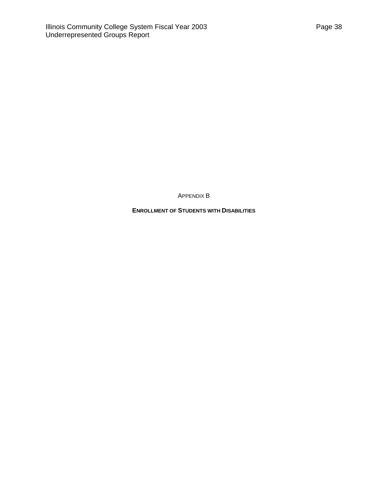APPENDIX B

<span id="page-40-0"></span>**ENROLLMENT OF STUDENTS WITH DISABILITIES**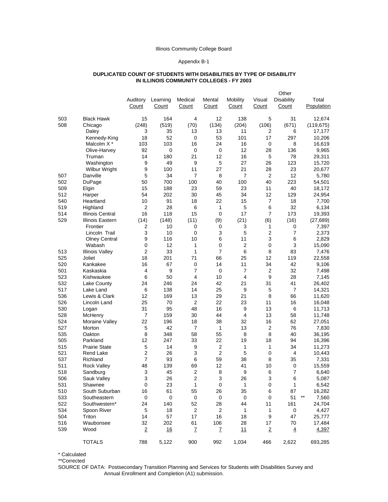#### Appendix B-1

#### **DUPLICATED COUNT OF STUDENTS WITH DISABILITIES BY TYPE OF DISABILITY IN ILLINOIS COMMUNITY COLLEGES - FY 2003**

<span id="page-41-0"></span>

|     |                        |                |           |                  |                         |                |                | Other             |                |
|-----|------------------------|----------------|-----------|------------------|-------------------------|----------------|----------------|-------------------|----------------|
|     |                        | Auditory       | Learning  | Medical          | Mental                  | Mobility       | Visual         | <b>Disability</b> | Total          |
|     |                        | Count          | Count     | Count            | Count                   | Count          | Count          | Count             | Population     |
| 503 | <b>Black Hawk</b>      | 15             | 164       | 4                | 12                      | 138            | 5              | 31                | 12,674         |
| 508 | Chicago                | (248)          | (519)     | (70)             | (134)                   | (204)          | (106)          | (671)             | (119, 675)     |
|     | Daley                  | 3              | 35        | 13               | 13                      | 11             | 2              | 6                 | 17,177         |
|     | Kennedy-King           | 18             | 52        | 0                | 53                      | 101            | 17             | 297               | 10,206         |
|     | Malcolm X <sup>*</sup> | 103            | 103       | 16               | 24                      | 16             | 0              | 8                 | 16,619         |
|     | Olive-Harvey           | 92             | 0         | 0                | 0                       | 12             | 28             | 136               | 9,965          |
|     | Truman                 | 14             | 180       | 21               | 12                      | 16             | 5              | 78                | 29,311         |
|     | Washington             | 9              | 49        | 9                | 5                       | 27             | 26             | 123               | 15,720         |
|     | Wilbur Wright          | 9              | 100       | 11               | 27                      | 21             | 28             | 23                | 20,677         |
| 507 | Danville               | 5              | 34        | $\overline{7}$   | 8                       | $\overline{7}$ | $\overline{2}$ | 12                | 5,780          |
| 502 | <b>DuPage</b>          | 50             | 700       | 100              | 40                      | 100            | 40             | 223               | 54,501         |
| 509 | Elgin                  | 15             | 188       | 23               | 59                      | 23             | 11             | 40                | 18,172         |
| 512 | Harper                 | 54             | 202       | 30               | 45                      | 34             | 12             | 129               | 24,954         |
| 540 | Heartland              | 10             | 91        | 18               | 22                      | 15             | 7              | 18                | 7,700          |
| 519 | Highland               | $\overline{2}$ | 28        | 6                | 1                       | 5              | 6              | 32                | 6,134          |
| 514 | Illinois Central       | 16             | 118       | 15               | 0                       | 17             | $\overline{7}$ | 173               | 19,393         |
| 529 | Illinois Eastern       | (14)           | (148)     | (11)             | (9)                     | (21)           | (6)            | (16)              | (27, 689)      |
|     | Frontier               | 2              | 10        | 0                | 0                       | 3              | 1              | 0                 | 7,397          |
|     | Lincoln Trail          | 3              | 10        | $\mathbf 0$      | 3                       | 5              | 2              | 7                 | 2,373          |
|     | <b>Olney Central</b>   | 9              | 116       | 10               | 6                       | 11             | 3              | 6                 | 2,829          |
|     | Wabash                 | 0              | 12        | 1                | 0                       | $\overline{2}$ | $\mathbf 0$    | 3                 | 15,090         |
| 513 | <b>Illinois Valley</b> | $\overline{2}$ | 33        | $\mathbf{1}$     | $\overline{7}$          | 6              | 8              | 83                | 7,476          |
| 525 | Joliet                 | 18             | 201       | 71               | 66                      | 25             | 12             | 119               | 22,558         |
| 520 | Kankakee               | 16             | 67        | 0                | 14                      | 11             | 34             | 42                | 9,106          |
| 501 | Kaskaskia              | $\overline{4}$ | 9         | $\overline{7}$   | 0                       | 7              | $\overline{2}$ | 32                | 7,498          |
| 523 | Kishwaukee             | 6              | 50        | 4                | 10                      | 4              | 9              | 28                | 7,145          |
| 532 | Lake County            | 24             | 246       | 24               | 42                      | 21             | 31             | 41                | 26,402         |
| 517 | Lake Land              | 6              | 138       | 14               | 25                      | 9              | 5              | $\overline{7}$    | 14,321         |
| 536 | Lewis & Clark          | 12             | 169       | 13               | 29                      | 21             | 8              | 66                | 11,620         |
| 526 | Lincoln Land           | 25             | 70        | $\overline{2}$   | 22                      | 23             | 11             | 16                | 16,048         |
| 530 | Logan                  | 31             | 95        | 48               | 16                      | 9              | 13             | 6                 | 11,713         |
| 528 | McHenry                | 7              | 159       | 30               | 44                      | 4              | 13             | 58                | 11,748         |
| 524 | Moraine Valley         | 22             | 196       | 18               | 38                      | 32             | 16             | 62                | 27,051         |
| 527 | Morton                 | 5              | 42        | $\overline{7}$   | 1                       | 13             | $\overline{2}$ | 76                | 7,830          |
| 535 | Oakton                 | 8              | 348       | 58               | 55                      | 8              | 8              | 40                | 36,195         |
| 505 | Parkland               | 12             | 247       | 33               | 22                      | 19             | 18             | 94                | 16,396         |
| 515 | <b>Prairie State</b>   | 5              | 14        | 9                | 2                       | 1              | 1              | 34                | 11,273         |
| 521 | Rend Lake              | 2              | 26        | 3                | 2                       | 5              | 0              | 4                 | 10,443         |
| 537 | Richland               | $\overline{7}$ | 93        | 6                | 59                      | 38             | 8              | 35                | 7,331          |
| 511 | <b>Rock Valley</b>     | 48             | 139       | 69               | 12                      | 41             | 10             | 0                 | 15,559         |
| 518 | Sandburg               | 3              | 45        | $\overline{2}$   | 8                       | 9              | 6              | 7                 | 6.640          |
| 506 | Sauk Valley            | 3              | 26        | $\boldsymbol{2}$ | 3                       | 26             | 3              | 6                 | 5,087          |
| 531 | Shawnee                | $\pmb{0}$      | 23        | $\mathbf 1$      | $\pmb{0}$               | $\mathbf{1}$   | $\pmb{0}$      | 1                 | 6,542          |
| 510 | South Suburban         | 16             | 61        | 55               | 26                      | 35             | 6              | 87                | 16,282         |
| 533 | Southeastern           | $\mathbf 0$    | 0         | $\pmb{0}$        | 0                       | $\mathbf 0$    | 0              | 51                | $***$<br>7,560 |
| 522 | Southwestern*          | 24             | 140       | 52               | 28                      | 44             | 11             | 161               | 24,704         |
| 534 | Spoon River            | 5              | 18        | $\sqrt{2}$       | $\overline{\mathbf{c}}$ | 1              | 1              | $\mathbf 0$       | 4,427          |
| 504 | Triton                 | 14             | 57        | 17               | 16                      | 18             | 9              | 47                | 25,777         |
| 516 | Waubonsee              | 32             | 202       | 61               | 106                     | 28             | 17             | 70                | 17,484         |
| 539 | Wood                   | $\overline{2}$ | <u>16</u> | $\mathbf{Z}$     | Z                       | 11             | $\overline{2}$ | $\overline{4}$    | 4,397          |
|     | <b>TOTALS</b>          | 788            | 5,122     | 900              | 992                     | 1,034          | 466            | 2,622             | 693,285        |

\* Calculated

\*\*Corrected

SOURCE OF DATA: Postsecondary Transition Planning and Services for Students with Disabilities Survey and Annual Enrollment and Completion (A1) submission.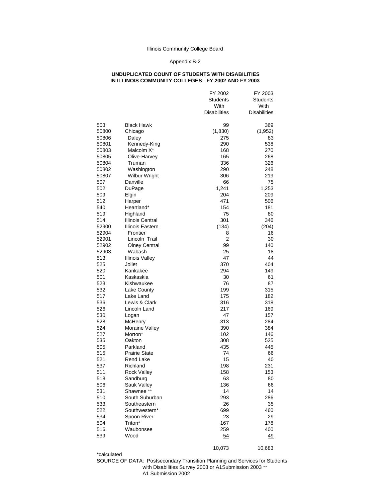#### Appendix B-2

#### **UNDUPLICATED COUNT OF STUDENTS WITH DISABILITIES IN ILLINOIS COMMUNITY COLLEGES - FY 2002 AND FY 2003**

|              |                                  | FY 2002<br>Students<br>With<br><b>Disabilities</b> | FY 2003<br>Students<br>With<br><b>Disabilities</b> |
|--------------|----------------------------------|----------------------------------------------------|----------------------------------------------------|
| 503          | <b>Black Hawk</b>                | 99                                                 | 369                                                |
| 50800        | Chicago                          | (1, 830)                                           | (1,952)                                            |
| 50806        | Daley                            | 275                                                | 83                                                 |
| 50801        | Kennedy-King                     | 290                                                | 538                                                |
| 50803        | Malcolm X*                       | 168                                                | 270                                                |
| 50805        | Olive-Harvey                     | 165                                                | 268                                                |
| 50804        | Truman                           | 336                                                | 326                                                |
| 50802        | Washington                       | 290                                                | 248                                                |
| 50807        | <b>Wilbur Wright</b>             | 306                                                | 219                                                |
| 507          | Danville                         | 66                                                 | 75                                                 |
| 502          | DuPage                           | 1,241                                              | 1,253                                              |
| 509          | Elgin                            | 204                                                | 209                                                |
| 512          | Harper                           | 471                                                | 506                                                |
| 540          | Heartland*                       | 154                                                | 181                                                |
| 519          | Highland                         | 75                                                 | 80                                                 |
| 514          | Illinois Central                 | 301                                                | 346                                                |
| 52900        | Illinois Eastern                 | (134)                                              | (204)                                              |
| 52904        | Frontier                         | 8                                                  | 16                                                 |
| 52901        | Lincoln Trail                    | $\overline{2}$                                     | 30                                                 |
| 52902        | <b>Olney Central</b>             | 99                                                 | 140                                                |
| 52903<br>513 | Wabash                           | 25                                                 | 18                                                 |
| 525          | <b>Illinois Valley</b><br>Joliet | 47<br>370                                          | 44<br>404                                          |
| 520          | Kankakee                         | 294                                                | 149                                                |
| 501          | Kaskaskia                        | 30                                                 | 61                                                 |
| 523          | Kishwaukee                       | 76                                                 | 87                                                 |
| 532          | Lake County                      | 199                                                | 315                                                |
| 517          | Lake Land                        | 175                                                | 182                                                |
| 536          | Lewis & Clark                    | 316                                                | 318                                                |
| 526          | Lincoln Land                     | 217                                                | 169                                                |
| 530          | Logan                            | 47                                                 | 157                                                |
| 528          | McHenry                          | 313                                                | 284                                                |
| 524          | Moraine Valley                   | 390                                                | 384                                                |
| 527          | Morton*                          | 102                                                | 146                                                |
| 535          | Oakton                           | 308                                                | 525                                                |
| 505          | Parkland                         | 435                                                | 445                                                |
| 515          | <b>Prairie State</b>             | 74                                                 | 66                                                 |
| 521          | Rend Lake                        | 15                                                 | 40                                                 |
| 537          | Richland                         | 198                                                | 231                                                |
| 511          | Rock Valley                      | 158                                                | 153                                                |
| 518          | Sandburg                         | 63                                                 | 80                                                 |
| 506          | Sauk Valley                      | 136                                                | 66                                                 |
| 531          | Shawnee **                       | 14                                                 | 14                                                 |
| 510          | South Suburban                   | 293                                                | 286                                                |
| 533          | Southeastern                     | 26                                                 | 35                                                 |
| 522          | Southwestern*                    | 699                                                | 460                                                |
| 534          | Spoon River                      | 23                                                 | 29                                                 |
| 504          | Triton*                          | 167                                                | 178                                                |
| 516<br>539   | Waubonsee<br>Wood                | 259<br>54                                          | 400<br>49                                          |
|              |                                  |                                                    |                                                    |
|              |                                  | 10,073                                             | 10,683                                             |

\*calculated

SOURCE OF DATA: Postsecondary Transition Planning and Services for Students with Disabilities Survey 2003 or A1Submission 2003 \*\* A1 Submission 2002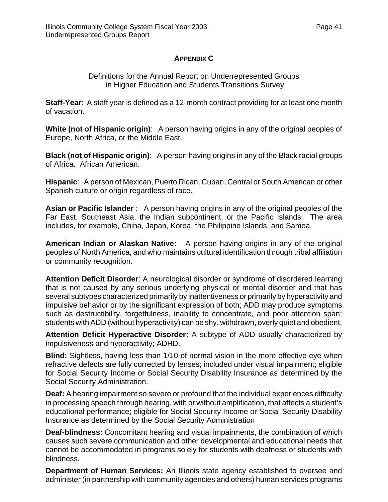## **APPENDIX C**

## Definitions for the Annual Report on Underrepresented Groups in Higher Education and Students Transitions Survey

<span id="page-43-0"></span>**Staff-Year**: A staff year is defined as a 12-month contract providing for at least one month of vacation.

**White (not of Hispanic origin)**: A person having origins in any of the original peoples of Europe, North Africa, or the Middle East.

**Black (not of Hispanic origin)**: A person having origins in any of the Black racial groups of Africa. African American.

**Hispanic**: A person of Mexican, Puerto Rican, Cuban, Central or South American or other Spanish culture or origin regardless of race.

**Asian or Pacific Islander** : A person having origins in any of the original peoples of the Far East, Southeast Asia, the Indian subcontinent, or the Pacific Islands. The area includes, for example, China, Japan, Korea, the Philippine Islands, and Samoa.

**American Indian or Alaskan Native:** A person having origins in any of the original peoples of North America, and who maintains cultural identification through tribal affiliation or community recognition.

**Attention Deficit Disorder**: A neurological disorder or syndrome of disordered learning that is not caused by any serious underlying physical or mental disorder and that has several subtypes characterized primarily by inattentiveness or primarily by hyperactivity and impulsive behavior or by the significant expression of both; ADD may produce symptoms such as destructibility, forgetfulness, inability to concentrate, and poor attention span; students with ADD (without hyperactivity) can be shy, withdrawn, overly quiet and obedient.

**Attention Deficit Hyperactive Disorder:** A subtype of ADD usually characterized by impulsiveness and hyperactivity; ADHD.

**Blind:** Sightless, having less than 1/10 of normal vision in the more effective eye when refractive defects are fully corrected by lenses; included under visual impairment; eligible for Social Security Income or Social Security Disability Insurance as determined by the Social Security Administration.

**Deaf:** A hearing impairment so severe or profound that the individual experiences difficulty in processing speech through hearing, with or without amplification, that affects a student's educational performance; eligible for Social Security Income or Social Security Disability Insurance as determined by the Social Security Administration

**Deaf-blindness:** Concomitant hearing and visual impairments, the combination of which causes such severe communication and other developmental and educational needs that cannot be accommodated in programs solely for students with deafness or students with blindness.

**Department of Human Services:** An Illinois state agency established to oversee and administer (in partnership with community agencies and others) human services programs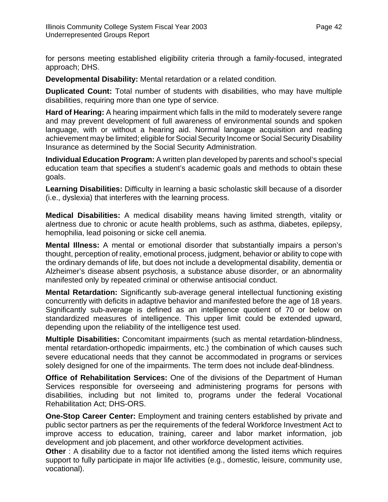<span id="page-44-0"></span>for persons meeting established eligibility criteria through a family-focused, integrated approach; DHS.

**Developmental Disability:** Mental retardation or a related condition.

**Duplicated Count:** Total number of students with disabilities, who may have multiple disabilities, requiring more than one type of service.

**Hard of Hearing:** A hearing impairment which falls in the mild to moderately severe range and may prevent development of full awareness of environmental sounds and spoken language, with or without a hearing aid. Normal language acquisition and reading achievement may be limited; eligible for Social Security Income or Social Security Disability Insurance as determined by the Social Security Administration.

**Individual Education Program:** A written plan developed by parents and school's special education team that specifies a student's academic goals and methods to obtain these goals.

**Learning Disabilities:** Difficulty in learning a basic scholastic skill because of a disorder (i.e., dyslexia) that interferes with the learning process.

**Medical Disabilities:** A medical disability means having limited strength, vitality or alertness due to chronic or acute health problems, such as asthma, diabetes, epilepsy, hemophilia, lead poisoning or sicke cell anemia.

**Mental Illness:** A mental or emotional disorder that substantially impairs a person's thought, perception of reality, emotional process, judgment, behavior or ability to cope with the ordinary demands of life, but does not include a developmental disability, dementia or Alzheimer's disease absent psychosis, a substance abuse disorder, or an abnormality manifested only by repeated criminal or otherwise antisocial conduct.

**Mental Retardation:** Significantly sub-average general intellectual functioning existing concurrently with deficits in adaptive behavior and manifested before the age of 18 years. Significantly sub-average is defined as an intelligence quotient of 70 or below on standardized measures of intelligence. This upper limit could be extended upward, depending upon the reliability of the intelligence test used.

**Multiple Disabilities:** Concomitant impairments (such as mental retardation-blindness, mental retardation-orthopedic impairments, etc.) the combination of which causes such severe educational needs that they cannot be accommodated in programs or services solely designed for one of the impairments. The term does not include deaf-blindness.

**Office of Rehabilitation Services:** One of the divisions of the Department of Human Services responsible for overseeing and administering programs for persons with disabilities, including but not limited to, programs under the federal Vocational Rehabilitation Act; DHS-ORS.

**One-Stop Career Center:** Employment and training centers established by private and public sector partners as per the requirements of the federal Workforce Investment Act to improve access to education, training, career and labor market information, job development and job placement, and other workforce development activities.

**Other** : A disability due to a factor not identified among the listed items which requires support to fully participate in major life activities (e.g., domestic, leisure, community use, vocational).